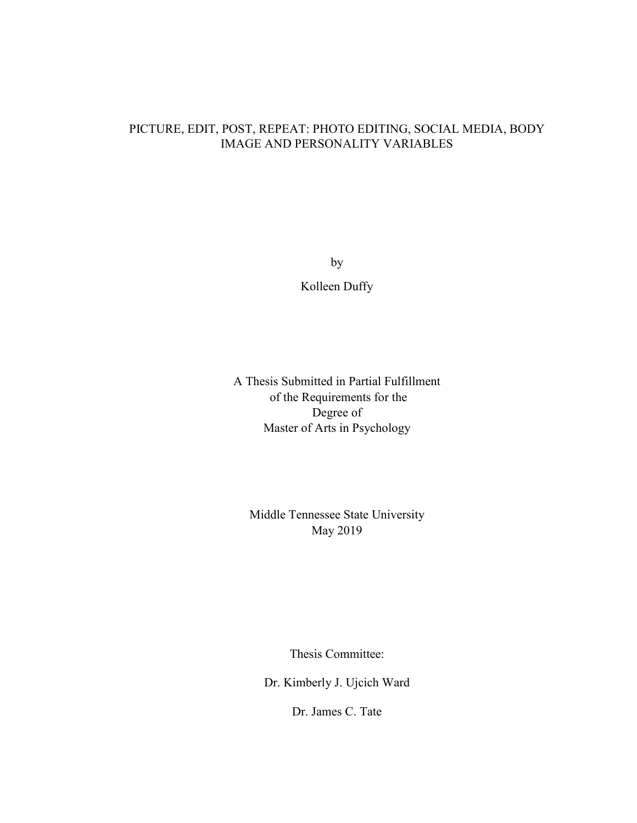### PICTURE, EDIT, POST, REPEAT: PHOTO EDITING, SOCIAL MEDIA, BODY IMAGE AND PERSONALITY VARIABLES

by

Kolleen Duffy

A Thesis Submitted in Partial Fulfillment of the Requirements for the Degree of Master of Arts in Psychology

Middle Tennessee State University May 2019

Thesis Committee:

Dr. Kimberly J. Ujcich Ward

Dr. James C. Tate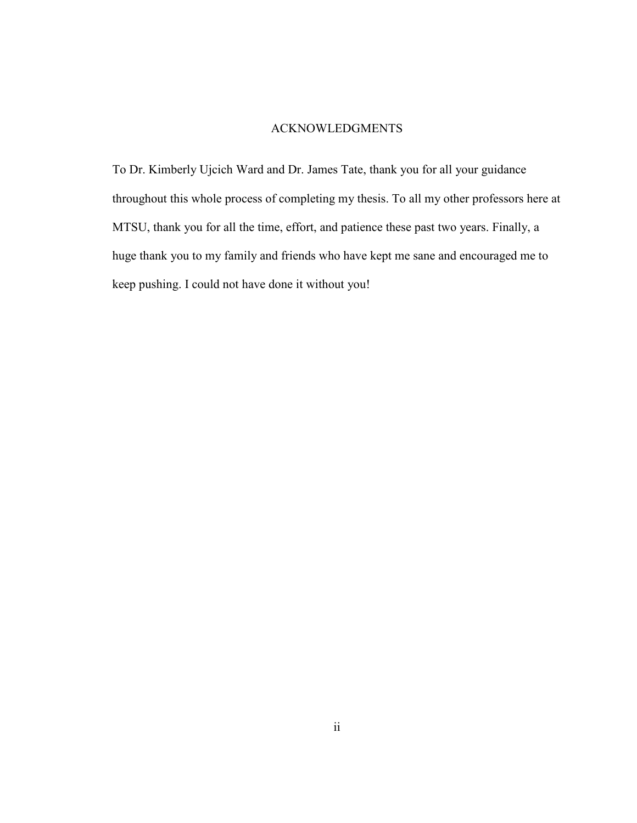### ACKNOWLEDGMENTS

To Dr. Kimberly Ujcich Ward and Dr. James Tate, thank you for all your guidance throughout this whole process of completing my thesis. To all my other professors here at MTSU, thank you for all the time, effort, and patience these past two years. Finally, a huge thank you to my family and friends who have kept me sane and encouraged me to keep pushing. I could not have done it without you!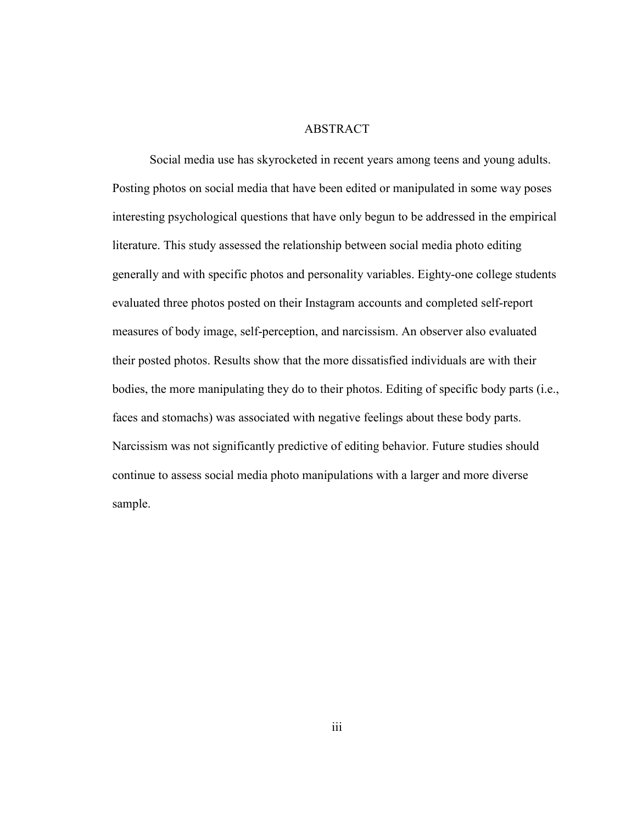### ABSTRACT

 Social media use has skyrocketed in recent years among teens and young adults. Posting photos on social media that have been edited or manipulated in some way poses interesting psychological questions that have only begun to be addressed in the empirical literature. This study assessed the relationship between social media photo editing generally and with specific photos and personality variables. Eighty-one college students evaluated three photos posted on their Instagram accounts and completed self-report measures of body image, self-perception, and narcissism. An observer also evaluated their posted photos. Results show that the more dissatisfied individuals are with their bodies, the more manipulating they do to their photos. Editing of specific body parts (i.e., faces and stomachs) was associated with negative feelings about these body parts. Narcissism was not significantly predictive of editing behavior. Future studies should continue to assess social media photo manipulations with a larger and more diverse sample.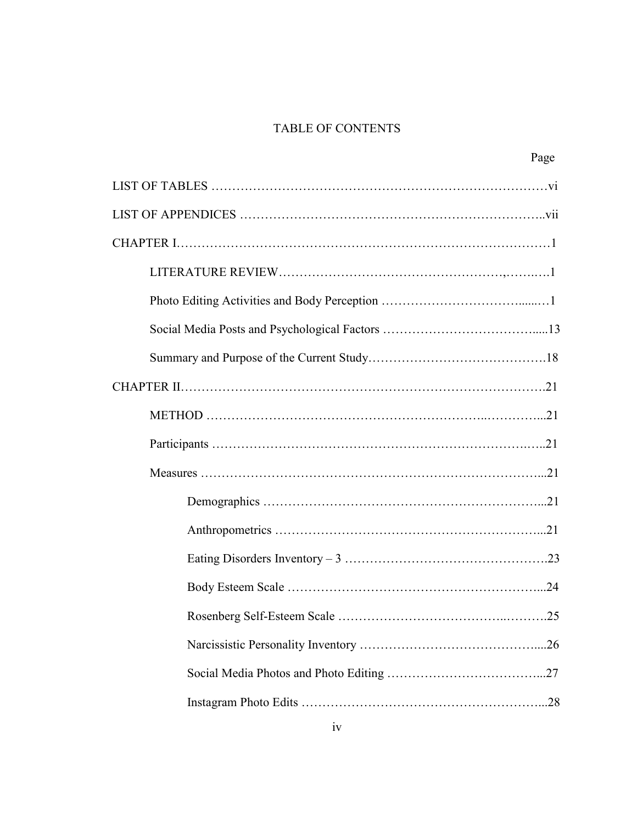# TABLE OF CONTENTS

Page **Page**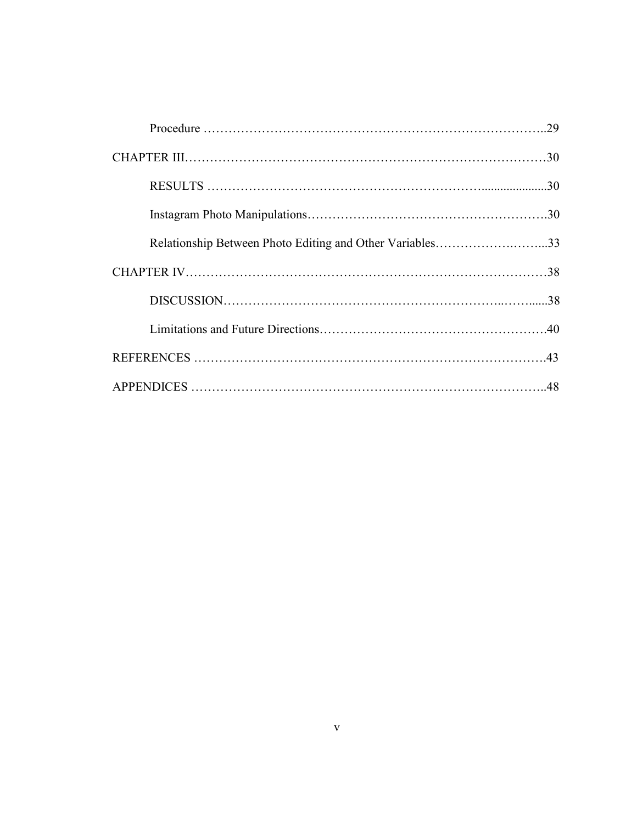| Relationship Between Photo Editing and Other Variables33 |  |
|----------------------------------------------------------|--|
|                                                          |  |
|                                                          |  |
|                                                          |  |
|                                                          |  |
|                                                          |  |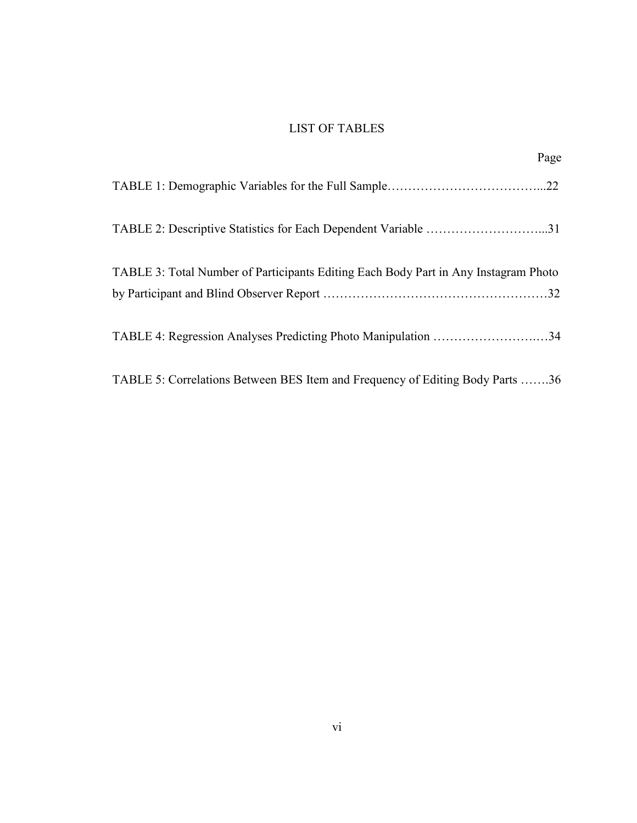# LIST OF TABLES

| Page                                                                                |
|-------------------------------------------------------------------------------------|
|                                                                                     |
| TABLE 2: Descriptive Statistics for Each Dependent Variable 31                      |
| TABLE 3: Total Number of Participants Editing Each Body Part in Any Instagram Photo |
| TABLE 4: Regression Analyses Predicting Photo Manipulation 34                       |
| TABLE 5: Correlations Between BES Item and Frequency of Editing Body Parts 36       |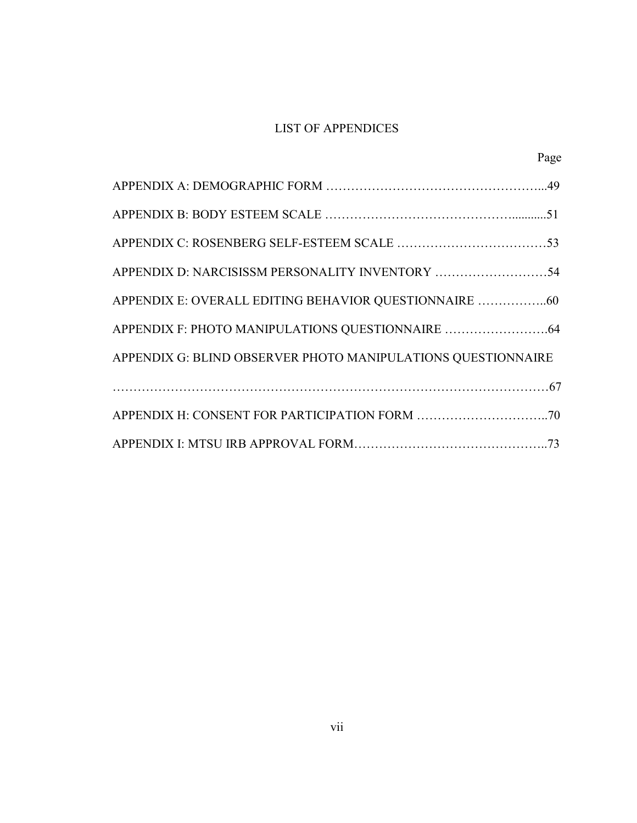# LIST OF APPENDICES

Page

| APPENDIX D: NARCISISSM PERSONALITY INVENTORY 54              |
|--------------------------------------------------------------|
| APPENDIX E: OVERALL EDITING BEHAVIOR QUESTIONNAIRE 60        |
|                                                              |
| APPENDIX G: BLIND OBSERVER PHOTO MANIPULATIONS QUESTIONNAIRE |
|                                                              |
|                                                              |
|                                                              |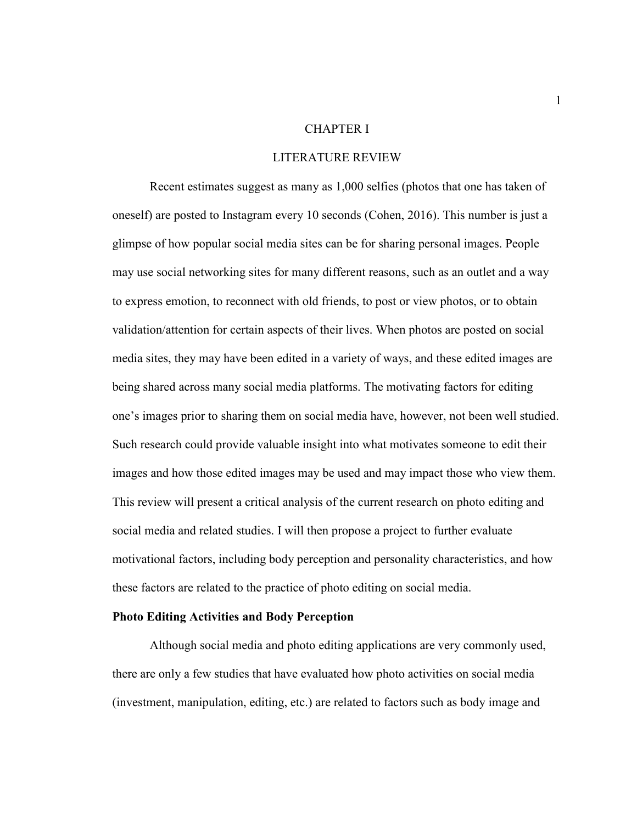#### CHAPTER I

#### LITERATURE REVIEW

 Recent estimates suggest as many as 1,000 selfies (photos that one has taken of oneself) are posted to Instagram every 10 seconds (Cohen, 2016). This number is just a glimpse of how popular social media sites can be for sharing personal images. People may use social networking sites for many different reasons, such as an outlet and a way to express emotion, to reconnect with old friends, to post or view photos, or to obtain validation/attention for certain aspects of their lives. When photos are posted on social media sites, they may have been edited in a variety of ways, and these edited images are being shared across many social media platforms. The motivating factors for editing one's images prior to sharing them on social media have, however, not been well studied. Such research could provide valuable insight into what motivates someone to edit their images and how those edited images may be used and may impact those who view them. This review will present a critical analysis of the current research on photo editing and social media and related studies. I will then propose a project to further evaluate motivational factors, including body perception and personality characteristics, and how these factors are related to the practice of photo editing on social media.

#### **Photo Editing Activities and Body Perception**

Although social media and photo editing applications are very commonly used, there are only a few studies that have evaluated how photo activities on social media (investment, manipulation, editing, etc.) are related to factors such as body image and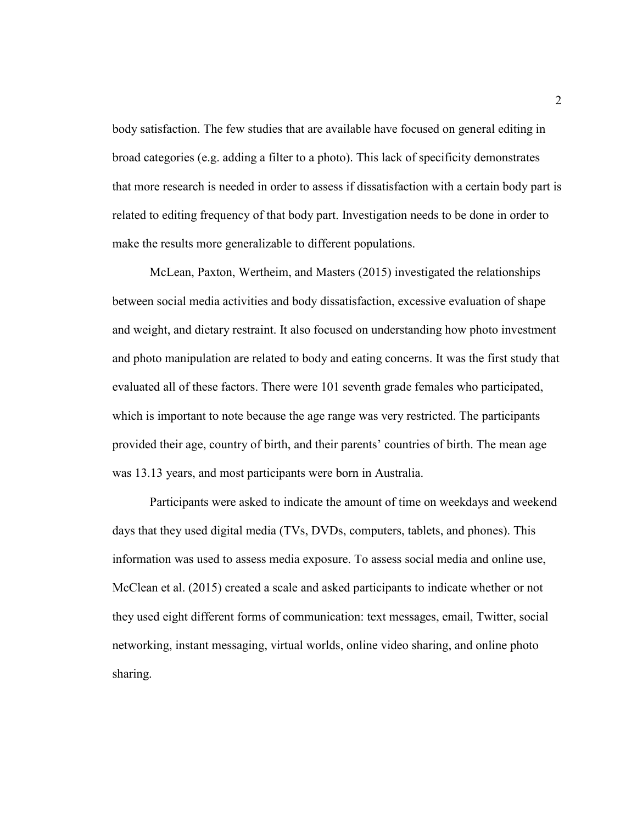body satisfaction. The few studies that are available have focused on general editing in broad categories (e.g. adding a filter to a photo). This lack of specificity demonstrates that more research is needed in order to assess if dissatisfaction with a certain body part is related to editing frequency of that body part. Investigation needs to be done in order to make the results more generalizable to different populations.

 McLean, Paxton, Wertheim, and Masters (2015) investigated the relationships between social media activities and body dissatisfaction, excessive evaluation of shape and weight, and dietary restraint. It also focused on understanding how photo investment and photo manipulation are related to body and eating concerns. It was the first study that evaluated all of these factors. There were 101 seventh grade females who participated, which is important to note because the age range was very restricted. The participants provided their age, country of birth, and their parents' countries of birth. The mean age was 13.13 years, and most participants were born in Australia.

 Participants were asked to indicate the amount of time on weekdays and weekend days that they used digital media (TVs, DVDs, computers, tablets, and phones). This information was used to assess media exposure. To assess social media and online use, McClean et al. (2015) created a scale and asked participants to indicate whether or not they used eight different forms of communication: text messages, email, Twitter, social networking, instant messaging, virtual worlds, online video sharing, and online photo sharing.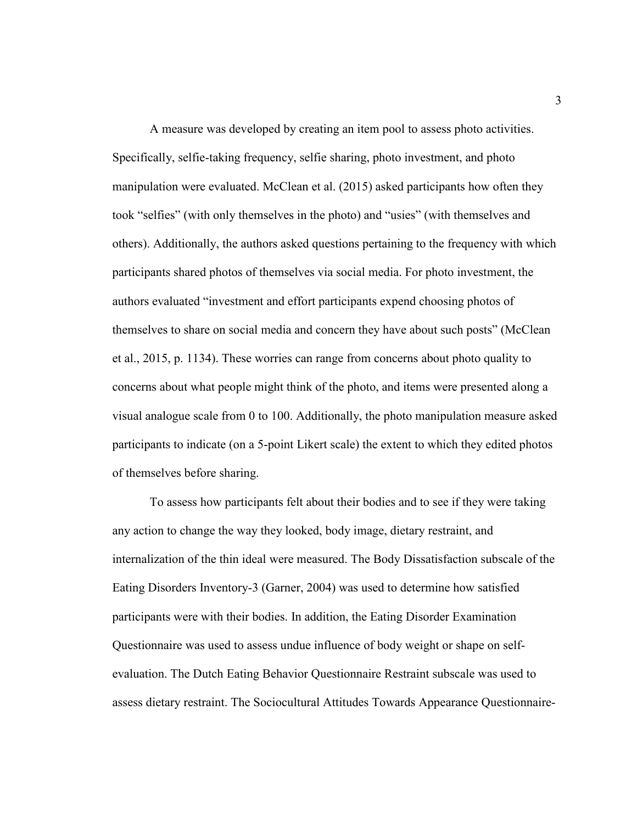A measure was developed by creating an item pool to assess photo activities. Specifically, selfie-taking frequency, selfie sharing, photo investment, and photo manipulation were evaluated. McClean et al. (2015) asked participants how often they took "selfies" (with only themselves in the photo) and "usies" (with themselves and others). Additionally, the authors asked questions pertaining to the frequency with which participants shared photos of themselves via social media. For photo investment, the authors evaluated "investment and effort participants expend choosing photos of themselves to share on social media and concern they have about such posts" (McClean et al., 2015, p. 1134). These worries can range from concerns about photo quality to concerns about what people might think of the photo, and items were presented along a visual analogue scale from 0 to 100. Additionally, the photo manipulation measure asked participants to indicate (on a 5-point Likert scale) the extent to which they edited photos of themselves before sharing.

 To assess how participants felt about their bodies and to see if they were taking any action to change the way they looked, body image, dietary restraint, and internalization of the thin ideal were measured. The Body Dissatisfaction subscale of the Eating Disorders Inventory-3 (Garner, 2004) was used to determine how satisfied participants were with their bodies. In addition, the Eating Disorder Examination Questionnaire was used to assess undue influence of body weight or shape on selfevaluation. The Dutch Eating Behavior Questionnaire Restraint subscale was used to assess dietary restraint. The Sociocultural Attitudes Towards Appearance Questionnaire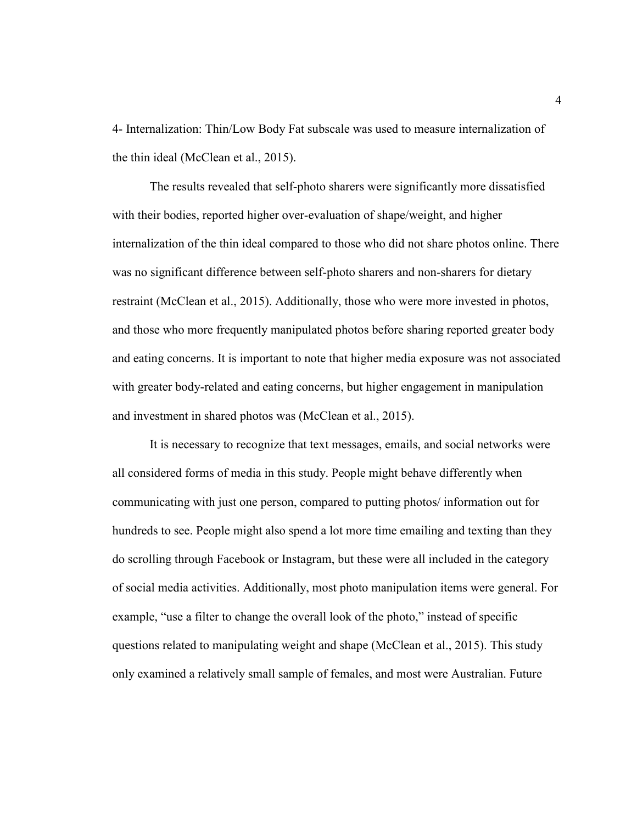4- Internalization: Thin/Low Body Fat subscale was used to measure internalization of the thin ideal (McClean et al., 2015).

 The results revealed that self-photo sharers were significantly more dissatisfied with their bodies, reported higher over-evaluation of shape/weight, and higher internalization of the thin ideal compared to those who did not share photos online. There was no significant difference between self-photo sharers and non-sharers for dietary restraint (McClean et al., 2015). Additionally, those who were more invested in photos, and those who more frequently manipulated photos before sharing reported greater body and eating concerns. It is important to note that higher media exposure was not associated with greater body-related and eating concerns, but higher engagement in manipulation and investment in shared photos was (McClean et al., 2015).

 It is necessary to recognize that text messages, emails, and social networks were all considered forms of media in this study. People might behave differently when communicating with just one person, compared to putting photos/ information out for hundreds to see. People might also spend a lot more time emailing and texting than they do scrolling through Facebook or Instagram, but these were all included in the category of social media activities. Additionally, most photo manipulation items were general. For example, "use a filter to change the overall look of the photo," instead of specific questions related to manipulating weight and shape (McClean et al., 2015). This study only examined a relatively small sample of females, and most were Australian. Future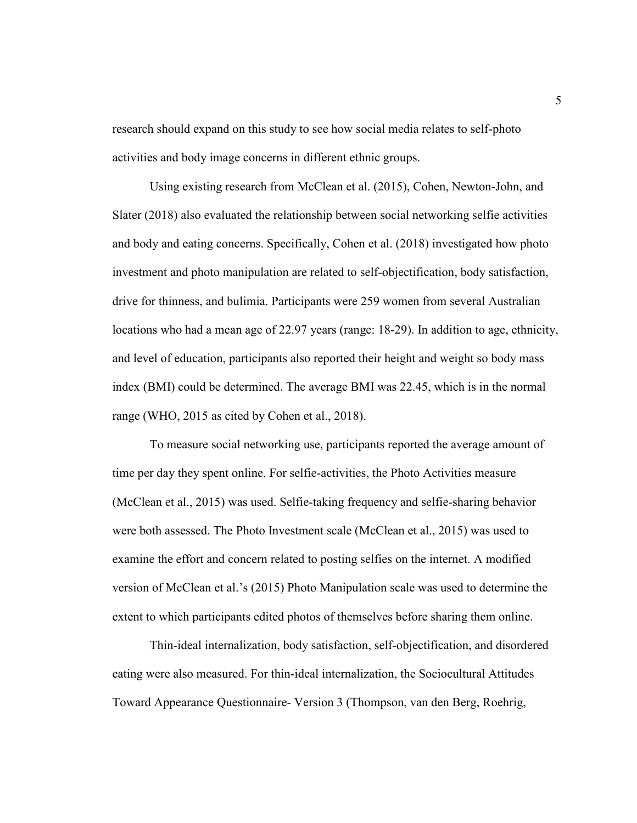research should expand on this study to see how social media relates to self-photo activities and body image concerns in different ethnic groups.

Using existing research from McClean et al. (2015), Cohen, Newton-John, and Slater (2018) also evaluated the relationship between social networking selfie activities and body and eating concerns. Specifically, Cohen et al. (2018) investigated how photo investment and photo manipulation are related to self-objectification, body satisfaction, drive for thinness, and bulimia. Participants were 259 women from several Australian locations who had a mean age of 22.97 years (range: 18-29). In addition to age, ethnicity, and level of education, participants also reported their height and weight so body mass index (BMI) could be determined. The average BMI was 22.45, which is in the normal range (WHO, 2015 as cited by Cohen et al., 2018).

 To measure social networking use, participants reported the average amount of time per day they spent online. For selfie-activities, the Photo Activities measure (McClean et al., 2015) was used. Selfie-taking frequency and selfie-sharing behavior were both assessed. The Photo Investment scale (McClean et al., 2015) was used to examine the effort and concern related to posting selfies on the internet. A modified version of McClean et al.'s (2015) Photo Manipulation scale was used to determine the extent to which participants edited photos of themselves before sharing them online.

 Thin-ideal internalization, body satisfaction, self-objectification, and disordered eating were also measured. For thin-ideal internalization, the Sociocultural Attitudes Toward Appearance Questionnaire- Version 3 (Thompson, van den Berg, Roehrig,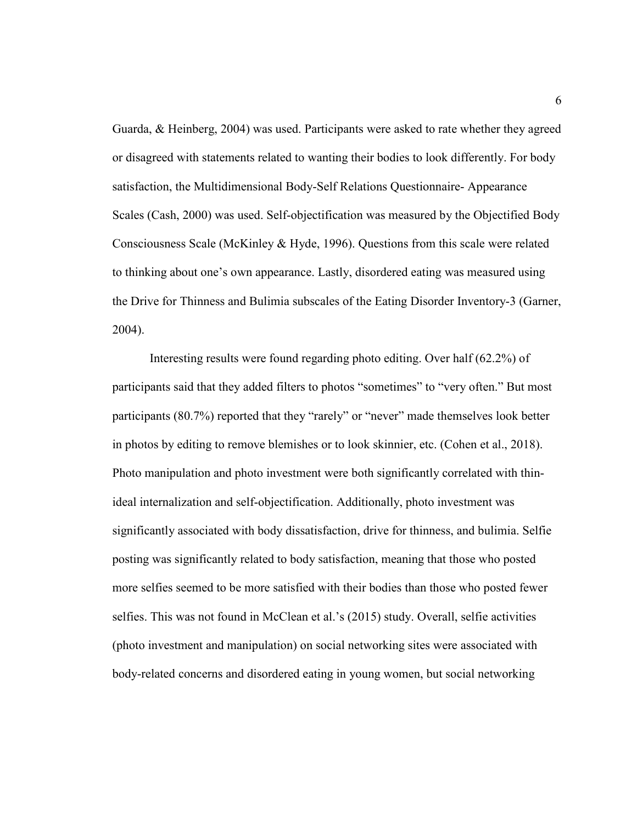Guarda, & Heinberg, 2004) was used. Participants were asked to rate whether they agreed or disagreed with statements related to wanting their bodies to look differently. For body satisfaction, the Multidimensional Body-Self Relations Questionnaire- Appearance Scales (Cash, 2000) was used. Self-objectification was measured by the Objectified Body Consciousness Scale (McKinley & Hyde, 1996). Questions from this scale were related to thinking about one's own appearance. Lastly, disordered eating was measured using the Drive for Thinness and Bulimia subscales of the Eating Disorder Inventory-3 (Garner, 2004).

 Interesting results were found regarding photo editing. Over half (62.2%) of participants said that they added filters to photos "sometimes" to "very often." But most participants (80.7%) reported that they "rarely" or "never" made themselves look better in photos by editing to remove blemishes or to look skinnier, etc. (Cohen et al., 2018). Photo manipulation and photo investment were both significantly correlated with thinideal internalization and self-objectification. Additionally, photo investment was significantly associated with body dissatisfaction, drive for thinness, and bulimia. Selfie posting was significantly related to body satisfaction, meaning that those who posted more selfies seemed to be more satisfied with their bodies than those who posted fewer selfies. This was not found in McClean et al.'s (2015) study. Overall, selfie activities (photo investment and manipulation) on social networking sites were associated with body-related concerns and disordered eating in young women, but social networking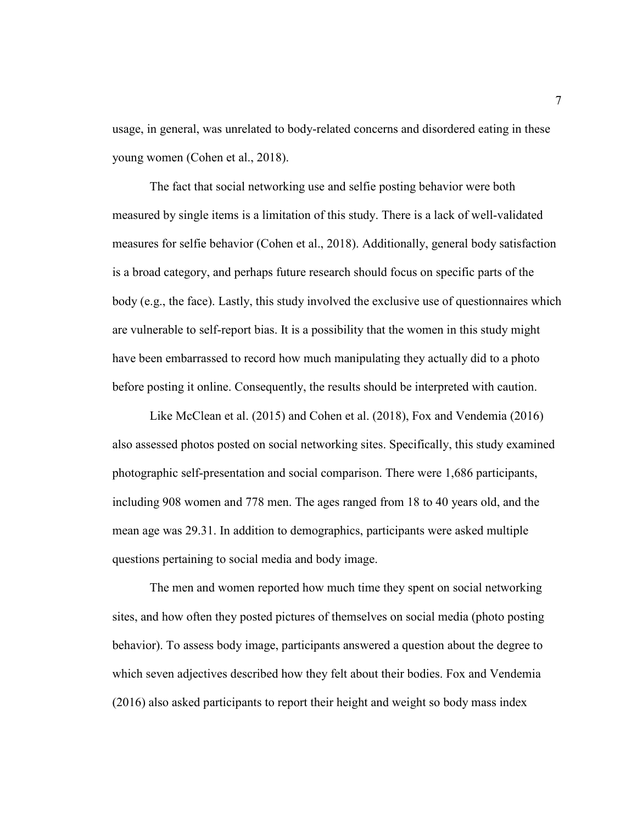usage, in general, was unrelated to body-related concerns and disordered eating in these young women (Cohen et al., 2018).

 The fact that social networking use and selfie posting behavior were both measured by single items is a limitation of this study. There is a lack of well-validated measures for selfie behavior (Cohen et al., 2018). Additionally, general body satisfaction is a broad category, and perhaps future research should focus on specific parts of the body (e.g., the face). Lastly, this study involved the exclusive use of questionnaires which are vulnerable to self-report bias. It is a possibility that the women in this study might have been embarrassed to record how much manipulating they actually did to a photo before posting it online. Consequently, the results should be interpreted with caution.

 Like McClean et al. (2015) and Cohen et al. (2018), Fox and Vendemia (2016) also assessed photos posted on social networking sites. Specifically, this study examined photographic self-presentation and social comparison. There were 1,686 participants, including 908 women and 778 men. The ages ranged from 18 to 40 years old, and the mean age was 29.31. In addition to demographics, participants were asked multiple questions pertaining to social media and body image.

The men and women reported how much time they spent on social networking sites, and how often they posted pictures of themselves on social media (photo posting behavior). To assess body image, participants answered a question about the degree to which seven adjectives described how they felt about their bodies. Fox and Vendemia (2016) also asked participants to report their height and weight so body mass index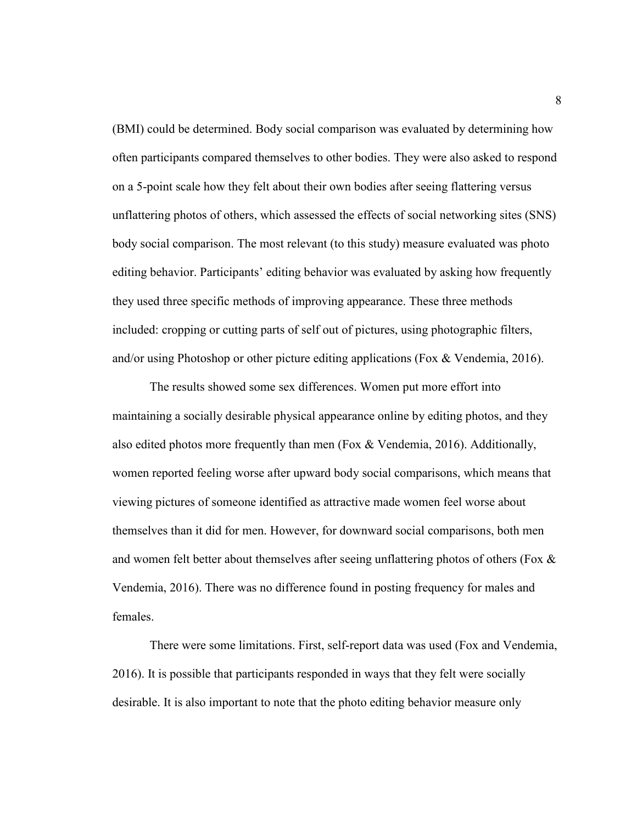(BMI) could be determined. Body social comparison was evaluated by determining how often participants compared themselves to other bodies. They were also asked to respond on a 5-point scale how they felt about their own bodies after seeing flattering versus unflattering photos of others, which assessed the effects of social networking sites (SNS) body social comparison. The most relevant (to this study) measure evaluated was photo editing behavior. Participants' editing behavior was evaluated by asking how frequently they used three specific methods of improving appearance. These three methods included: cropping or cutting parts of self out of pictures, using photographic filters, and/or using Photoshop or other picture editing applications (Fox & Vendemia, 2016).

 The results showed some sex differences. Women put more effort into maintaining a socially desirable physical appearance online by editing photos, and they also edited photos more frequently than men (Fox & Vendemia, 2016). Additionally, women reported feeling worse after upward body social comparisons, which means that viewing pictures of someone identified as attractive made women feel worse about themselves than it did for men. However, for downward social comparisons, both men and women felt better about themselves after seeing unflattering photos of others (Fox & Vendemia, 2016). There was no difference found in posting frequency for males and females.

 There were some limitations. First, self-report data was used (Fox and Vendemia, 2016). It is possible that participants responded in ways that they felt were socially desirable. It is also important to note that the photo editing behavior measure only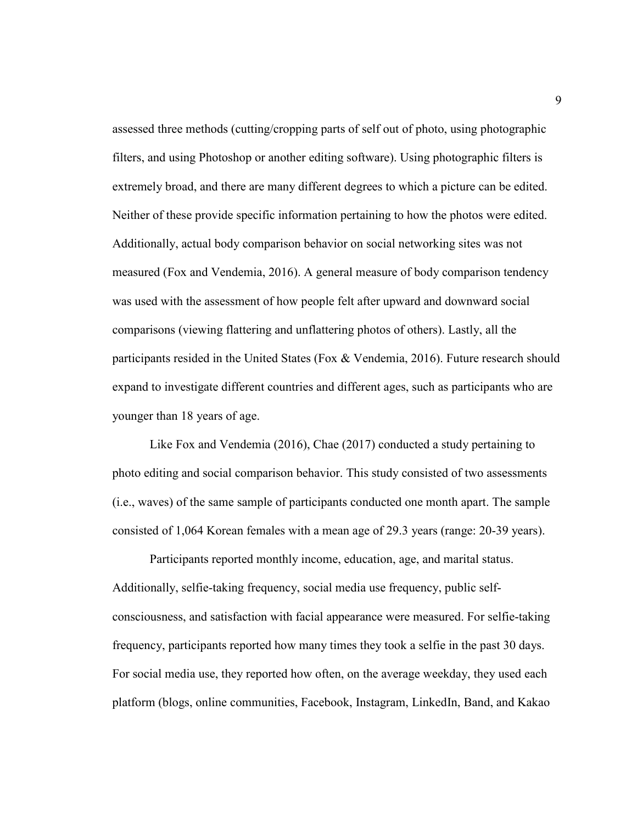assessed three methods (cutting/cropping parts of self out of photo, using photographic filters, and using Photoshop or another editing software). Using photographic filters is extremely broad, and there are many different degrees to which a picture can be edited. Neither of these provide specific information pertaining to how the photos were edited. Additionally, actual body comparison behavior on social networking sites was not measured (Fox and Vendemia, 2016). A general measure of body comparison tendency was used with the assessment of how people felt after upward and downward social comparisons (viewing flattering and unflattering photos of others). Lastly, all the participants resided in the United States (Fox & Vendemia, 2016). Future research should expand to investigate different countries and different ages, such as participants who are younger than 18 years of age.

 Like Fox and Vendemia (2016), Chae (2017) conducted a study pertaining to photo editing and social comparison behavior. This study consisted of two assessments (i.e., waves) of the same sample of participants conducted one month apart. The sample consisted of 1,064 Korean females with a mean age of 29.3 years (range: 20-39 years).

 Participants reported monthly income, education, age, and marital status. Additionally, selfie-taking frequency, social media use frequency, public selfconsciousness, and satisfaction with facial appearance were measured. For selfie-taking frequency, participants reported how many times they took a selfie in the past 30 days. For social media use, they reported how often, on the average weekday, they used each platform (blogs, online communities, Facebook, Instagram, LinkedIn, Band, and Kakao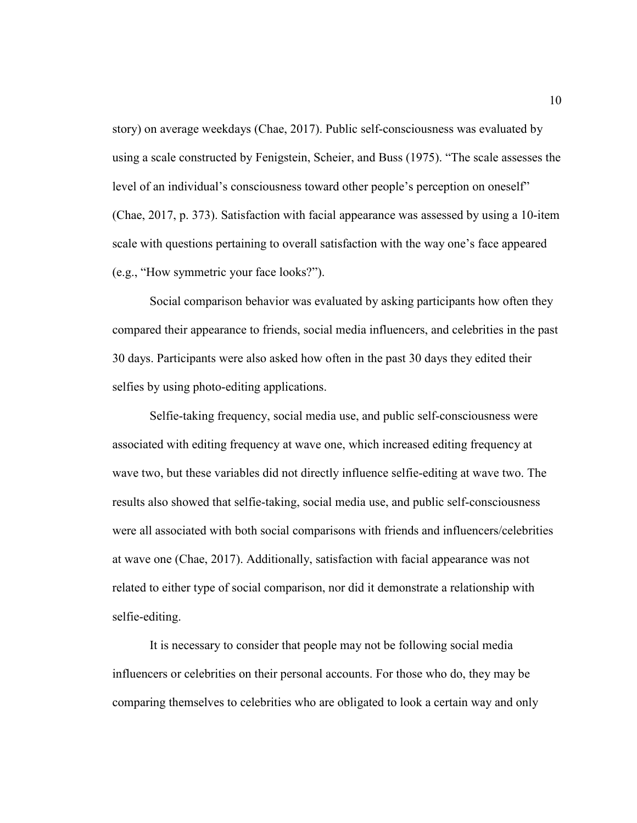story) on average weekdays (Chae, 2017). Public self-consciousness was evaluated by using a scale constructed by Fenigstein, Scheier, and Buss (1975). "The scale assesses the level of an individual's consciousness toward other people's perception on oneself" (Chae, 2017, p. 373). Satisfaction with facial appearance was assessed by using a 10-item scale with questions pertaining to overall satisfaction with the way one's face appeared (e.g., "How symmetric your face looks?").

 Social comparison behavior was evaluated by asking participants how often they compared their appearance to friends, social media influencers, and celebrities in the past 30 days. Participants were also asked how often in the past 30 days they edited their selfies by using photo-editing applications.

 Selfie-taking frequency, social media use, and public self-consciousness were associated with editing frequency at wave one, which increased editing frequency at wave two, but these variables did not directly influence selfie-editing at wave two. The results also showed that selfie-taking, social media use, and public self-consciousness were all associated with both social comparisons with friends and influencers/celebrities at wave one (Chae, 2017). Additionally, satisfaction with facial appearance was not related to either type of social comparison, nor did it demonstrate a relationship with selfie-editing.

It is necessary to consider that people may not be following social media influencers or celebrities on their personal accounts. For those who do, they may be comparing themselves to celebrities who are obligated to look a certain way and only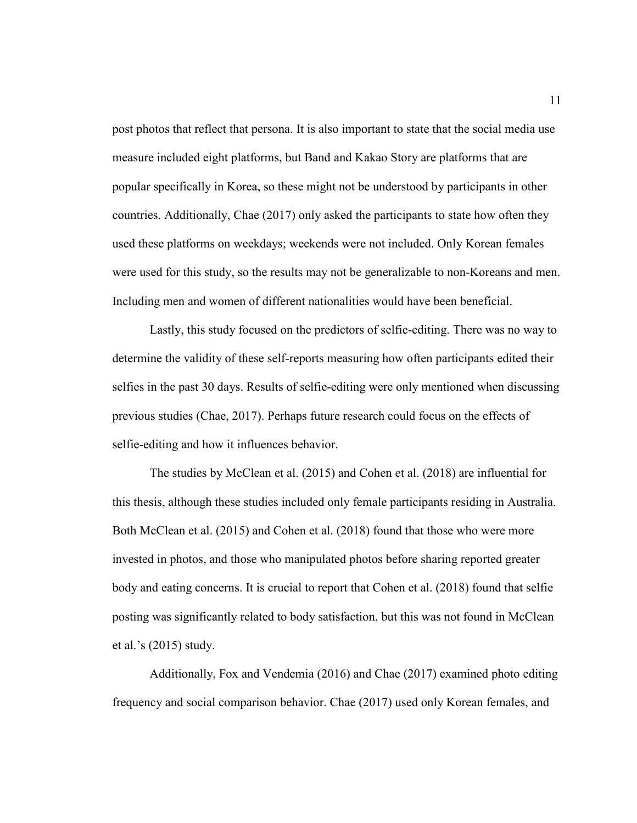post photos that reflect that persona. It is also important to state that the social media use measure included eight platforms, but Band and Kakao Story are platforms that are popular specifically in Korea, so these might not be understood by participants in other countries. Additionally, Chae (2017) only asked the participants to state how often they used these platforms on weekdays; weekends were not included. Only Korean females were used for this study, so the results may not be generalizable to non-Koreans and men. Including men and women of different nationalities would have been beneficial.

Lastly, this study focused on the predictors of selfie-editing. There was no way to determine the validity of these self-reports measuring how often participants edited their selfies in the past 30 days. Results of selfie-editing were only mentioned when discussing previous studies (Chae, 2017). Perhaps future research could focus on the effects of selfie-editing and how it influences behavior.

The studies by McClean et al. (2015) and Cohen et al. (2018) are influential for this thesis, although these studies included only female participants residing in Australia. Both McClean et al. (2015) and Cohen et al. (2018) found that those who were more invested in photos, and those who manipulated photos before sharing reported greater body and eating concerns. It is crucial to report that Cohen et al. (2018) found that selfie posting was significantly related to body satisfaction, but this was not found in McClean et al.'s (2015) study.

Additionally, Fox and Vendemia (2016) and Chae (2017) examined photo editing frequency and social comparison behavior. Chae (2017) used only Korean females, and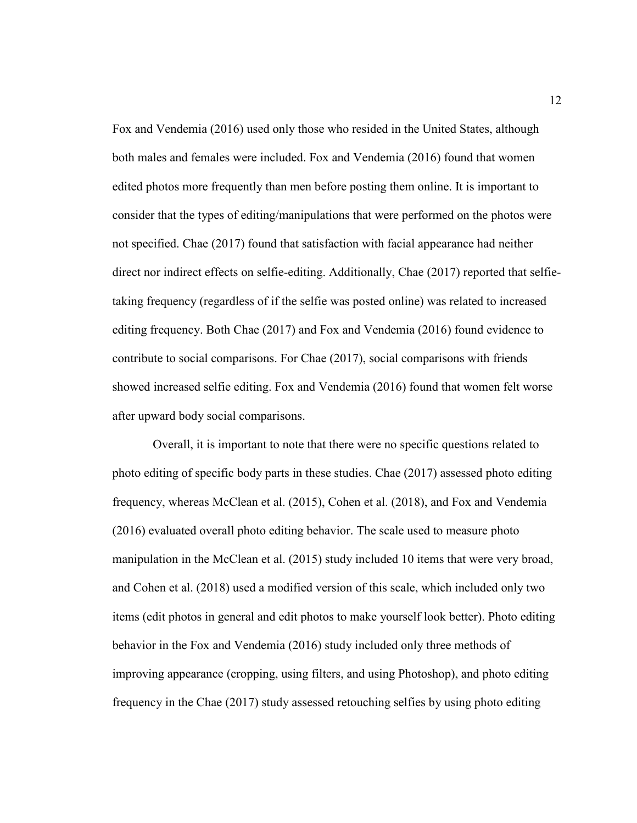Fox and Vendemia (2016) used only those who resided in the United States, although both males and females were included. Fox and Vendemia (2016) found that women edited photos more frequently than men before posting them online. It is important to consider that the types of editing/manipulations that were performed on the photos were not specified. Chae (2017) found that satisfaction with facial appearance had neither direct nor indirect effects on selfie-editing. Additionally, Chae (2017) reported that selfietaking frequency (regardless of if the selfie was posted online) was related to increased editing frequency. Both Chae (2017) and Fox and Vendemia (2016) found evidence to contribute to social comparisons. For Chae (2017), social comparisons with friends showed increased selfie editing. Fox and Vendemia (2016) found that women felt worse after upward body social comparisons.

 Overall, it is important to note that there were no specific questions related to photo editing of specific body parts in these studies. Chae (2017) assessed photo editing frequency, whereas McClean et al. (2015), Cohen et al. (2018), and Fox and Vendemia (2016) evaluated overall photo editing behavior. The scale used to measure photo manipulation in the McClean et al. (2015) study included 10 items that were very broad, and Cohen et al. (2018) used a modified version of this scale, which included only two items (edit photos in general and edit photos to make yourself look better). Photo editing behavior in the Fox and Vendemia (2016) study included only three methods of improving appearance (cropping, using filters, and using Photoshop), and photo editing frequency in the Chae (2017) study assessed retouching selfies by using photo editing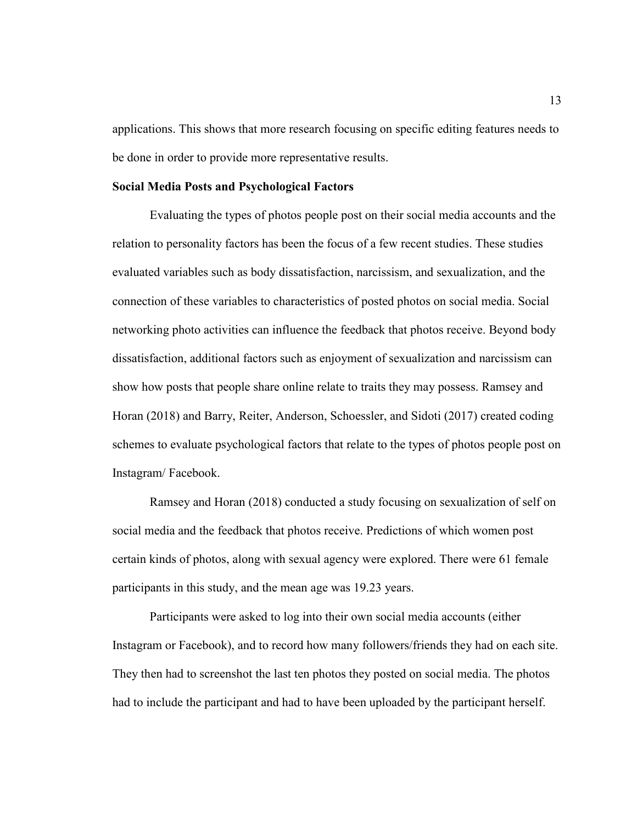applications. This shows that more research focusing on specific editing features needs to be done in order to provide more representative results.

#### **Social Media Posts and Psychological Factors**

 Evaluating the types of photos people post on their social media accounts and the relation to personality factors has been the focus of a few recent studies. These studies evaluated variables such as body dissatisfaction, narcissism, and sexualization, and the connection of these variables to characteristics of posted photos on social media. Social networking photo activities can influence the feedback that photos receive. Beyond body dissatisfaction, additional factors such as enjoyment of sexualization and narcissism can show how posts that people share online relate to traits they may possess. Ramsey and Horan (2018) and Barry, Reiter, Anderson, Schoessler, and Sidoti (2017) created coding schemes to evaluate psychological factors that relate to the types of photos people post on Instagram/ Facebook.

Ramsey and Horan (2018) conducted a study focusing on sexualization of self on social media and the feedback that photos receive. Predictions of which women post certain kinds of photos, along with sexual agency were explored. There were 61 female participants in this study, and the mean age was 19.23 years.

 Participants were asked to log into their own social media accounts (either Instagram or Facebook), and to record how many followers/friends they had on each site. They then had to screenshot the last ten photos they posted on social media. The photos had to include the participant and had to have been uploaded by the participant herself.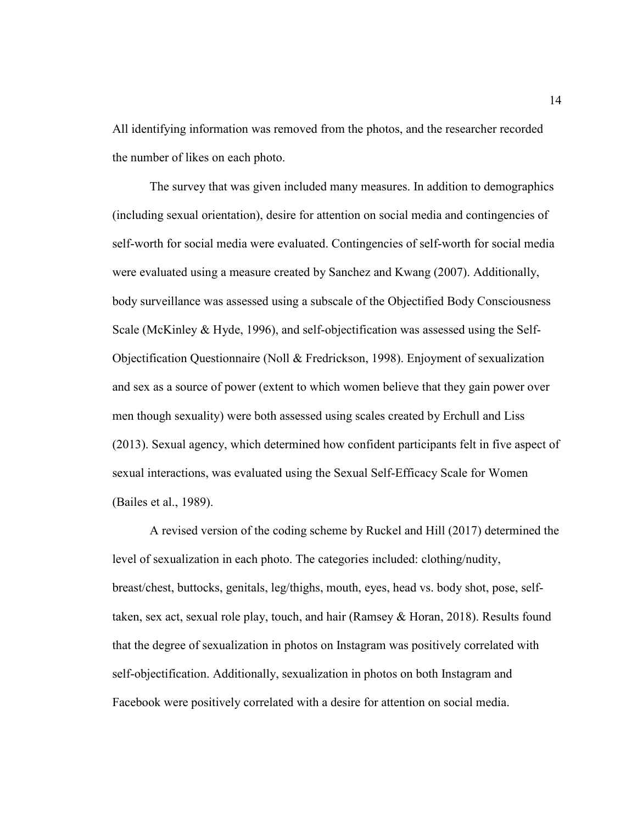All identifying information was removed from the photos, and the researcher recorded the number of likes on each photo.

 The survey that was given included many measures. In addition to demographics (including sexual orientation), desire for attention on social media and contingencies of self-worth for social media were evaluated. Contingencies of self-worth for social media were evaluated using a measure created by Sanchez and Kwang (2007). Additionally, body surveillance was assessed using a subscale of the Objectified Body Consciousness Scale (McKinley & Hyde, 1996), and self-objectification was assessed using the Self-Objectification Questionnaire (Noll & Fredrickson, 1998). Enjoyment of sexualization and sex as a source of power (extent to which women believe that they gain power over men though sexuality) were both assessed using scales created by Erchull and Liss (2013). Sexual agency, which determined how confident participants felt in five aspect of sexual interactions, was evaluated using the Sexual Self-Efficacy Scale for Women (Bailes et al., 1989).

 A revised version of the coding scheme by Ruckel and Hill (2017) determined the level of sexualization in each photo. The categories included: clothing/nudity, breast/chest, buttocks, genitals, leg/thighs, mouth, eyes, head vs. body shot, pose, selftaken, sex act, sexual role play, touch, and hair (Ramsey & Horan, 2018). Results found that the degree of sexualization in photos on Instagram was positively correlated with self-objectification. Additionally, sexualization in photos on both Instagram and Facebook were positively correlated with a desire for attention on social media.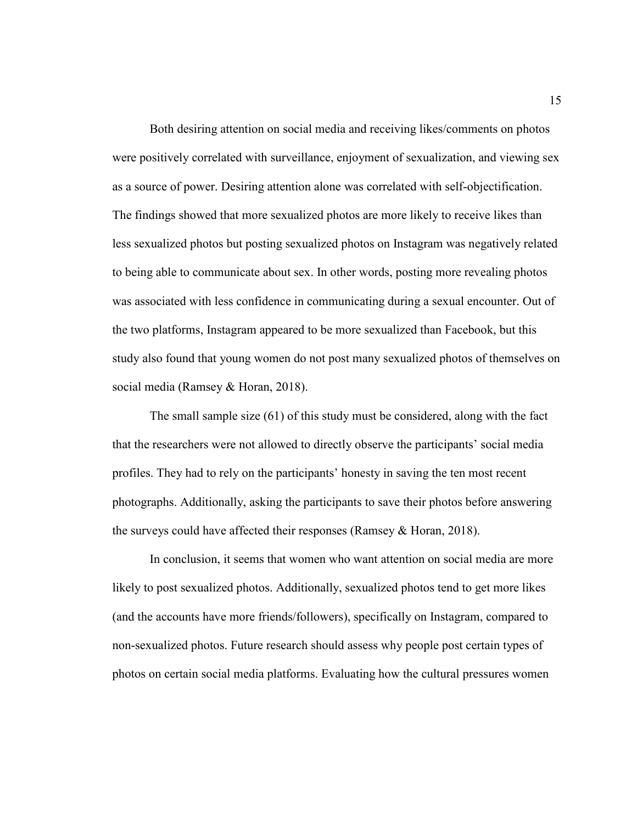Both desiring attention on social media and receiving likes/comments on photos were positively correlated with surveillance, enjoyment of sexualization, and viewing sex as a source of power. Desiring attention alone was correlated with self-objectification. The findings showed that more sexualized photos are more likely to receive likes than less sexualized photos but posting sexualized photos on Instagram was negatively related to being able to communicate about sex. In other words, posting more revealing photos was associated with less confidence in communicating during a sexual encounter. Out of the two platforms, Instagram appeared to be more sexualized than Facebook, but this study also found that young women do not post many sexualized photos of themselves on social media (Ramsey & Horan, 2018).

 The small sample size (61) of this study must be considered, along with the fact that the researchers were not allowed to directly observe the participants' social media profiles. They had to rely on the participants' honesty in saving the ten most recent photographs. Additionally, asking the participants to save their photos before answering the surveys could have affected their responses (Ramsey & Horan, 2018).

 In conclusion, it seems that women who want attention on social media are more likely to post sexualized photos. Additionally, sexualized photos tend to get more likes (and the accounts have more friends/followers), specifically on Instagram, compared to non-sexualized photos. Future research should assess why people post certain types of photos on certain social media platforms. Evaluating how the cultural pressures women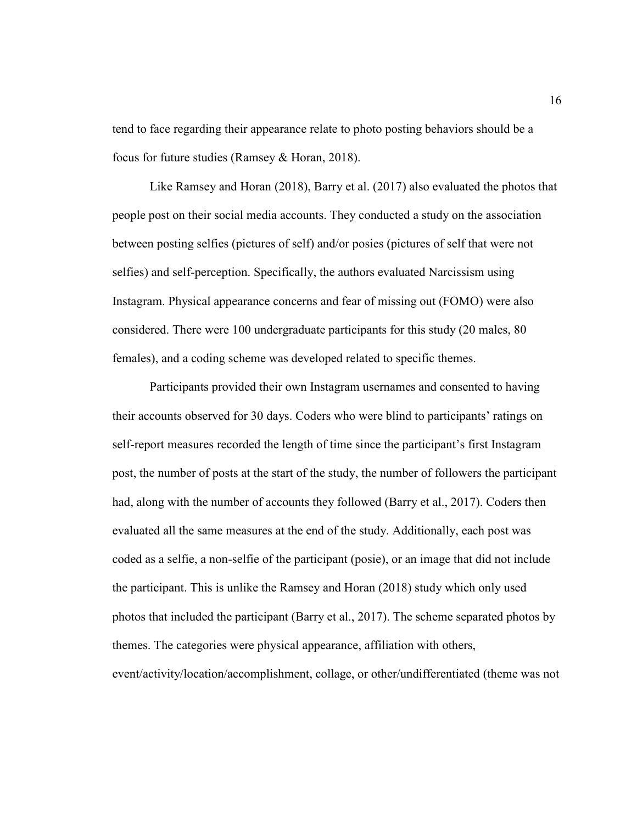tend to face regarding their appearance relate to photo posting behaviors should be a focus for future studies (Ramsey & Horan, 2018).

 Like Ramsey and Horan (2018), Barry et al. (2017) also evaluated the photos that people post on their social media accounts. They conducted a study on the association between posting selfies (pictures of self) and/or posies (pictures of self that were not selfies) and self-perception. Specifically, the authors evaluated Narcissism using Instagram. Physical appearance concerns and fear of missing out (FOMO) were also considered. There were 100 undergraduate participants for this study (20 males, 80 females), and a coding scheme was developed related to specific themes.

 Participants provided their own Instagram usernames and consented to having their accounts observed for 30 days. Coders who were blind to participants' ratings on self-report measures recorded the length of time since the participant's first Instagram post, the number of posts at the start of the study, the number of followers the participant had, along with the number of accounts they followed (Barry et al., 2017). Coders then evaluated all the same measures at the end of the study. Additionally, each post was coded as a selfie, a non-selfie of the participant (posie), or an image that did not include the participant. This is unlike the Ramsey and Horan (2018) study which only used photos that included the participant (Barry et al., 2017). The scheme separated photos by themes. The categories were physical appearance, affiliation with others, event/activity/location/accomplishment, collage, or other/undifferentiated (theme was not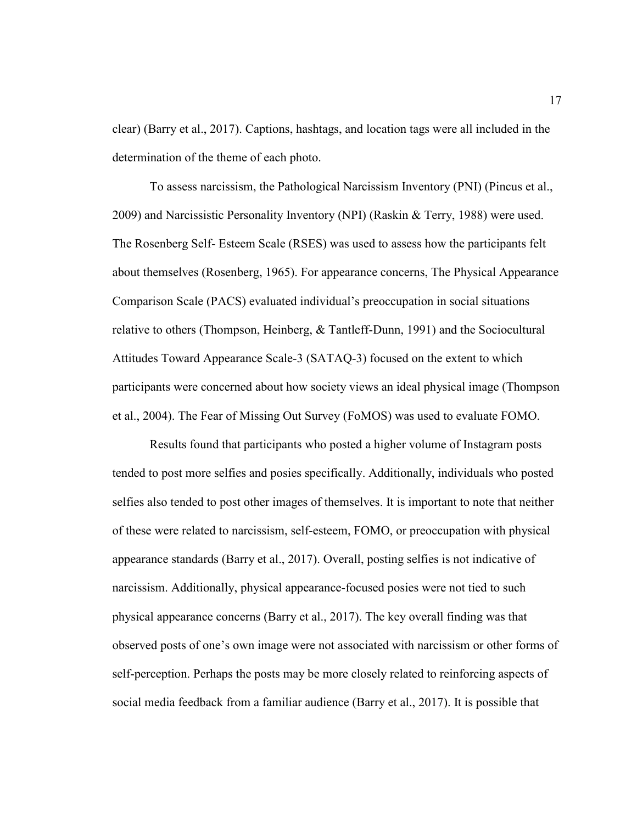clear) (Barry et al., 2017). Captions, hashtags, and location tags were all included in the determination of the theme of each photo.

 To assess narcissism, the Pathological Narcissism Inventory (PNI) (Pincus et al., 2009) and Narcissistic Personality Inventory (NPI) (Raskin & Terry, 1988) were used. The Rosenberg Self- Esteem Scale (RSES) was used to assess how the participants felt about themselves (Rosenberg, 1965). For appearance concerns, The Physical Appearance Comparison Scale (PACS) evaluated individual's preoccupation in social situations relative to others (Thompson, Heinberg, & Tantleff-Dunn, 1991) and the Sociocultural Attitudes Toward Appearance Scale-3 (SATAQ-3) focused on the extent to which participants were concerned about how society views an ideal physical image (Thompson et al., 2004). The Fear of Missing Out Survey (FoMOS) was used to evaluate FOMO.

 Results found that participants who posted a higher volume of Instagram posts tended to post more selfies and posies specifically. Additionally, individuals who posted selfies also tended to post other images of themselves. It is important to note that neither of these were related to narcissism, self-esteem, FOMO, or preoccupation with physical appearance standards (Barry et al., 2017). Overall, posting selfies is not indicative of narcissism. Additionally, physical appearance-focused posies were not tied to such physical appearance concerns (Barry et al., 2017). The key overall finding was that observed posts of one's own image were not associated with narcissism or other forms of self-perception. Perhaps the posts may be more closely related to reinforcing aspects of social media feedback from a familiar audience (Barry et al., 2017). It is possible that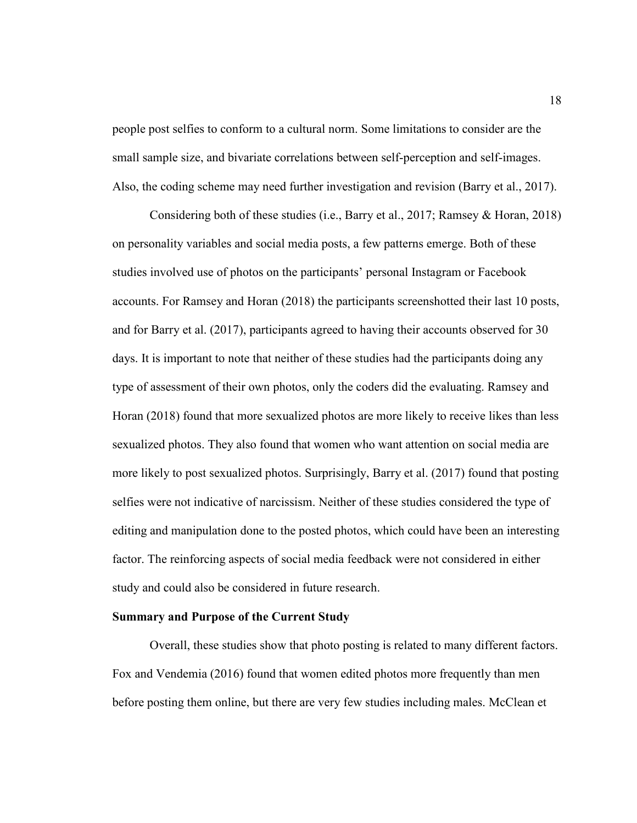people post selfies to conform to a cultural norm. Some limitations to consider are the small sample size, and bivariate correlations between self-perception and self-images. Also, the coding scheme may need further investigation and revision (Barry et al., 2017).

 Considering both of these studies (i.e., Barry et al., 2017; Ramsey & Horan, 2018) on personality variables and social media posts, a few patterns emerge. Both of these studies involved use of photos on the participants' personal Instagram or Facebook accounts. For Ramsey and Horan (2018) the participants screenshotted their last 10 posts, and for Barry et al. (2017), participants agreed to having their accounts observed for 30 days. It is important to note that neither of these studies had the participants doing any type of assessment of their own photos, only the coders did the evaluating. Ramsey and Horan (2018) found that more sexualized photos are more likely to receive likes than less sexualized photos. They also found that women who want attention on social media are more likely to post sexualized photos. Surprisingly, Barry et al. (2017) found that posting selfies were not indicative of narcissism. Neither of these studies considered the type of editing and manipulation done to the posted photos, which could have been an interesting factor. The reinforcing aspects of social media feedback were not considered in either study and could also be considered in future research.

### **Summary and Purpose of the Current Study**

 Overall, these studies show that photo posting is related to many different factors. Fox and Vendemia (2016) found that women edited photos more frequently than men before posting them online, but there are very few studies including males. McClean et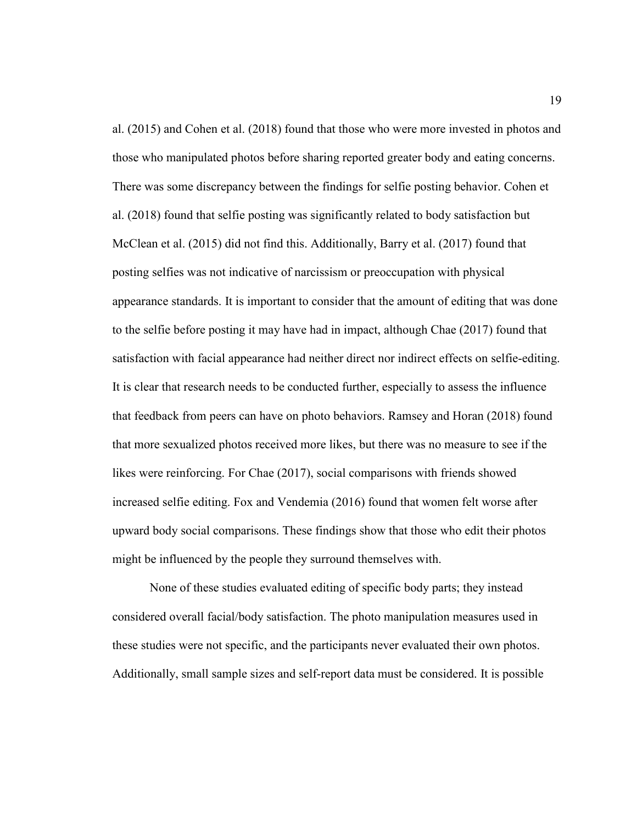al. (2015) and Cohen et al. (2018) found that those who were more invested in photos and those who manipulated photos before sharing reported greater body and eating concerns. There was some discrepancy between the findings for selfie posting behavior. Cohen et al. (2018) found that selfie posting was significantly related to body satisfaction but McClean et al. (2015) did not find this. Additionally, Barry et al. (2017) found that posting selfies was not indicative of narcissism or preoccupation with physical appearance standards. It is important to consider that the amount of editing that was done to the selfie before posting it may have had in impact, although Chae (2017) found that satisfaction with facial appearance had neither direct nor indirect effects on selfie-editing. It is clear that research needs to be conducted further, especially to assess the influence that feedback from peers can have on photo behaviors. Ramsey and Horan (2018) found that more sexualized photos received more likes, but there was no measure to see if the likes were reinforcing. For Chae (2017), social comparisons with friends showed increased selfie editing. Fox and Vendemia (2016) found that women felt worse after upward body social comparisons. These findings show that those who edit their photos might be influenced by the people they surround themselves with.

 None of these studies evaluated editing of specific body parts; they instead considered overall facial/body satisfaction. The photo manipulation measures used in these studies were not specific, and the participants never evaluated their own photos. Additionally, small sample sizes and self-report data must be considered. It is possible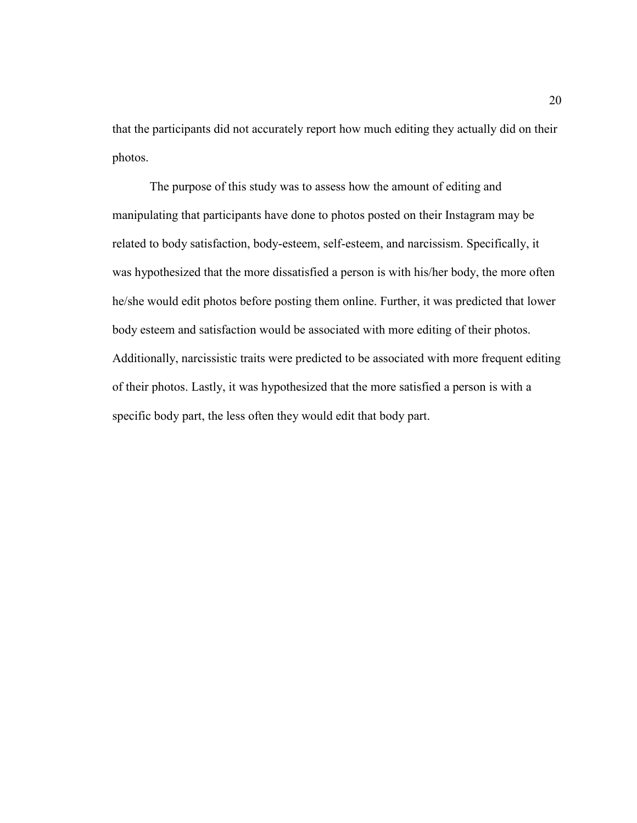that the participants did not accurately report how much editing they actually did on their photos.

The purpose of this study was to assess how the amount of editing and manipulating that participants have done to photos posted on their Instagram may be related to body satisfaction, body-esteem, self-esteem, and narcissism. Specifically, it was hypothesized that the more dissatisfied a person is with his/her body, the more often he/she would edit photos before posting them online. Further, it was predicted that lower body esteem and satisfaction would be associated with more editing of their photos. Additionally, narcissistic traits were predicted to be associated with more frequent editing of their photos. Lastly, it was hypothesized that the more satisfied a person is with a specific body part, the less often they would edit that body part.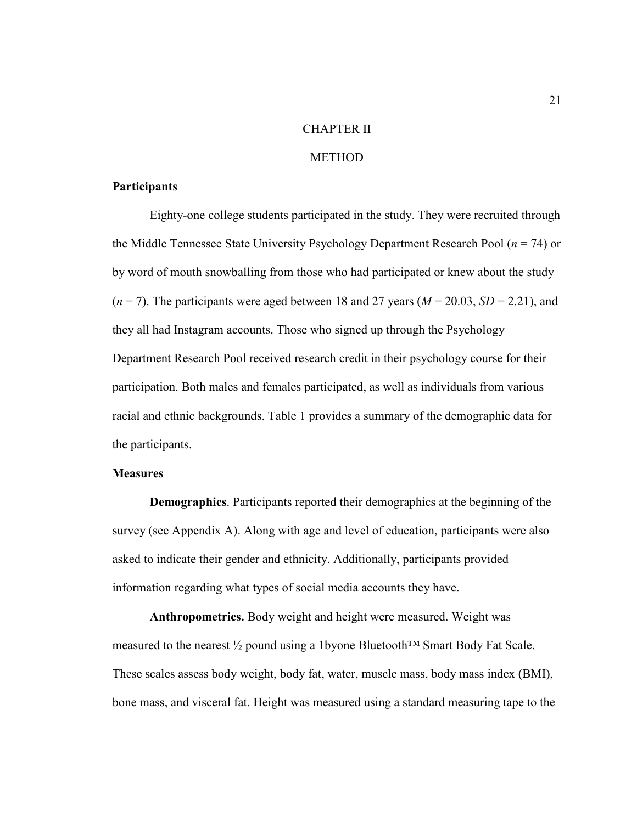#### CHAPTER II

#### METHOD

#### **Participants**

 Eighty-one college students participated in the study. They were recruited through the Middle Tennessee State University Psychology Department Research Pool (*n* = 74) or by word of mouth snowballing from those who had participated or knew about the study  $(n = 7)$ . The participants were aged between 18 and 27 years  $(M = 20.03, SD = 2.21)$ , and they all had Instagram accounts. Those who signed up through the Psychology Department Research Pool received research credit in their psychology course for their participation. Both males and females participated, as well as individuals from various racial and ethnic backgrounds. Table 1 provides a summary of the demographic data for the participants.

### **Measures**

**Demographics**. Participants reported their demographics at the beginning of the survey (see Appendix A). Along with age and level of education, participants were also asked to indicate their gender and ethnicity. Additionally, participants provided information regarding what types of social media accounts they have.

**Anthropometrics.** Body weight and height were measured. Weight was measured to the nearest ½ pound using a 1byone Bluetooth™ Smart Body Fat Scale. These scales assess body weight, body fat, water, muscle mass, body mass index (BMI), bone mass, and visceral fat. Height was measured using a standard measuring tape to the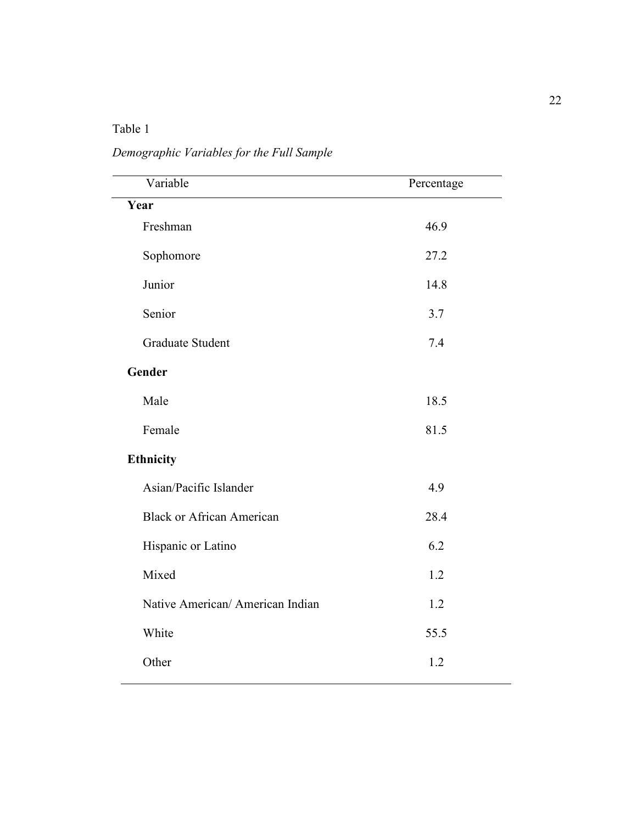# Table 1

*Demographic Variables for the Full Sample* 

| Variable                         | Percentage |
|----------------------------------|------------|
| Year                             |            |
| Freshman                         | 46.9       |
| Sophomore                        | 27.2       |
| Junior                           | 14.8       |
| Senior                           | 3.7        |
| <b>Graduate Student</b>          | 7.4        |
| Gender                           |            |
| Male                             | 18.5       |
| Female                           | 81.5       |
| Ethnicity                        |            |
| Asian/Pacific Islander           | 4.9        |
| <b>Black or African American</b> | 28.4       |
| Hispanic or Latino               | 6.2        |
| Mixed                            | 1.2        |
| Native American/ American Indian | 1.2        |
| White                            | 55.5       |
| Other                            | 1.2        |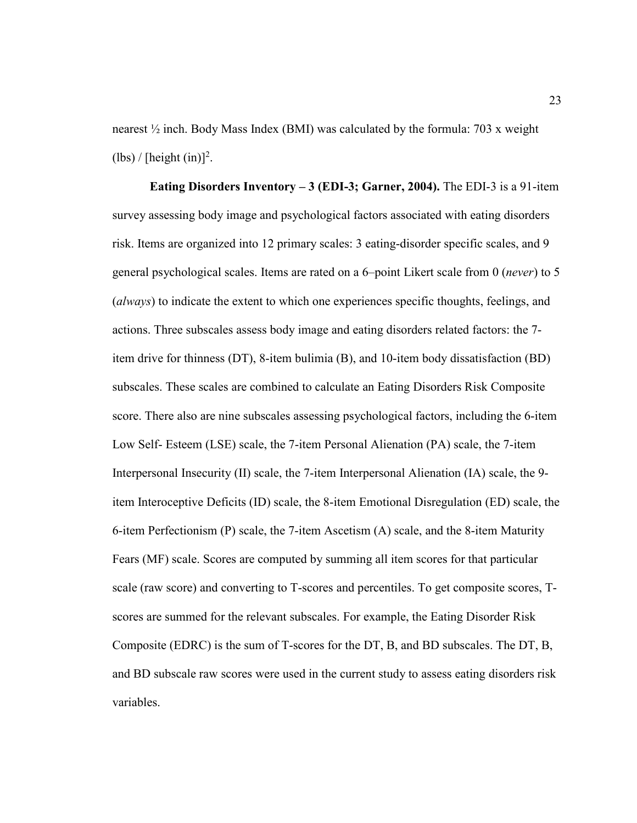nearest  $\frac{1}{2}$  inch. Body Mass Index (BMI) was calculated by the formula: 703 x weight  $(lbs) / [height (in)]<sup>2</sup>$ .

**Eating Disorders Inventory – 3 (EDI-3; Garner, 2004).** The EDI-3 is a 91-item survey assessing body image and psychological factors associated with eating disorders risk. Items are organized into 12 primary scales: 3 eating-disorder specific scales, and 9 general psychological scales. Items are rated on a 6–point Likert scale from 0 (*never*) to 5 (*always*) to indicate the extent to which one experiences specific thoughts, feelings, and actions. Three subscales assess body image and eating disorders related factors: the 7 item drive for thinness (DT), 8-item bulimia (B), and 10-item body dissatisfaction (BD) subscales. These scales are combined to calculate an Eating Disorders Risk Composite score. There also are nine subscales assessing psychological factors, including the 6-item Low Self- Esteem (LSE) scale, the 7-item Personal Alienation (PA) scale, the 7-item Interpersonal Insecurity (II) scale, the 7-item Interpersonal Alienation (IA) scale, the 9 item Interoceptive Deficits (ID) scale, the 8-item Emotional Disregulation (ED) scale, the 6-item Perfectionism (P) scale, the 7-item Ascetism (A) scale, and the 8-item Maturity Fears (MF) scale. Scores are computed by summing all item scores for that particular scale (raw score) and converting to T-scores and percentiles. To get composite scores, Tscores are summed for the relevant subscales. For example, the Eating Disorder Risk Composite (EDRC) is the sum of T-scores for the DT, B, and BD subscales. The DT, B, and BD subscale raw scores were used in the current study to assess eating disorders risk variables.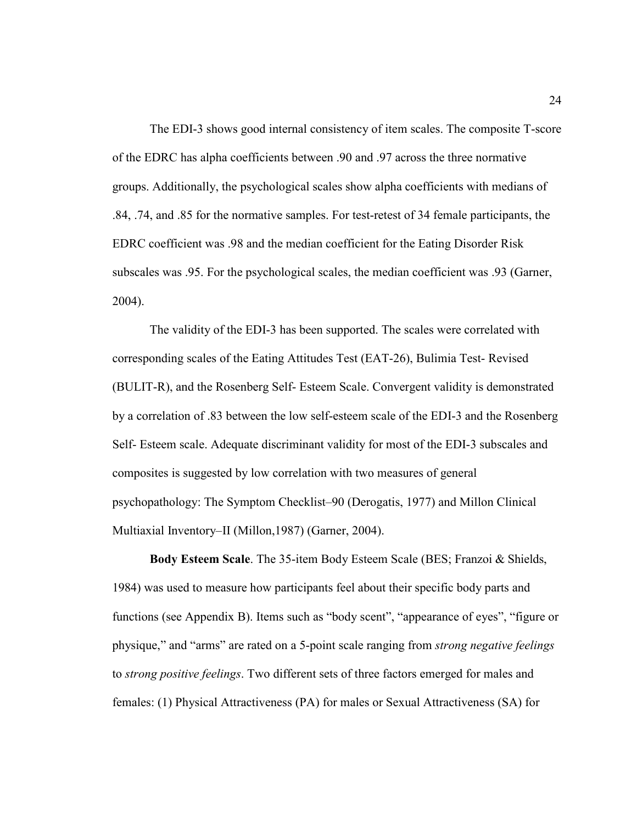The EDI-3 shows good internal consistency of item scales. The composite T-score of the EDRC has alpha coefficients between .90 and .97 across the three normative groups. Additionally, the psychological scales show alpha coefficients with medians of .84, .74, and .85 for the normative samples. For test-retest of 34 female participants, the EDRC coefficient was .98 and the median coefficient for the Eating Disorder Risk subscales was .95. For the psychological scales, the median coefficient was .93 (Garner, 2004).

The validity of the EDI-3 has been supported. The scales were correlated with corresponding scales of the Eating Attitudes Test (EAT-26), Bulimia Test- Revised (BULIT-R), and the Rosenberg Self- Esteem Scale. Convergent validity is demonstrated by a correlation of .83 between the low self-esteem scale of the EDI-3 and the Rosenberg Self- Esteem scale. Adequate discriminant validity for most of the EDI-3 subscales and composites is suggested by low correlation with two measures of general psychopathology: The Symptom Checklist–90 (Derogatis, 1977) and Millon Clinical Multiaxial Inventory–II (Millon,1987) (Garner, 2004).

**Body Esteem Scale**. The 35-item Body Esteem Scale (BES; Franzoi & Shields, 1984) was used to measure how participants feel about their specific body parts and functions (see Appendix B). Items such as "body scent", "appearance of eyes", "figure or physique," and "arms" are rated on a 5-point scale ranging from *strong negative feelings*  to *strong positive feelings*. Two different sets of three factors emerged for males and females: (1) Physical Attractiveness (PA) for males or Sexual Attractiveness (SA) for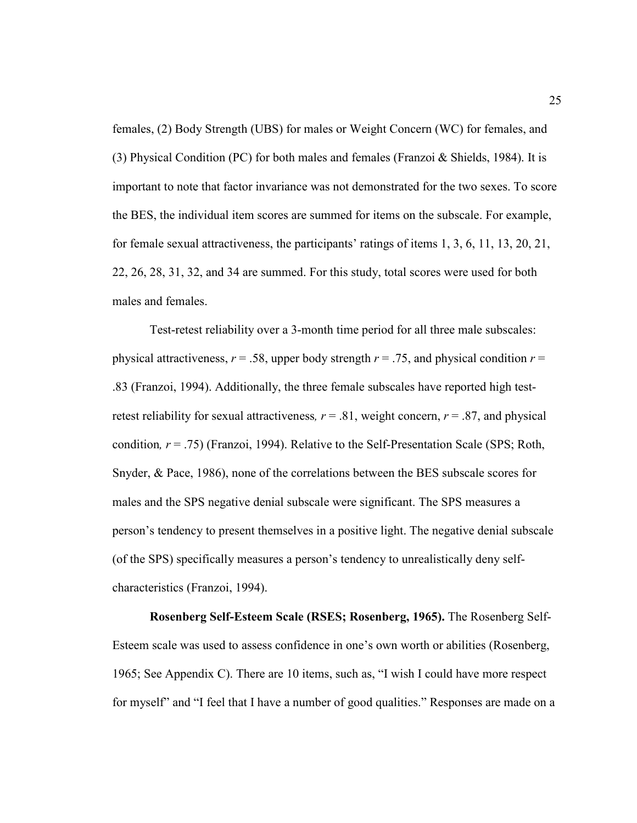females, (2) Body Strength (UBS) for males or Weight Concern (WC) for females, and (3) Physical Condition (PC) for both males and females (Franzoi & Shields, 1984). It is important to note that factor invariance was not demonstrated for the two sexes. To score the BES, the individual item scores are summed for items on the subscale. For example, for female sexual attractiveness, the participants' ratings of items 1, 3, 6, 11, 13, 20, 21, 22, 26, 28, 31, 32, and 34 are summed. For this study, total scores were used for both males and females.

Test-retest reliability over a 3-month time period for all three male subscales: physical attractiveness,  $r = .58$ , upper body strength  $r = .75$ , and physical condition  $r =$ .83 (Franzoi, 1994). Additionally, the three female subscales have reported high testretest reliability for sexual attractiveness,  $r = .81$ , weight concern,  $r = .87$ , and physical condition*, r* = .75) (Franzoi, 1994). Relative to the Self-Presentation Scale (SPS; Roth, Snyder, & Pace, 1986), none of the correlations between the BES subscale scores for males and the SPS negative denial subscale were significant. The SPS measures a person's tendency to present themselves in a positive light. The negative denial subscale (of the SPS) specifically measures a person's tendency to unrealistically deny selfcharacteristics (Franzoi, 1994).

**Rosenberg Self-Esteem Scale (RSES; Rosenberg, 1965).** The Rosenberg Self-Esteem scale was used to assess confidence in one's own worth or abilities (Rosenberg, 1965; See Appendix C). There are 10 items, such as, "I wish I could have more respect for myself" and "I feel that I have a number of good qualities." Responses are made on a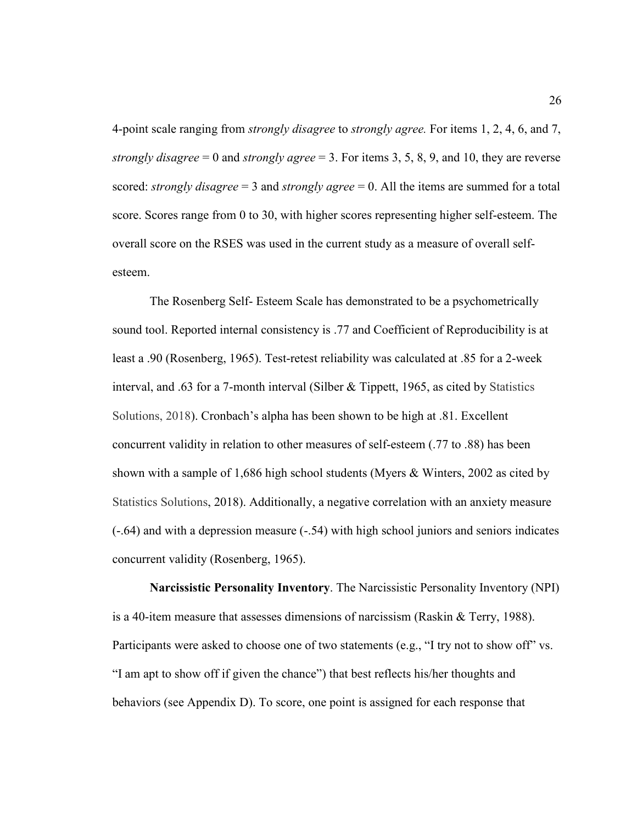4-point scale ranging from *strongly disagree* to *strongly agree.* For items 1, 2, 4, 6, and 7, *strongly disagree* = 0 and *strongly agree* = 3. For items 3, 5, 8, 9, and 10, they are reverse scored: *strongly disagree* = 3 and *strongly agree* = 0. All the items are summed for a total score. Scores range from 0 to 30, with higher scores representing higher self-esteem. The overall score on the RSES was used in the current study as a measure of overall selfesteem.

 The Rosenberg Self- Esteem Scale has demonstrated to be a psychometrically sound tool. Reported internal consistency is .77 and Coefficient of Reproducibility is at least a .90 (Rosenberg, 1965). Test-retest reliability was calculated at .85 for a 2-week interval, and .63 for a 7-month interval (Silber & Tippett, 1965, as cited by Statistics Solutions, 2018). Cronbach's alpha has been shown to be high at .81. Excellent concurrent validity in relation to other measures of self-esteem (.77 to .88) has been shown with a sample of 1,686 high school students (Myers & Winters, 2002 as cited by Statistics Solutions, 2018). Additionally, a negative correlation with an anxiety measure (-.64) and with a depression measure (-.54) with high school juniors and seniors indicates concurrent validity (Rosenberg, 1965).

**Narcissistic Personality Inventory**. The Narcissistic Personality Inventory (NPI) is a 40-item measure that assesses dimensions of narcissism (Raskin & Terry, 1988). Participants were asked to choose one of two statements (e.g., "I try not to show off" vs. "I am apt to show off if given the chance") that best reflects his/her thoughts and behaviors (see Appendix D). To score, one point is assigned for each response that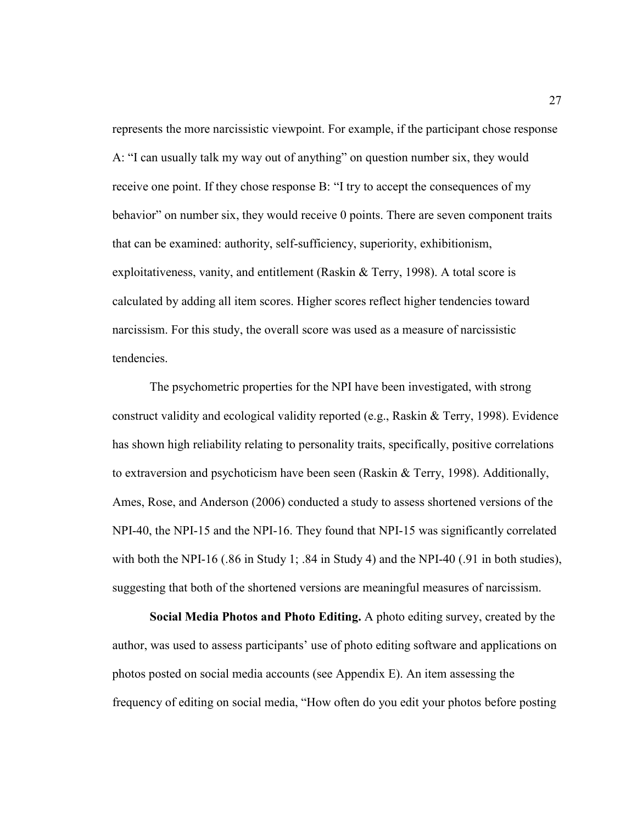represents the more narcissistic viewpoint. For example, if the participant chose response A: "I can usually talk my way out of anything" on question number six, they would receive one point. If they chose response B: "I try to accept the consequences of my behavior" on number six, they would receive 0 points. There are seven component traits that can be examined: authority, self-sufficiency, superiority, exhibitionism, exploitativeness, vanity, and entitlement (Raskin & Terry, 1998). A total score is calculated by adding all item scores. Higher scores reflect higher tendencies toward narcissism. For this study, the overall score was used as a measure of narcissistic tendencies.

 The psychometric properties for the NPI have been investigated, with strong construct validity and ecological validity reported (e.g., Raskin & Terry, 1998). Evidence has shown high reliability relating to personality traits, specifically, positive correlations to extraversion and psychoticism have been seen (Raskin & Terry, 1998). Additionally, Ames, Rose, and Anderson (2006) conducted a study to assess shortened versions of the NPI-40, the NPI-15 and the NPI-16. They found that NPI-15 was significantly correlated with both the NPI-16 (.86 in Study 1; .84 in Study 4) and the NPI-40 (.91 in both studies), suggesting that both of the shortened versions are meaningful measures of narcissism.

**Social Media Photos and Photo Editing.** A photo editing survey, created by the author, was used to assess participants' use of photo editing software and applications on photos posted on social media accounts (see Appendix E). An item assessing the frequency of editing on social media, "How often do you edit your photos before posting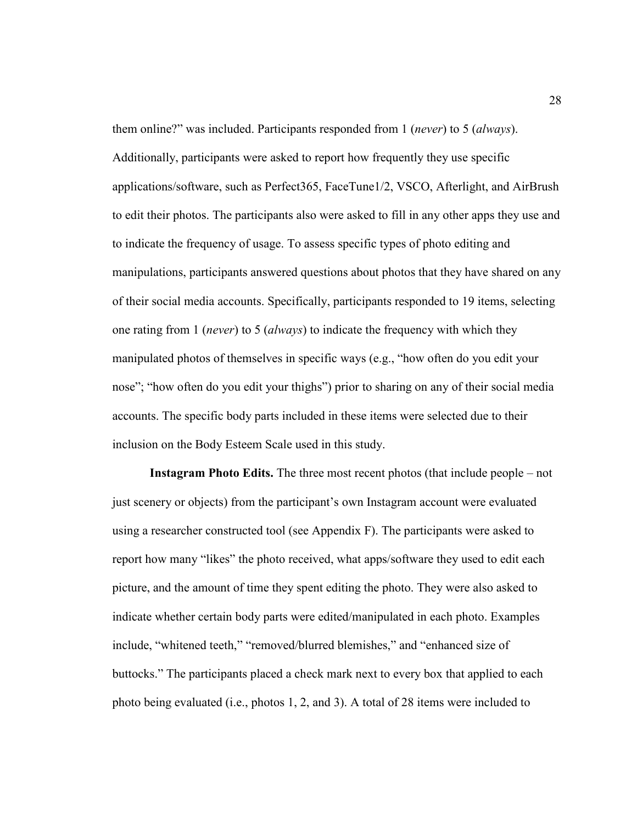them online?" was included. Participants responded from 1 (*never*) to 5 (*always*). Additionally, participants were asked to report how frequently they use specific applications/software, such as Perfect365, FaceTune1/2, VSCO, Afterlight, and AirBrush to edit their photos. The participants also were asked to fill in any other apps they use and to indicate the frequency of usage. To assess specific types of photo editing and manipulations, participants answered questions about photos that they have shared on any of their social media accounts. Specifically, participants responded to 19 items, selecting one rating from 1 (*never*) to 5 (*always*) to indicate the frequency with which they manipulated photos of themselves in specific ways (e.g., "how often do you edit your nose"; "how often do you edit your thighs") prior to sharing on any of their social media accounts. The specific body parts included in these items were selected due to their inclusion on the Body Esteem Scale used in this study.

**Instagram Photo Edits.** The three most recent photos (that include people – not just scenery or objects) from the participant's own Instagram account were evaluated using a researcher constructed tool (see Appendix F). The participants were asked to report how many "likes" the photo received, what apps/software they used to edit each picture, and the amount of time they spent editing the photo. They were also asked to indicate whether certain body parts were edited/manipulated in each photo. Examples include, "whitened teeth," "removed/blurred blemishes," and "enhanced size of buttocks." The participants placed a check mark next to every box that applied to each photo being evaluated (i.e., photos 1, 2, and 3). A total of 28 items were included to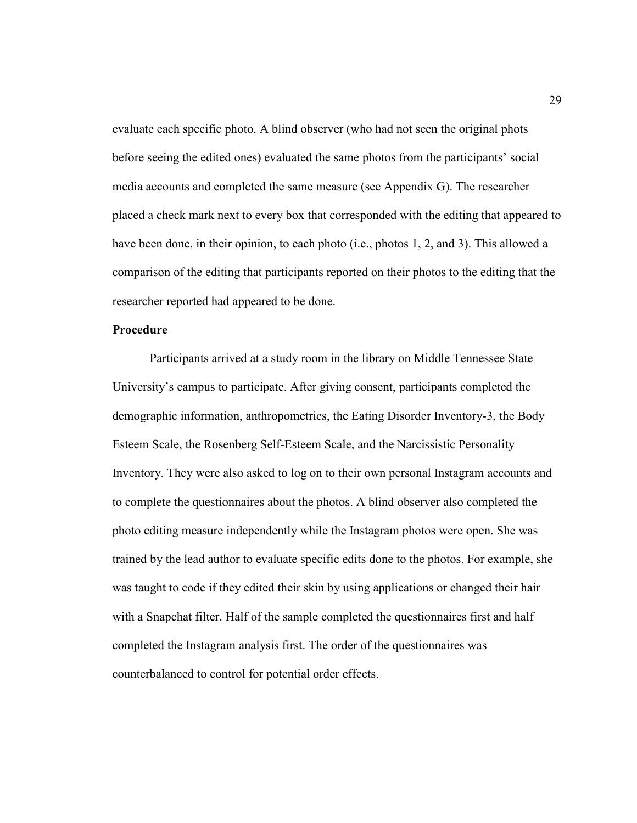evaluate each specific photo. A blind observer (who had not seen the original phots before seeing the edited ones) evaluated the same photos from the participants' social media accounts and completed the same measure (see Appendix G). The researcher placed a check mark next to every box that corresponded with the editing that appeared to have been done, in their opinion, to each photo (i.e., photos 1, 2, and 3). This allowed a comparison of the editing that participants reported on their photos to the editing that the researcher reported had appeared to be done.

#### **Procedure**

 Participants arrived at a study room in the library on Middle Tennessee State University's campus to participate. After giving consent, participants completed the demographic information, anthropometrics, the Eating Disorder Inventory-3, the Body Esteem Scale, the Rosenberg Self-Esteem Scale, and the Narcissistic Personality Inventory. They were also asked to log on to their own personal Instagram accounts and to complete the questionnaires about the photos. A blind observer also completed the photo editing measure independently while the Instagram photos were open. She was trained by the lead author to evaluate specific edits done to the photos. For example, she was taught to code if they edited their skin by using applications or changed their hair with a Snapchat filter. Half of the sample completed the questionnaires first and half completed the Instagram analysis first. The order of the questionnaires was counterbalanced to control for potential order effects.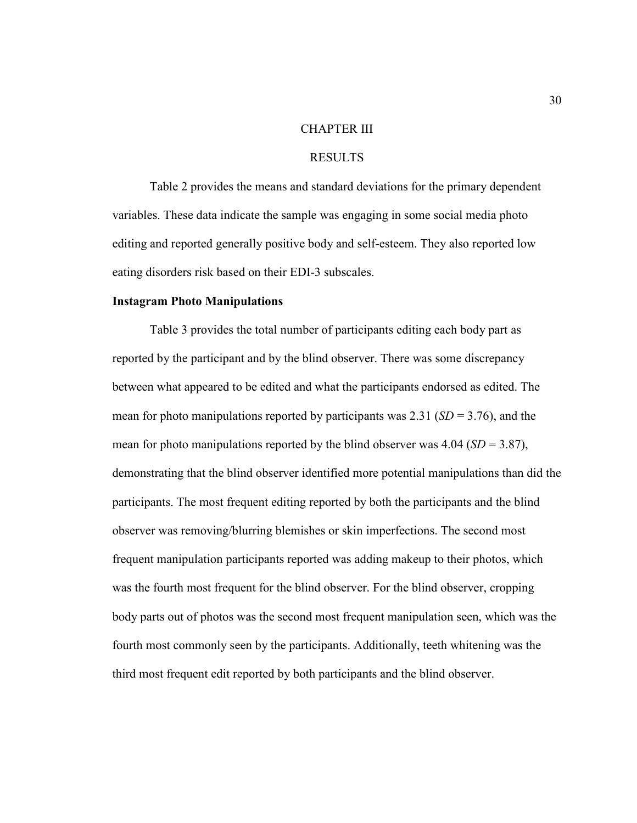#### CHAPTER III

### RESULTS

 Table 2 provides the means and standard deviations for the primary dependent variables. These data indicate the sample was engaging in some social media photo editing and reported generally positive body and self-esteem. They also reported low eating disorders risk based on their EDI-3 subscales.

#### **Instagram Photo Manipulations**

 Table 3 provides the total number of participants editing each body part as reported by the participant and by the blind observer. There was some discrepancy between what appeared to be edited and what the participants endorsed as edited. The mean for photo manipulations reported by participants was 2.31 ( $SD = 3.76$ ), and the mean for photo manipulations reported by the blind observer was  $4.04$  (*SD* = 3.87), demonstrating that the blind observer identified more potential manipulations than did the participants. The most frequent editing reported by both the participants and the blind observer was removing/blurring blemishes or skin imperfections. The second most frequent manipulation participants reported was adding makeup to their photos, which was the fourth most frequent for the blind observer. For the blind observer, cropping body parts out of photos was the second most frequent manipulation seen, which was the fourth most commonly seen by the participants. Additionally, teeth whitening was the third most frequent edit reported by both participants and the blind observer.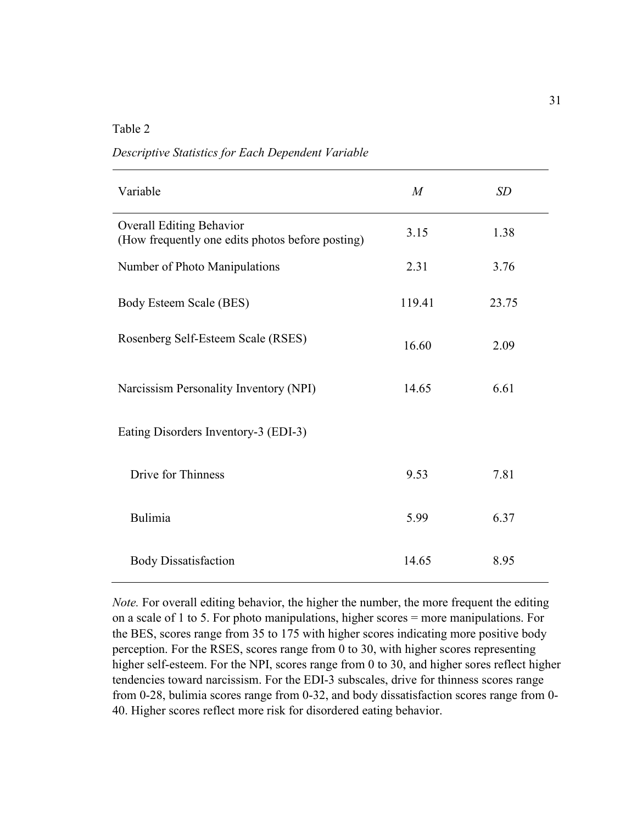Table 2

*Descriptive Statistics for Each Dependent Variable* 

| Variable                                                                            | $\boldsymbol{M}$ | SD    |
|-------------------------------------------------------------------------------------|------------------|-------|
| <b>Overall Editing Behavior</b><br>(How frequently one edits photos before posting) | 3.15             | 1.38  |
| Number of Photo Manipulations                                                       | 2.31             | 3.76  |
| Body Esteem Scale (BES)                                                             | 119.41           | 23.75 |
| Rosenberg Self-Esteem Scale (RSES)                                                  | 16.60            | 2.09  |
| Narcissism Personality Inventory (NPI)                                              | 14.65            | 6.61  |
| Eating Disorders Inventory-3 (EDI-3)                                                |                  |       |
| Drive for Thinness                                                                  | 9.53             | 7.81  |
| Bulimia                                                                             | 5.99             | 6.37  |
| <b>Body Dissatisfaction</b>                                                         | 14.65            | 8.95  |

*Note.* For overall editing behavior, the higher the number, the more frequent the editing on a scale of 1 to 5. For photo manipulations, higher scores = more manipulations. For the BES, scores range from 35 to 175 with higher scores indicating more positive body perception. For the RSES, scores range from 0 to 30, with higher scores representing higher self-esteem. For the NPI, scores range from 0 to 30, and higher sores reflect higher tendencies toward narcissism. For the EDI-3 subscales, drive for thinness scores range from 0-28, bulimia scores range from 0-32, and body dissatisfaction scores range from 0- 40. Higher scores reflect more risk for disordered eating behavior.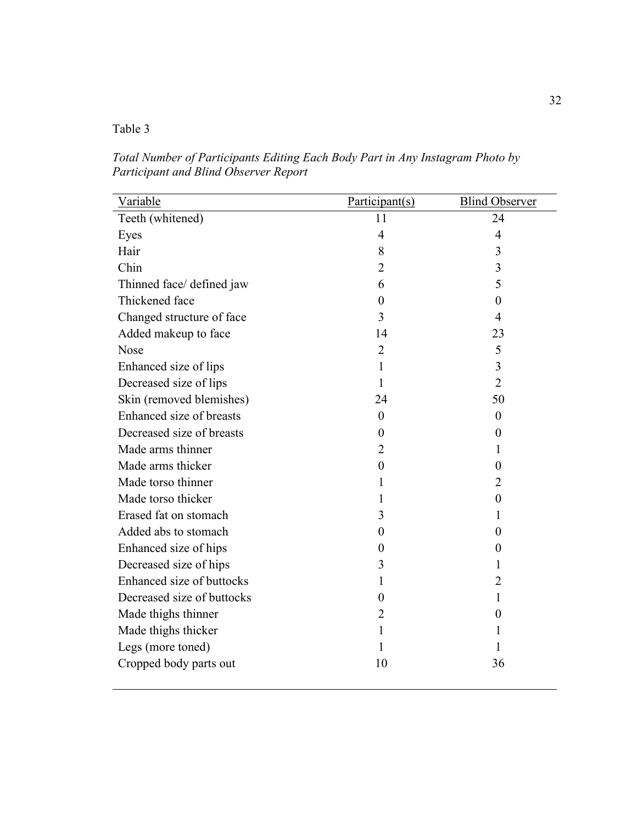# Table 3

*Total Number of Participants Editing Each Body Part in Any Instagram Photo by Participant and Blind Observer Report* 

| Variable                   | Participant(s) | <b>Blind Observer</b>   |
|----------------------------|----------------|-------------------------|
| Teeth (whitened)           | 11             | 24                      |
| Eyes                       | 4              | $\overline{4}$          |
| Hair                       | 8              | 3                       |
| Chin                       | $\overline{2}$ | $\overline{\mathbf{3}}$ |
| Thinned face/ defined jaw  | 6              | 5                       |
| Thickened face             | 0              | $\theta$                |
| Changed structure of face  | 3              | $\overline{4}$          |
| Added makeup to face       | 14             | 23                      |
| <b>Nose</b>                | $\overline{2}$ | 5                       |
| Enhanced size of lips      | 1              | 3                       |
| Decreased size of lips     | 1              | $\overline{2}$          |
| Skin (removed blemishes)   | 24             | 50                      |
| Enhanced size of breasts   | $\overline{0}$ | $\overline{0}$          |
| Decreased size of breasts  | $\overline{0}$ | $\theta$                |
| Made arms thinner          | $\overline{2}$ | 1                       |
| Made arms thicker          | $\overline{0}$ | $\theta$                |
| Made torso thinner         | 1              | $\overline{2}$          |
| Made torso thicker         | 1              | $\overline{0}$          |
| Erased fat on stomach      | 3              | 1                       |
| Added abs to stomach       | $\theta$       | $\theta$                |
| Enhanced size of hips      | 0              | $\theta$                |
| Decreased size of hips     | 3              | 1                       |
| Enhanced size of buttocks  | 1              | $\overline{2}$          |
| Decreased size of buttocks | $\overline{0}$ | 1                       |
| Made thighs thinner        | $\overline{2}$ | $\theta$                |
| Made thighs thicker        | 1              | 1                       |
| Legs (more toned)          | 1              | 1                       |
| Cropped body parts out     | 10             | 36                      |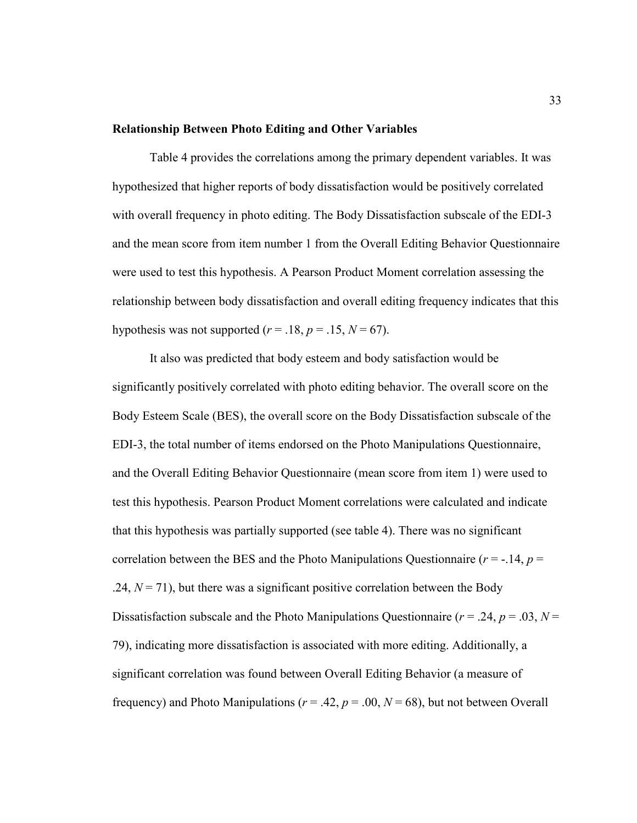#### **Relationship Between Photo Editing and Other Variables**

Table 4 provides the correlations among the primary dependent variables. It was hypothesized that higher reports of body dissatisfaction would be positively correlated with overall frequency in photo editing. The Body Dissatisfaction subscale of the EDI-3 and the mean score from item number 1 from the Overall Editing Behavior Questionnaire were used to test this hypothesis. A Pearson Product Moment correlation assessing the relationship between body dissatisfaction and overall editing frequency indicates that this hypothesis was not supported  $(r = .18, p = .15, N = 67)$ .

It also was predicted that body esteem and body satisfaction would be significantly positively correlated with photo editing behavior. The overall score on the Body Esteem Scale (BES), the overall score on the Body Dissatisfaction subscale of the EDI-3, the total number of items endorsed on the Photo Manipulations Questionnaire, and the Overall Editing Behavior Questionnaire (mean score from item 1) were used to test this hypothesis. Pearson Product Moment correlations were calculated and indicate that this hypothesis was partially supported (see table 4). There was no significant correlation between the BES and the Photo Manipulations Questionnaire ( $r = -14$ ,  $p =$  $.24, N = 71$ , but there was a significant positive correlation between the Body Dissatisfaction subscale and the Photo Manipulations Questionnaire ( $r = .24$ ,  $p = .03$ ,  $N =$ 79), indicating more dissatisfaction is associated with more editing. Additionally, a significant correlation was found between Overall Editing Behavior (a measure of frequency) and Photo Manipulations ( $r = .42$ ,  $p = .00$ ,  $N = 68$ ), but not between Overall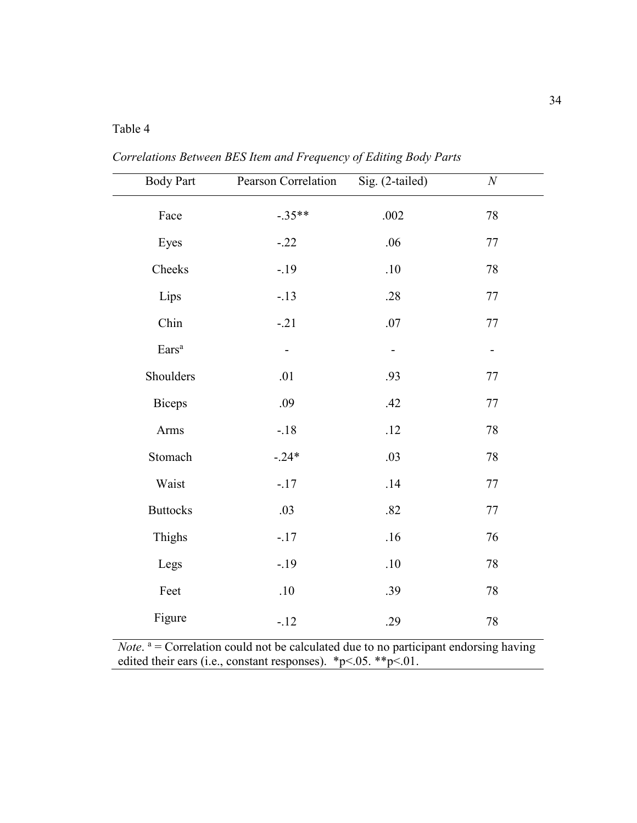# Table 4

*Correlations Between BES Item and Frequency of Editing Body Parts* 

| <b>Body Part</b>  | Pearson Correlation | Sig. (2-tailed) | $\boldsymbol{N}$ |
|-------------------|---------------------|-----------------|------------------|
| Face              | $-.35**$            | $.002$          | 78               |
| Eyes              | $-.22$              | .06             | 77               |
| Cheeks            | $-.19$              | .10             | 78               |
| Lips              | $-.13$              | .28             | $77 \,$          |
| Chin              | $-.21$              | .07             | $77 \,$          |
| Ears <sup>a</sup> |                     |                 |                  |
| Shoulders         | .01                 | .93             | $77 \,$          |
| <b>Biceps</b>     | .09                 | .42             | $77 \,$          |
| Arms              | $-.18$              | .12             | 78               |
| Stomach           | $-24*$              | .03             | 78               |
| Waist             | $-.17$              | .14             | 77               |
| <b>Buttocks</b>   | .03                 | .82             | 77               |
| Thighs            | $-.17$              | .16             | 76               |
| Legs              | $-19$               | $.10$           | 78               |
| Feet              | $.10\,$             | .39             | 78               |
| Figure            | $-.12$              | .29             | $78\,$           |

*Note*.  $a =$  Correlation could not be calculated due to no participant endorsing having edited their ears (i.e., constant responses).  $*p<.05. *p<.01$ .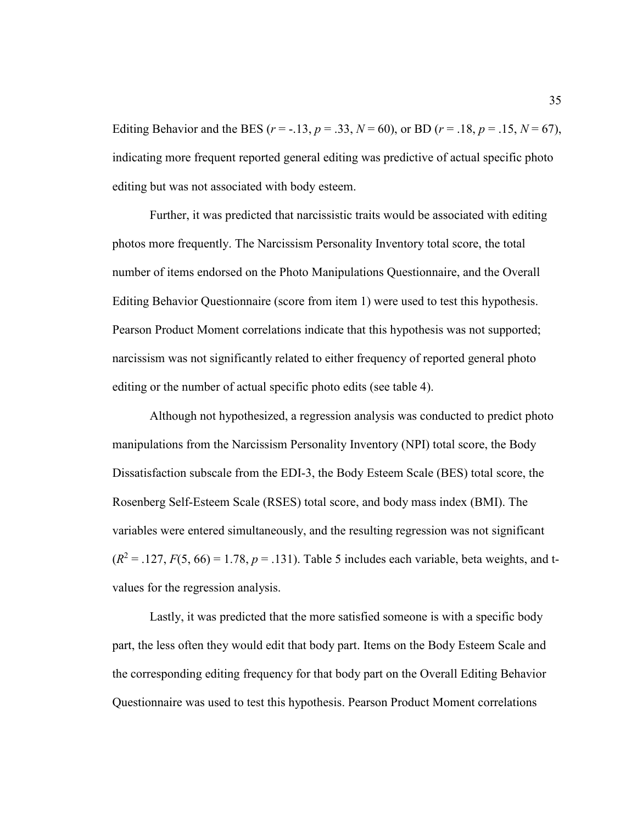Editing Behavior and the BES ( $r = -13$ ,  $p = 0.33$ ,  $N = 60$ ), or BD ( $r = 0.18$ ,  $p = 0.15$ ,  $N = 67$ ), indicating more frequent reported general editing was predictive of actual specific photo editing but was not associated with body esteem.

Further, it was predicted that narcissistic traits would be associated with editing photos more frequently. The Narcissism Personality Inventory total score, the total number of items endorsed on the Photo Manipulations Questionnaire, and the Overall Editing Behavior Questionnaire (score from item 1) were used to test this hypothesis. Pearson Product Moment correlations indicate that this hypothesis was not supported; narcissism was not significantly related to either frequency of reported general photo editing or the number of actual specific photo edits (see table 4).

Although not hypothesized, a regression analysis was conducted to predict photo manipulations from the Narcissism Personality Inventory (NPI) total score, the Body Dissatisfaction subscale from the EDI-3, the Body Esteem Scale (BES) total score, the Rosenberg Self-Esteem Scale (RSES) total score, and body mass index (BMI). The variables were entered simultaneously, and the resulting regression was not significant  $(R^2 = .127, F(5, 66) = 1.78, p = .131)$ . Table 5 includes each variable, beta weights, and tvalues for the regression analysis.

Lastly, it was predicted that the more satisfied someone is with a specific body part, the less often they would edit that body part. Items on the Body Esteem Scale and the corresponding editing frequency for that body part on the Overall Editing Behavior Questionnaire was used to test this hypothesis. Pearson Product Moment correlations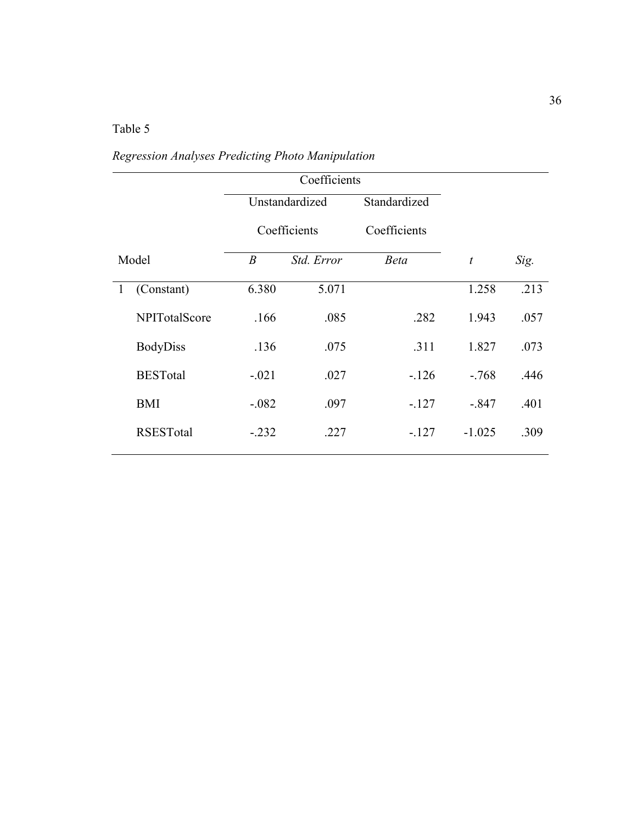# Table 5

|              |                  | Coefficients                   |                |              |                  |      |  |
|--------------|------------------|--------------------------------|----------------|--------------|------------------|------|--|
|              |                  |                                | Unstandardized | Standardized |                  |      |  |
|              |                  |                                | Coefficients   | Coefficients |                  |      |  |
|              | Model            | $\boldsymbol{B}$<br>Std. Error |                | <b>Beta</b>  | $\boldsymbol{t}$ | Sig. |  |
| $\mathbf{1}$ | (Constant)       | 6.380                          | 5.071          |              | 1.258            | .213 |  |
|              | NPITotalScore    | .166                           | .085           | .282         | 1.943            | .057 |  |
|              | <b>BodyDiss</b>  | .136                           | .075           | .311         | 1.827            | .073 |  |
|              | <b>BESTotal</b>  | $-.021$                        | .027           | $-126$       | $-.768$          | .446 |  |
|              | <b>BMI</b>       | $-.082$                        | .097           | $-127$       | $-.847$          | .401 |  |
|              | <b>RSESTotal</b> | $-.232$                        | .227           | $-127$       | $-1.025$         | .309 |  |

# *Regression Analyses Predicting Photo Manipulation*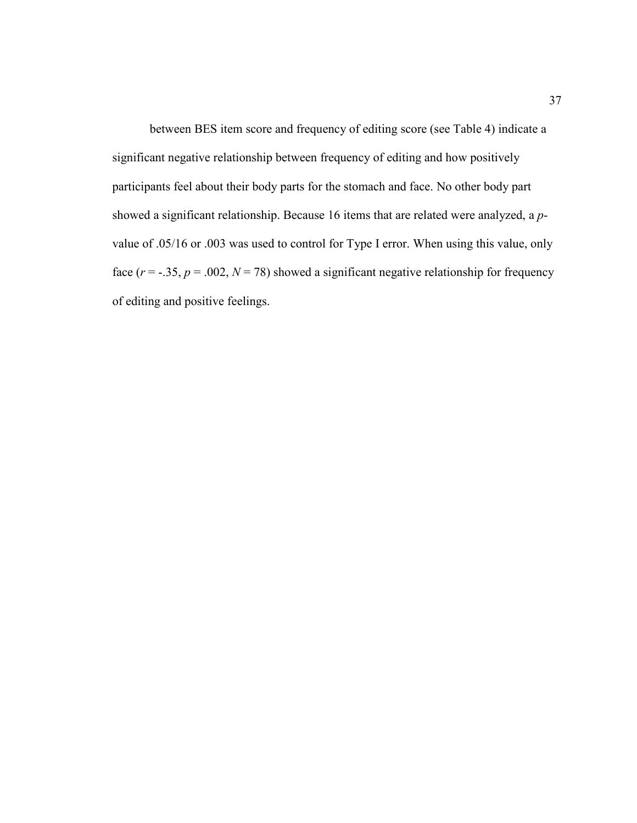between BES item score and frequency of editing score (see Table 4) indicate a significant negative relationship between frequency of editing and how positively participants feel about their body parts for the stomach and face. No other body part showed a significant relationship. Because 16 items that are related were analyzed, a *p*value of .05/16 or .003 was used to control for Type I error. When using this value, only face  $(r = -.35, p = .002, N = 78)$  showed a significant negative relationship for frequency of editing and positive feelings.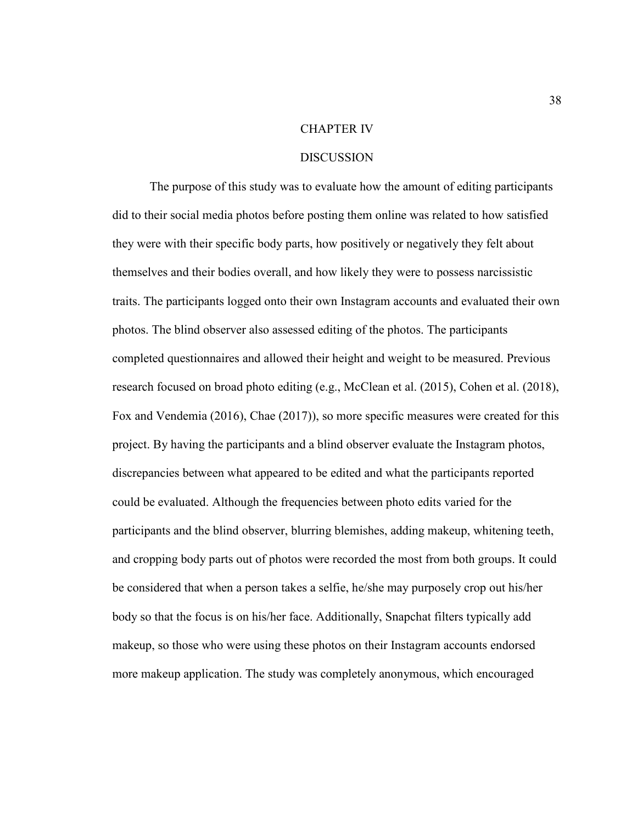#### CHAPTER IV

#### DISCUSSION

The purpose of this study was to evaluate how the amount of editing participants did to their social media photos before posting them online was related to how satisfied they were with their specific body parts, how positively or negatively they felt about themselves and their bodies overall, and how likely they were to possess narcissistic traits. The participants logged onto their own Instagram accounts and evaluated their own photos. The blind observer also assessed editing of the photos. The participants completed questionnaires and allowed their height and weight to be measured. Previous research focused on broad photo editing (e.g., McClean et al. (2015), Cohen et al. (2018), Fox and Vendemia (2016), Chae (2017)), so more specific measures were created for this project. By having the participants and a blind observer evaluate the Instagram photos, discrepancies between what appeared to be edited and what the participants reported could be evaluated. Although the frequencies between photo edits varied for the participants and the blind observer, blurring blemishes, adding makeup, whitening teeth, and cropping body parts out of photos were recorded the most from both groups. It could be considered that when a person takes a selfie, he/she may purposely crop out his/her body so that the focus is on his/her face. Additionally, Snapchat filters typically add makeup, so those who were using these photos on their Instagram accounts endorsed more makeup application. The study was completely anonymous, which encouraged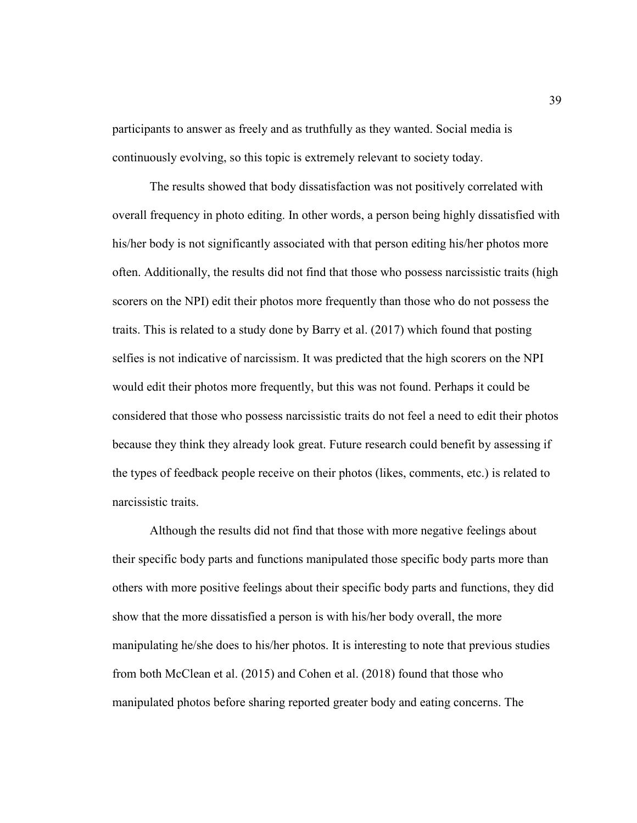participants to answer as freely and as truthfully as they wanted. Social media is continuously evolving, so this topic is extremely relevant to society today.

The results showed that body dissatisfaction was not positively correlated with overall frequency in photo editing. In other words, a person being highly dissatisfied with his/her body is not significantly associated with that person editing his/her photos more often. Additionally, the results did not find that those who possess narcissistic traits (high scorers on the NPI) edit their photos more frequently than those who do not possess the traits. This is related to a study done by Barry et al. (2017) which found that posting selfies is not indicative of narcissism. It was predicted that the high scorers on the NPI would edit their photos more frequently, but this was not found. Perhaps it could be considered that those who possess narcissistic traits do not feel a need to edit their photos because they think they already look great. Future research could benefit by assessing if the types of feedback people receive on their photos (likes, comments, etc.) is related to narcissistic traits.

Although the results did not find that those with more negative feelings about their specific body parts and functions manipulated those specific body parts more than others with more positive feelings about their specific body parts and functions, they did show that the more dissatisfied a person is with his/her body overall, the more manipulating he/she does to his/her photos. It is interesting to note that previous studies from both McClean et al. (2015) and Cohen et al. (2018) found that those who manipulated photos before sharing reported greater body and eating concerns. The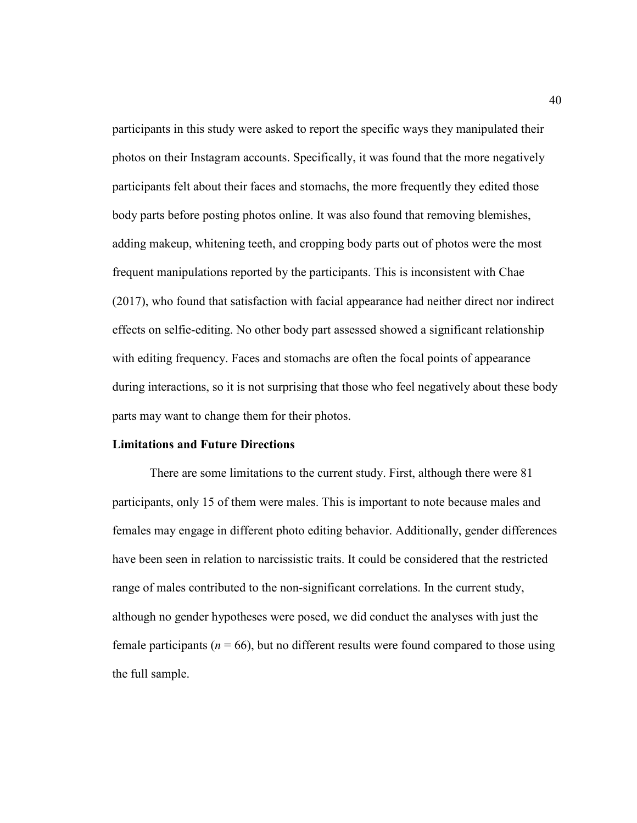participants in this study were asked to report the specific ways they manipulated their photos on their Instagram accounts. Specifically, it was found that the more negatively participants felt about their faces and stomachs, the more frequently they edited those body parts before posting photos online. It was also found that removing blemishes, adding makeup, whitening teeth, and cropping body parts out of photos were the most frequent manipulations reported by the participants. This is inconsistent with Chae (2017), who found that satisfaction with facial appearance had neither direct nor indirect effects on selfie-editing. No other body part assessed showed a significant relationship with editing frequency. Faces and stomachs are often the focal points of appearance during interactions, so it is not surprising that those who feel negatively about these body parts may want to change them for their photos.

### **Limitations and Future Directions**

 There are some limitations to the current study. First, although there were 81 participants, only 15 of them were males. This is important to note because males and females may engage in different photo editing behavior. Additionally, gender differences have been seen in relation to narcissistic traits. It could be considered that the restricted range of males contributed to the non-significant correlations. In the current study, although no gender hypotheses were posed, we did conduct the analyses with just the female participants ( $n = 66$ ), but no different results were found compared to those using the full sample.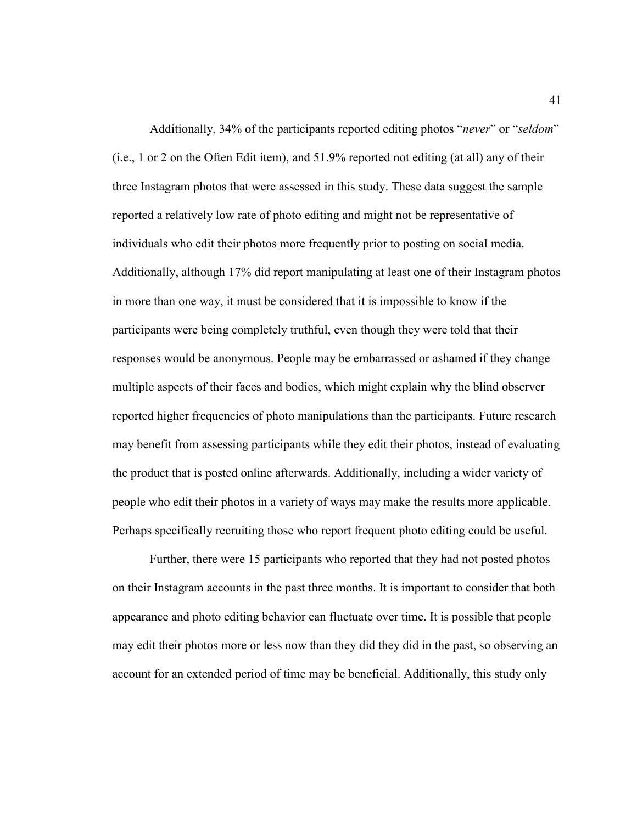Additionally, 34% of the participants reported editing photos "*never*" or "*seldom*" (i.e., 1 or 2 on the Often Edit item), and 51.9% reported not editing (at all) any of their three Instagram photos that were assessed in this study. These data suggest the sample reported a relatively low rate of photo editing and might not be representative of individuals who edit their photos more frequently prior to posting on social media. Additionally, although 17% did report manipulating at least one of their Instagram photos in more than one way, it must be considered that it is impossible to know if the participants were being completely truthful, even though they were told that their responses would be anonymous. People may be embarrassed or ashamed if they change multiple aspects of their faces and bodies, which might explain why the blind observer reported higher frequencies of photo manipulations than the participants. Future research may benefit from assessing participants while they edit their photos, instead of evaluating the product that is posted online afterwards. Additionally, including a wider variety of people who edit their photos in a variety of ways may make the results more applicable. Perhaps specifically recruiting those who report frequent photo editing could be useful.

 Further, there were 15 participants who reported that they had not posted photos on their Instagram accounts in the past three months. It is important to consider that both appearance and photo editing behavior can fluctuate over time. It is possible that people may edit their photos more or less now than they did they did in the past, so observing an account for an extended period of time may be beneficial. Additionally, this study only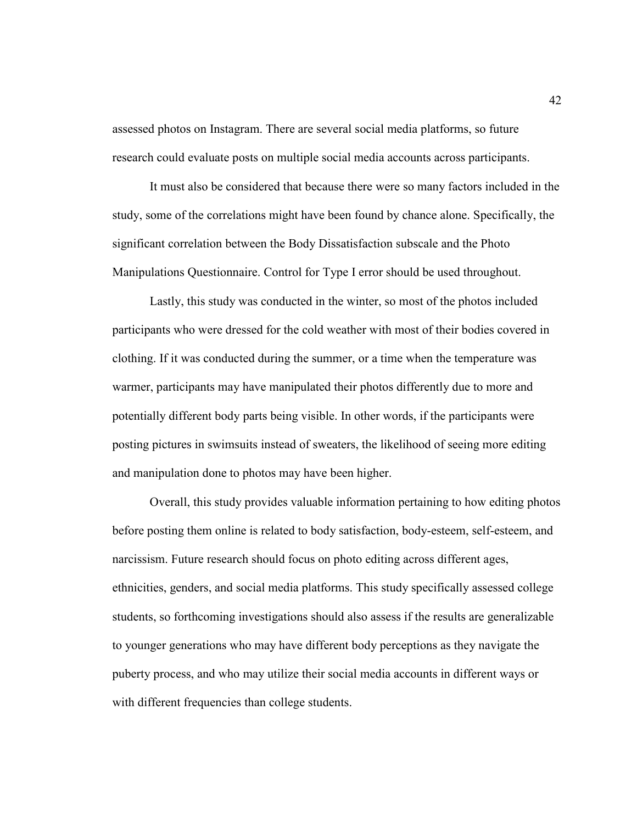assessed photos on Instagram. There are several social media platforms, so future research could evaluate posts on multiple social media accounts across participants.

It must also be considered that because there were so many factors included in the study, some of the correlations might have been found by chance alone. Specifically, the significant correlation between the Body Dissatisfaction subscale and the Photo Manipulations Questionnaire. Control for Type I error should be used throughout.

Lastly, this study was conducted in the winter, so most of the photos included participants who were dressed for the cold weather with most of their bodies covered in clothing. If it was conducted during the summer, or a time when the temperature was warmer, participants may have manipulated their photos differently due to more and potentially different body parts being visible. In other words, if the participants were posting pictures in swimsuits instead of sweaters, the likelihood of seeing more editing and manipulation done to photos may have been higher.

Overall, this study provides valuable information pertaining to how editing photos before posting them online is related to body satisfaction, body-esteem, self-esteem, and narcissism. Future research should focus on photo editing across different ages, ethnicities, genders, and social media platforms. This study specifically assessed college students, so forthcoming investigations should also assess if the results are generalizable to younger generations who may have different body perceptions as they navigate the puberty process, and who may utilize their social media accounts in different ways or with different frequencies than college students.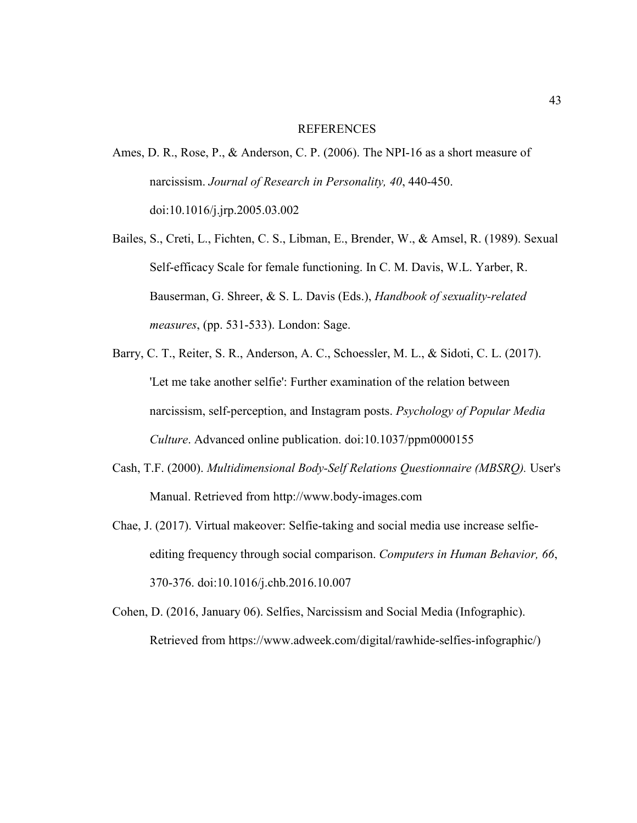#### REFERENCES

- Ames, D. R., Rose, P., & Anderson, C. P. (2006). The NPI-16 as a short measure of narcissism. *Journal of Research in Personality, 40*, 440-450. doi:10.1016/j.jrp.2005.03.002
- Bailes, S., Creti, L., Fichten, C. S., Libman, E., Brender, W., & Amsel, R. (1989). Sexual Self-efficacy Scale for female functioning. In C. M. Davis, W.L. Yarber, R. Bauserman, G. Shreer, & S. L. Davis (Eds.), *Handbook of sexuality-related measures*, (pp. 531-533). London: Sage.
- Barry, C. T., Reiter, S. R., Anderson, A. C., Schoessler, M. L., & Sidoti, C. L. (2017). 'Let me take another selfie': Further examination of the relation between narcissism, self-perception, and Instagram posts. *Psychology of Popular Media Culture*. Advanced online publication. doi:10.1037/ppm0000155
- Cash, T.F. (2000). *Multidimensional Body-Self Relations Questionnaire (MBSRQ).* User's Manual. Retrieved from http://www.body-images.com
- Chae, J. (2017). Virtual makeover: Selfie-taking and social media use increase selfieediting frequency through social comparison. *Computers in Human Behavior, 66*, 370-376. doi:10.1016/j.chb.2016.10.007
- Cohen, D. (2016, January 06). Selfies, Narcissism and Social Media (Infographic). Retrieved from https://www.adweek.com/digital/rawhide-selfies-infographic/)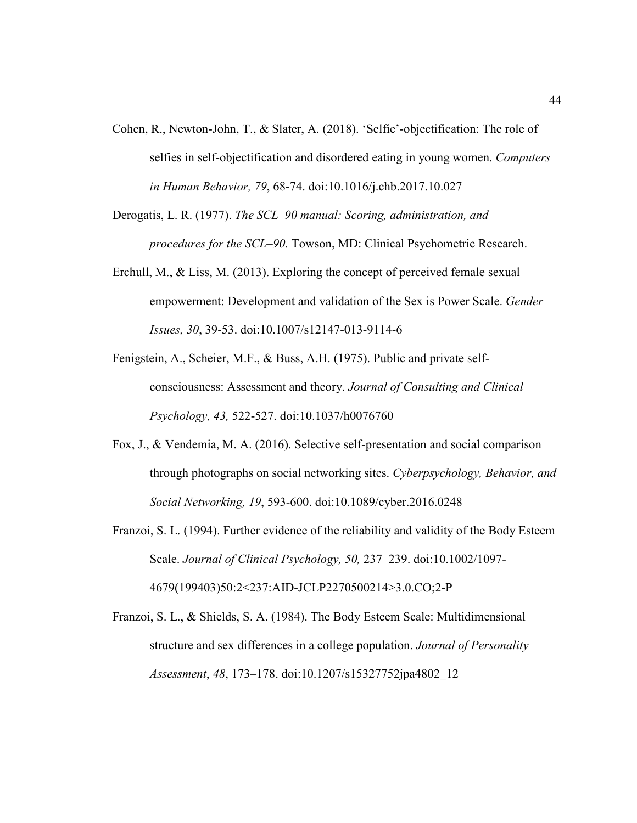- Cohen, R., Newton-John, T., & Slater, A. (2018). 'Selfie'-objectification: The role of selfies in self-objectification and disordered eating in young women. *Computers in Human Behavior, 79*, 68-74. doi:10.1016/j.chb.2017.10.027
- Derogatis, L. R. (1977). *The SCL–90 manual: Scoring, administration, and procedures for the SCL–90.* Towson, MD: Clinical Psychometric Research.
- Erchull, M., & Liss, M. (2013). Exploring the concept of perceived female sexual empowerment: Development and validation of the Sex is Power Scale. *Gender Issues, 30*, 39-53. doi:10.1007/s12147-013-9114-6
- Fenigstein, A., Scheier, M.F., & Buss, A.H. (1975). Public and private selfconsciousness: Assessment and theory. *Journal of Consulting and Clinical Psychology, 43,* 522-527. doi:10.1037/h0076760
- Fox, J., & Vendemia, M. A. (2016). Selective self-presentation and social comparison through photographs on social networking sites. *Cyberpsychology, Behavior, and Social Networking, 19*, 593-600. doi:10.1089/cyber.2016.0248
- Franzoi, S. L. (1994). Further evidence of the reliability and validity of the Body Esteem Scale. *Journal of Clinical Psychology, 50,* 237–239. doi:10.1002/1097- 4679(199403)50:2<237:AID-JCLP2270500214>3.0.CO;2-P
- Franzoi, S. L., & Shields, S. A. (1984). The Body Esteem Scale: Multidimensional structure and sex differences in a college population. *Journal of Personality Assessment*, *48*, 173–178. doi:10.1207/s15327752jpa4802\_12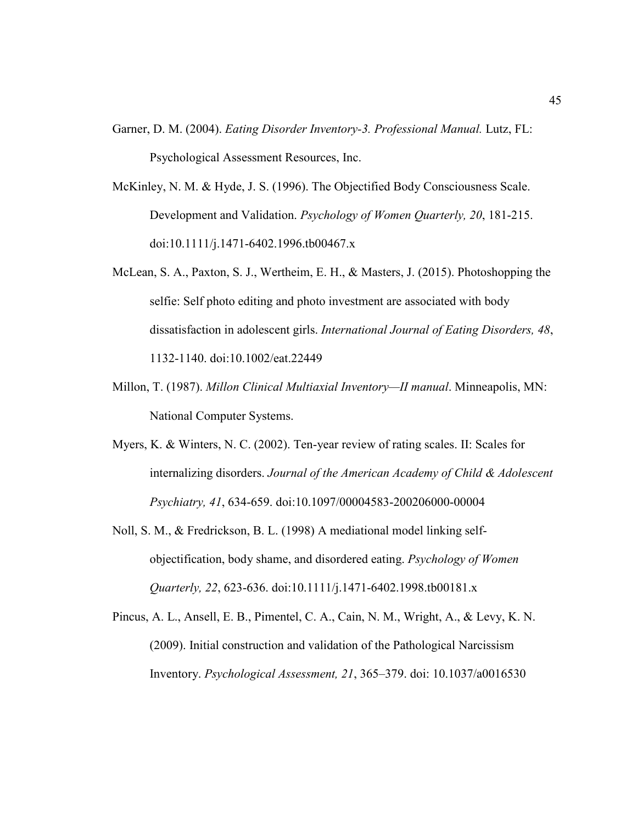- Garner, D. M. (2004). *Eating Disorder Inventory-3. Professional Manual.* Lutz, FL: Psychological Assessment Resources, Inc.
- McKinley, N. M. & Hyde, J. S. (1996). The Objectified Body Consciousness Scale. Development and Validation. *Psychology of Women Quarterly, 20*, 181-215. doi:10.1111/j.1471-6402.1996.tb00467.x
- McLean, S. A., Paxton, S. J., Wertheim, E. H., & Masters, J. (2015). Photoshopping the selfie: Self photo editing and photo investment are associated with body dissatisfaction in adolescent girls. *International Journal of Eating Disorders, 48*, 1132-1140. doi:10.1002/eat.22449
- Millon, T. (1987). *Millon Clinical Multiaxial Inventory—II manual*. Minneapolis, MN: National Computer Systems.
- Myers, K. & Winters, N. C. (2002). Ten-year review of rating scales. II: Scales for internalizing disorders. *Journal of the American Academy of Child & Adolescent Psychiatry, 41*, 634-659. doi:10.1097/00004583-200206000-00004
- Noll, S. M., & Fredrickson, B. L. (1998) A mediational model linking selfobjectification, body shame, and disordered eating. *Psychology of Women Quarterly, 22*, 623-636. doi:10.1111/j.1471-6402.1998.tb00181.x
- Pincus, A. L., Ansell, E. B., Pimentel, C. A., Cain, N. M., Wright, A., & Levy, K. N. (2009). Initial construction and validation of the Pathological Narcissism Inventory. *Psychological Assessment, 21*, 365–379. doi: 10.1037/a0016530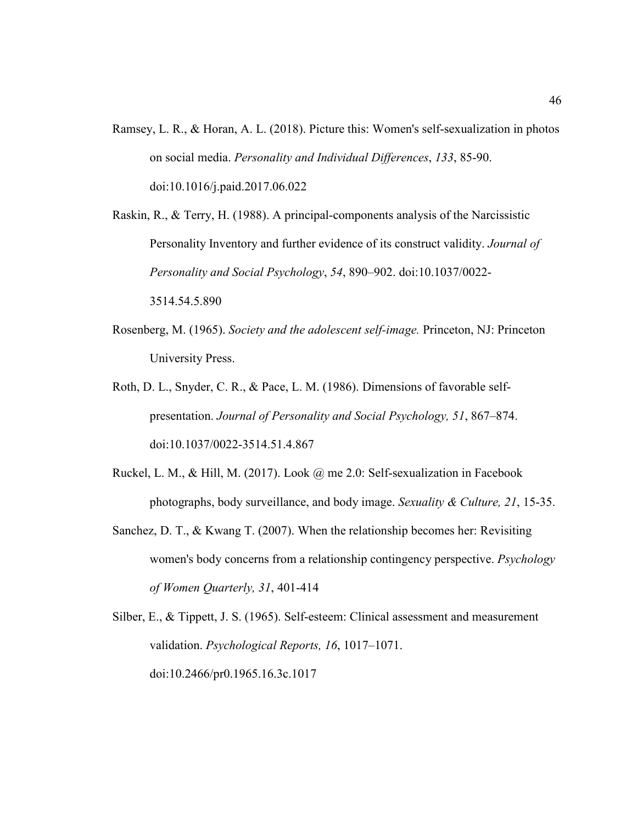Ramsey, L. R., & Horan, A. L. (2018). Picture this: Women's self-sexualization in photos on social media. *Personality and Individual Differences*, *133*, 85-90. doi:10.1016/j.paid.2017.06.022

Raskin, R., & Terry, H. (1988). A principal-components analysis of the Narcissistic Personality Inventory and further evidence of its construct validity. *Journal of Personality and Social Psychology*, *54*, 890–902. doi:10.1037/0022- 3514.54.5.890

- Rosenberg, M. (1965). *Society and the adolescent self-image.* Princeton, NJ: Princeton University Press.
- Roth, D. L., Snyder, C. R., & Pace, L. M. (1986). Dimensions of favorable selfpresentation. *Journal of Personality and Social Psychology, 51*, 867–874. doi:10.1037/0022-3514.51.4.867
- Ruckel, L. M., & Hill, M. (2017). Look @ me 2.0: Self-sexualization in Facebook photographs, body surveillance, and body image. *Sexuality & Culture, 21*, 15-35.
- Sanchez, D. T., & Kwang T. (2007). When the relationship becomes her: Revisiting women's body concerns from a relationship contingency perspective. *Psychology of Women Quarterly, 31*, 401-414

Silber, E., & Tippett, J. S. (1965). Self-esteem: Clinical assessment and measurement validation. *Psychological Reports, 16*, 1017–1071. doi:10.2466/pr0.1965.16.3c.1017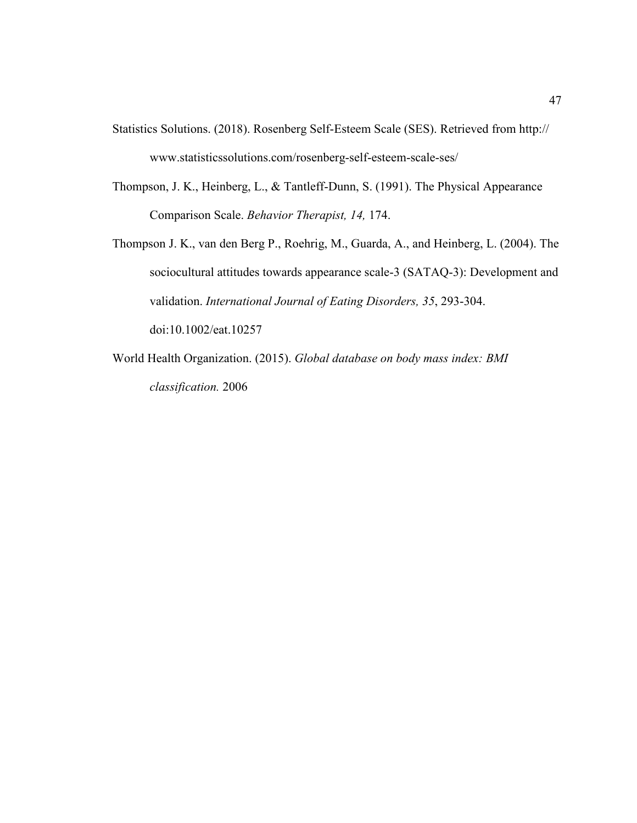- Statistics Solutions. (2018). Rosenberg Self-Esteem Scale (SES). Retrieved from http:// www.statisticssolutions.com/rosenberg-self-esteem-scale-ses/
- Thompson, J. K., Heinberg, L., & Tantleff-Dunn, S. (1991). The Physical Appearance Comparison Scale. *Behavior Therapist, 14,* 174.
- Thompson J. K., van den Berg P., Roehrig, M., Guarda, A., and Heinberg, L. (2004). The sociocultural attitudes towards appearance scale-3 (SATAQ-3): Development and validation. *International Journal of Eating Disorders, 35*, 293-304. doi:10.1002/eat.10257
- World Health Organization. (2015). *Global database on body mass index: BMI classification.* 2006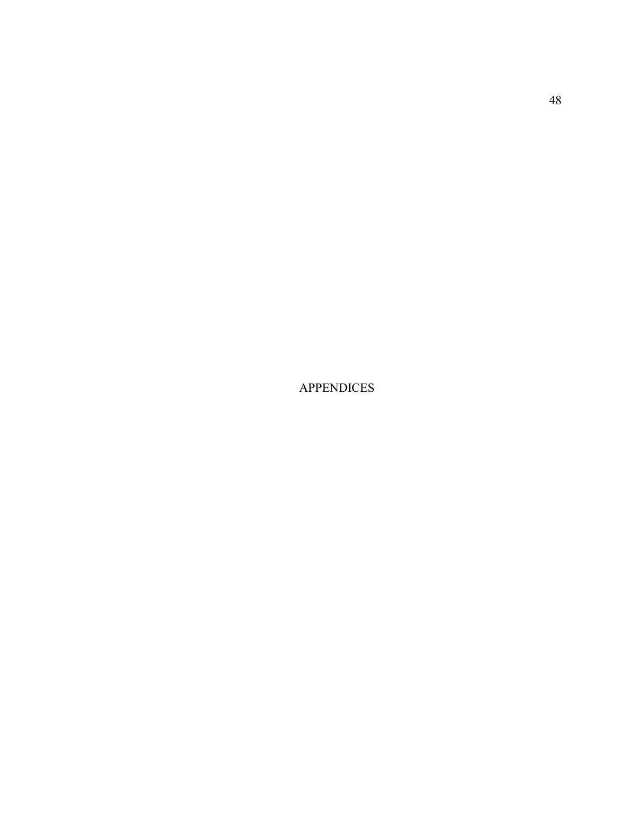APPENDICES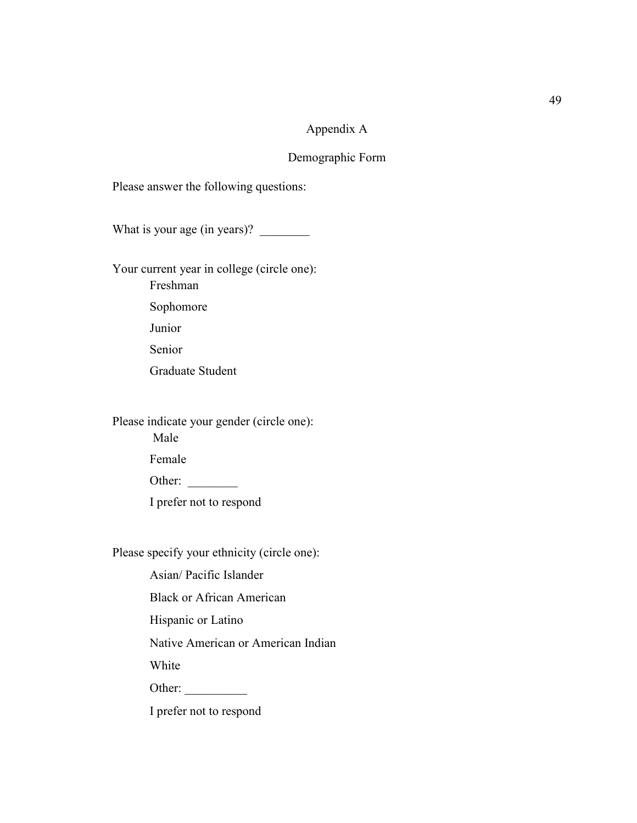### Appendix A

### Demographic Form

Please answer the following questions:

What is your age (in years)? \_\_\_\_\_\_\_\_

Your current year in college (circle one): Freshman Sophomore Junior Senior Graduate Student

Please indicate your gender (circle one):

Male

Female

Other:

I prefer not to respond

Please specify your ethnicity (circle one):

Asian/ Pacific Islander

Black or African American

Hispanic or Latino

Native American or American Indian

White

Other:

I prefer not to respond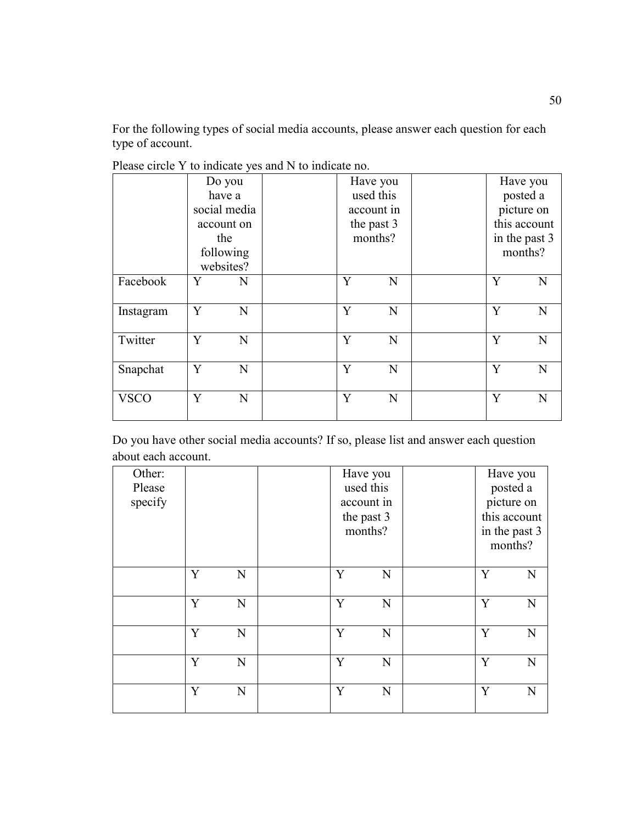For the following types of social media accounts, please answer each question for each type of account.

|             | Do you                 | Have you   |   |   | Have you      |
|-------------|------------------------|------------|---|---|---------------|
|             | have a                 | used this  |   |   | posted a      |
|             | social media           | account in |   |   | picture on    |
|             | account on             | the past 3 |   |   | this account  |
|             | the                    | months?    |   |   | in the past 3 |
|             | following<br>websites? |            |   |   | months?       |
| Facebook    | Y<br>N                 | Y          | N | Y | N             |
| Instagram   | Y<br>N                 | Y          | N | Y | $\mathbf N$   |
| Twitter     | Y<br>N                 | Y          | N | Y | $\mathbf N$   |
| Snapchat    | Y<br>N                 | Y          | N | Y | N             |
| <b>VSCO</b> | Y<br>N                 | Y          | N | Y | N             |

Please circle Y to indicate yes and N to indicate no.

Do you have other social media accounts? If so, please list and answer each question about each account.

| Other:<br>Please<br>specify |   |             |   | Have you<br>used this<br>account in<br>the past 3<br>months? |   | Have you<br>posted a<br>picture on<br>this account<br>in the past 3 |
|-----------------------------|---|-------------|---|--------------------------------------------------------------|---|---------------------------------------------------------------------|
|                             |   |             |   |                                                              |   | months?                                                             |
|                             | Y | N           | Y | N                                                            | Y | N                                                                   |
|                             | Y | $\mathbf N$ | Y | N                                                            | Y | N                                                                   |
|                             | Y | $\mathbf N$ | Y | N                                                            | Y | N                                                                   |
|                             | Y | $\mathbf N$ | Y | N                                                            | Y | N                                                                   |
|                             | Y | $\mathbf N$ | Y | N                                                            | Y | N                                                                   |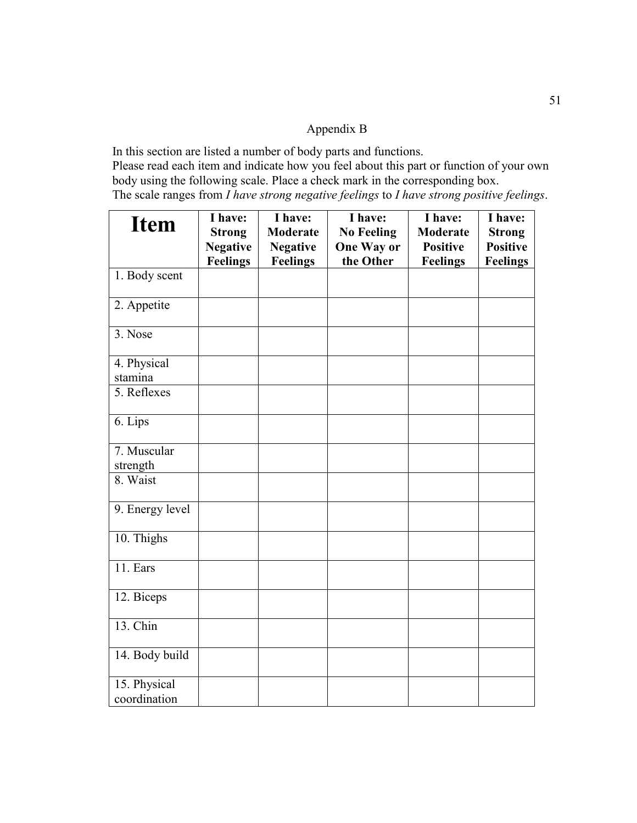## Appendix B

In this section are listed a number of body parts and functions. Please read each item and indicate how you feel about this part or function of your own body using the following scale. Place a check mark in the corresponding box. The scale ranges from *I have strong negative feelings* to *I have strong positive feelings*.

| <b>Item</b>     | I have:<br><b>Strong</b><br><b>Negative</b> | I have:<br><b>Moderate</b><br><b>Negative</b> | I have:<br><b>No Feeling</b><br><b>One Way or</b><br>the Other | I have:<br><b>Moderate</b><br><b>Positive</b> | I have:<br><b>Strong</b><br><b>Positive</b> |
|-----------------|---------------------------------------------|-----------------------------------------------|----------------------------------------------------------------|-----------------------------------------------|---------------------------------------------|
| 1. Body scent   | <b>Feelings</b>                             | <b>Feelings</b>                               |                                                                | <b>Feelings</b>                               | <b>Feelings</b>                             |
|                 |                                             |                                               |                                                                |                                               |                                             |
| 2. Appetite     |                                             |                                               |                                                                |                                               |                                             |
| 3. Nose         |                                             |                                               |                                                                |                                               |                                             |
| 4. Physical     |                                             |                                               |                                                                |                                               |                                             |
| stamina         |                                             |                                               |                                                                |                                               |                                             |
| 5. Reflexes     |                                             |                                               |                                                                |                                               |                                             |
| 6. Lips         |                                             |                                               |                                                                |                                               |                                             |
| 7. Muscular     |                                             |                                               |                                                                |                                               |                                             |
| strength        |                                             |                                               |                                                                |                                               |                                             |
| 8. Waist        |                                             |                                               |                                                                |                                               |                                             |
| 9. Energy level |                                             |                                               |                                                                |                                               |                                             |
| 10. Thighs      |                                             |                                               |                                                                |                                               |                                             |
| 11. Ears        |                                             |                                               |                                                                |                                               |                                             |
| 12. Biceps      |                                             |                                               |                                                                |                                               |                                             |
| 13. Chin        |                                             |                                               |                                                                |                                               |                                             |
| 14. Body build  |                                             |                                               |                                                                |                                               |                                             |
| 15. Physical    |                                             |                                               |                                                                |                                               |                                             |
| coordination    |                                             |                                               |                                                                |                                               |                                             |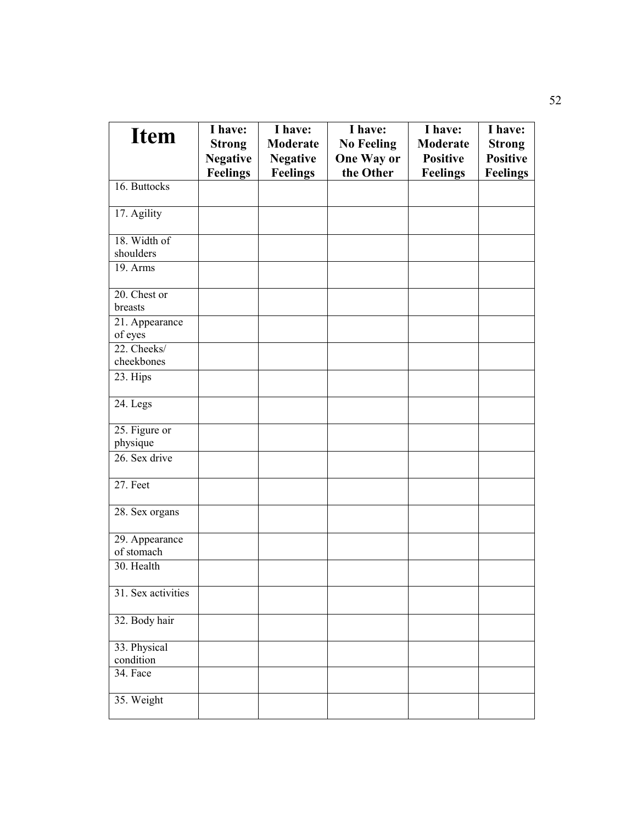| <b>Item</b>                             | I have:         | I have:         | I have:           | I have:         | I have:         |
|-----------------------------------------|-----------------|-----------------|-------------------|-----------------|-----------------|
|                                         | <b>Strong</b>   | <b>Moderate</b> | <b>No Feeling</b> | Moderate        | <b>Strong</b>   |
|                                         | <b>Negative</b> | <b>Negative</b> | <b>One Way or</b> | <b>Positive</b> | <b>Positive</b> |
|                                         | <b>Feelings</b> | <b>Feelings</b> | the Other         | <b>Feelings</b> | <b>Feelings</b> |
| 16. Buttocks                            |                 |                 |                   |                 |                 |
| 17. Agility                             |                 |                 |                   |                 |                 |
| 18. Width of                            |                 |                 |                   |                 |                 |
| shoulders                               |                 |                 |                   |                 |                 |
| $19.$ Arms                              |                 |                 |                   |                 |                 |
| 20. Chest or<br>breasts                 |                 |                 |                   |                 |                 |
|                                         |                 |                 |                   |                 |                 |
| $\overline{2}1$ . Appearance<br>of eyes |                 |                 |                   |                 |                 |
| 22. Cheeks/                             |                 |                 |                   |                 |                 |
| cheekbones                              |                 |                 |                   |                 |                 |
| 23. Hips                                |                 |                 |                   |                 |                 |
| 24. Legs                                |                 |                 |                   |                 |                 |
| 25. Figure or                           |                 |                 |                   |                 |                 |
| physique                                |                 |                 |                   |                 |                 |
| 26. Sex drive                           |                 |                 |                   |                 |                 |
| 27. Feet                                |                 |                 |                   |                 |                 |
| 28. Sex organs                          |                 |                 |                   |                 |                 |
| 29. Appearance<br>of stomach            |                 |                 |                   |                 |                 |
| 30. Health                              |                 |                 |                   |                 |                 |
|                                         |                 |                 |                   |                 |                 |
| 31. Sex activities                      |                 |                 |                   |                 |                 |
| 32. Body hair                           |                 |                 |                   |                 |                 |
| 33. Physical<br>condition               |                 |                 |                   |                 |                 |
| 34. Face                                |                 |                 |                   |                 |                 |
|                                         |                 |                 |                   |                 |                 |
| 35. Weight                              |                 |                 |                   |                 |                 |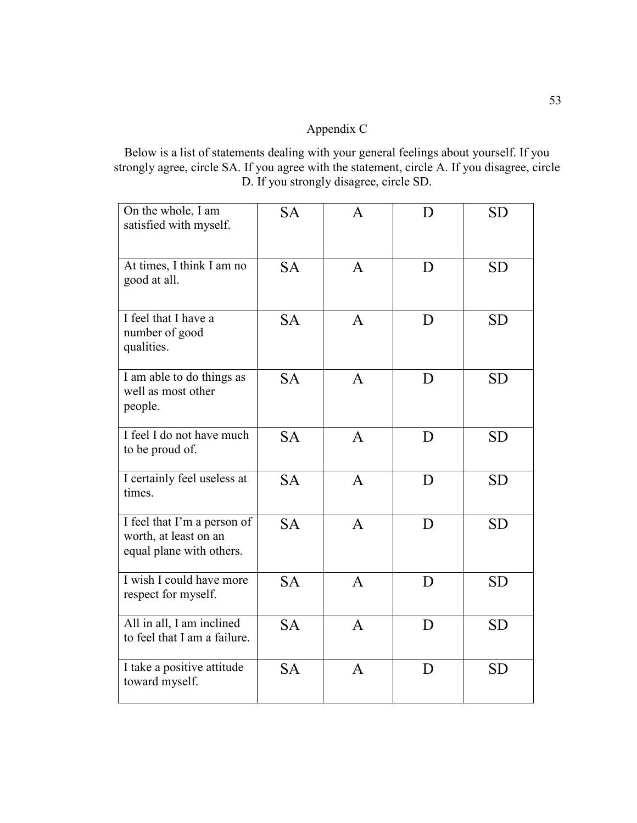# Appendix C

Below is a list of statements dealing with your general feelings about yourself. If you strongly agree, circle SA. If you agree with the statement, circle A. If you disagree, circle D. If you strongly disagree, circle SD.

| On the whole, I am<br>satisfied with myself.                                     | <b>SA</b> | A            | D | <b>SD</b> |
|----------------------------------------------------------------------------------|-----------|--------------|---|-----------|
| At times, I think I am no<br>good at all.                                        | <b>SA</b> | $\mathsf{A}$ | D | <b>SD</b> |
| I feel that I have a<br>number of good<br>qualities.                             | <b>SA</b> | $\mathsf{A}$ | D | <b>SD</b> |
| I am able to do things as<br>well as most other<br>people.                       | <b>SA</b> | $\mathsf{A}$ | D | <b>SD</b> |
| I feel I do not have much<br>to be proud of.                                     | <b>SA</b> | $\mathsf{A}$ | D | <b>SD</b> |
| I certainly feel useless at<br>times.                                            | <b>SA</b> | $\mathsf{A}$ | D | <b>SD</b> |
| I feel that I'm a person of<br>worth, at least on an<br>equal plane with others. | <b>SA</b> | $\mathsf{A}$ | D | <b>SD</b> |
| I wish I could have more<br>respect for myself.                                  | <b>SA</b> | $\mathsf{A}$ | D | <b>SD</b> |
| All in all, I am inclined<br>to feel that I am a failure.                        | <b>SA</b> | $\mathsf{A}$ | D | <b>SD</b> |
| I take a positive attitude<br>toward myself.                                     | <b>SA</b> | $\mathsf{A}$ | D | <b>SD</b> |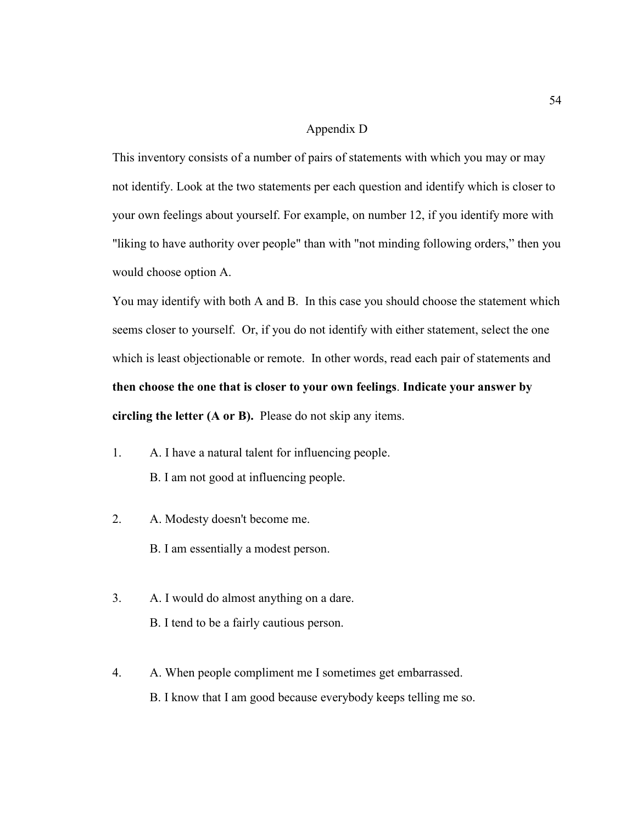### Appendix D

This inventory consists of a number of pairs of statements with which you may or may not identify. Look at the two statements per each question and identify which is closer to your own feelings about yourself. For example, on number 12, if you identify more with "liking to have authority over people" than with "not minding following orders," then you would choose option A.

You may identify with both A and B. In this case you should choose the statement which seems closer to yourself. Or, if you do not identify with either statement, select the one which is least objectionable or remote. In other words, read each pair of statements and **then choose the one that is closer to your own feelings**. **Indicate your answer by circling the letter (A or B).** Please do not skip any items.

- 1. A. I have a natural talent for influencing people. B. I am not good at influencing people.
- 2. A. Modesty doesn't become me.
	- B. I am essentially a modest person.
- 3. A. I would do almost anything on a dare. B. I tend to be a fairly cautious person.
- 4. A. When people compliment me I sometimes get embarrassed. B. I know that I am good because everybody keeps telling me so.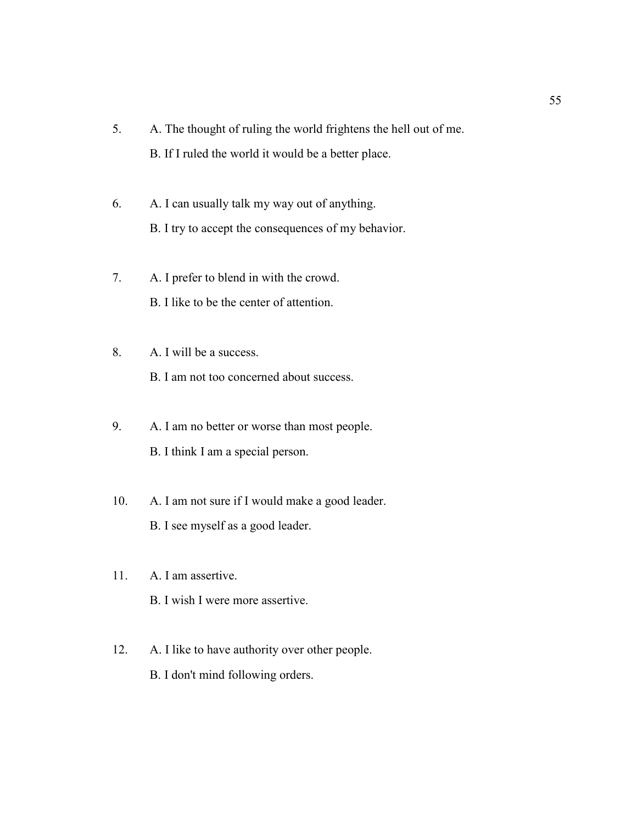- 5. A. The thought of ruling the world frightens the hell out of me. B. If I ruled the world it would be a better place.
- 6. A. I can usually talk my way out of anything. B. I try to accept the consequences of my behavior.
- 7. A. I prefer to blend in with the crowd. B. I like to be the center of attention.
- 8. A. I will be a success.

B. I am not too concerned about success.

- 9. A. I am no better or worse than most people. B. I think I am a special person.
- 10. A. I am not sure if I would make a good leader. B. I see myself as a good leader.
- 11. A. I am assertive. B. I wish I were more assertive.
- 12. A. I like to have authority over other people. B. I don't mind following orders.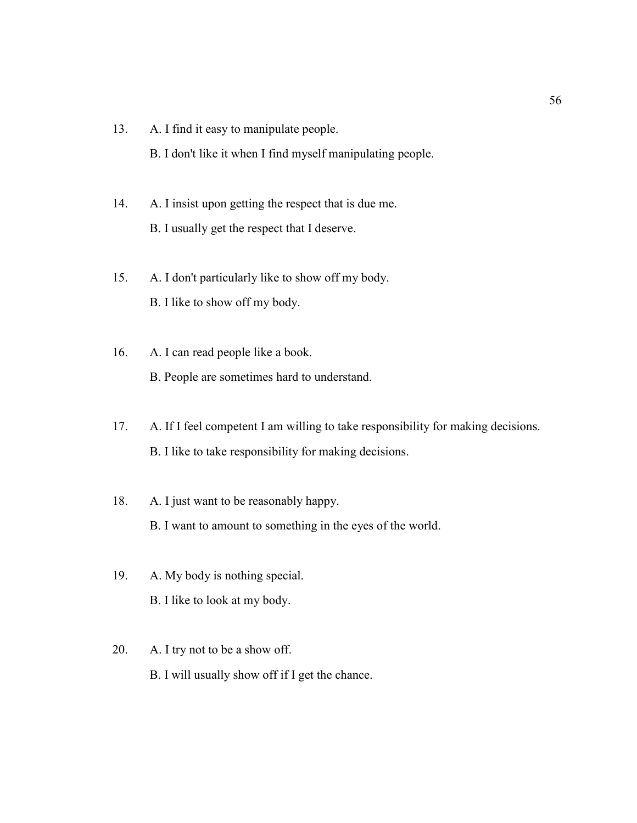- 13. A. I find it easy to manipulate people. B. I don't like it when I find myself manipulating people.
- 14. A. I insist upon getting the respect that is due me. B. I usually get the respect that I deserve.
- 15. A. I don't particularly like to show off my body. B. I like to show off my body.
- 16. A. I can read people like a book. B. People are sometimes hard to understand.
- 17. A. If I feel competent I am willing to take responsibility for making decisions. B. I like to take responsibility for making decisions.
- 18. A. I just want to be reasonably happy. B. I want to amount to something in the eyes of the world.
- 19. A. My body is nothing special. B. I like to look at my body.
- 20. A. I try not to be a show off. B. I will usually show off if I get the chance.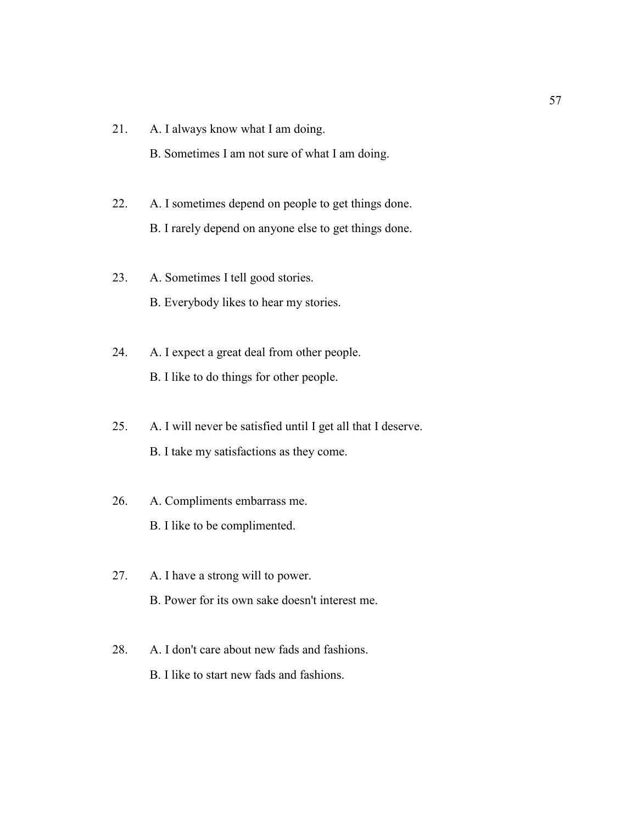- 21. A. I always know what I am doing.
	- B. Sometimes I am not sure of what I am doing.
- 22. A. I sometimes depend on people to get things done. B. I rarely depend on anyone else to get things done.
- 23. A. Sometimes I tell good stories. B. Everybody likes to hear my stories.
- 24. A. I expect a great deal from other people. B. I like to do things for other people.
- 25. A. I will never be satisfied until I get all that I deserve. B. I take my satisfactions as they come.
- 26. A. Compliments embarrass me. B. I like to be complimented.
- 27. A. I have a strong will to power. B. Power for its own sake doesn't interest me.
- 28. A. I don't care about new fads and fashions. B. I like to start new fads and fashions.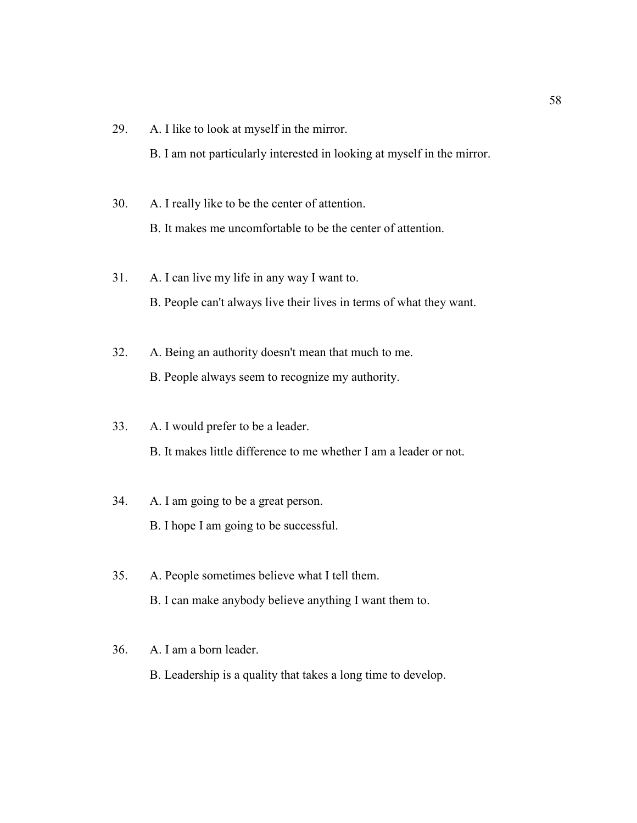29. A. I like to look at myself in the mirror.

B. I am not particularly interested in looking at myself in the mirror.

- 30. A. I really like to be the center of attention. B. It makes me uncomfortable to be the center of attention.
- 31. A. I can live my life in any way I want to. B. People can't always live their lives in terms of what they want.
- 32. A. Being an authority doesn't mean that much to me. B. People always seem to recognize my authority.
- 33. A. I would prefer to be a leader. B. It makes little difference to me whether I am a leader or not.
- 34. A. I am going to be a great person. B. I hope I am going to be successful.
- 35. A. People sometimes believe what I tell them. B. I can make anybody believe anything I want them to.

### 36. A. I am a born leader.

B. Leadership is a quality that takes a long time to develop.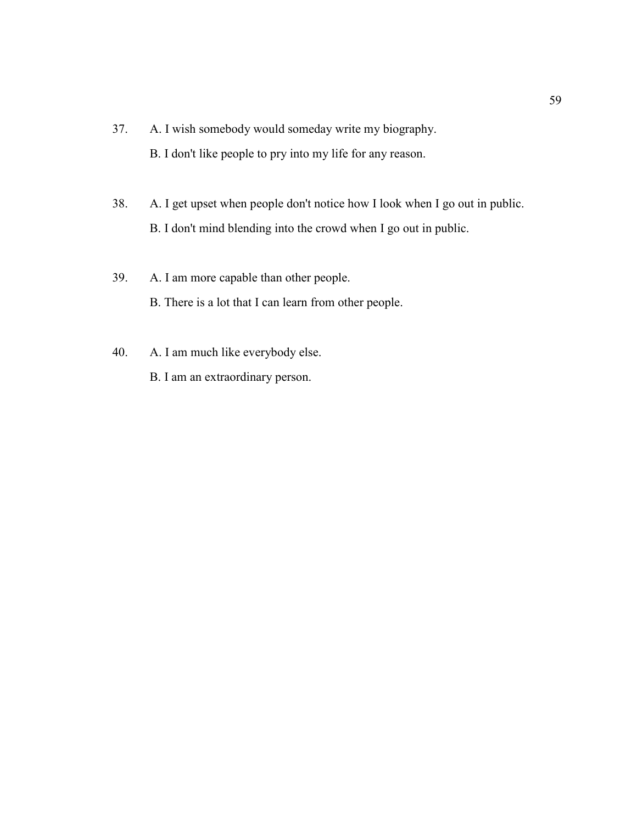- 37. A. I wish somebody would someday write my biography. B. I don't like people to pry into my life for any reason.
- 38. A. I get upset when people don't notice how I look when I go out in public. B. I don't mind blending into the crowd when I go out in public.
- 39. A. I am more capable than other people. B. There is a lot that I can learn from other people.
- 40. A. I am much like everybody else.
	- B. I am an extraordinary person.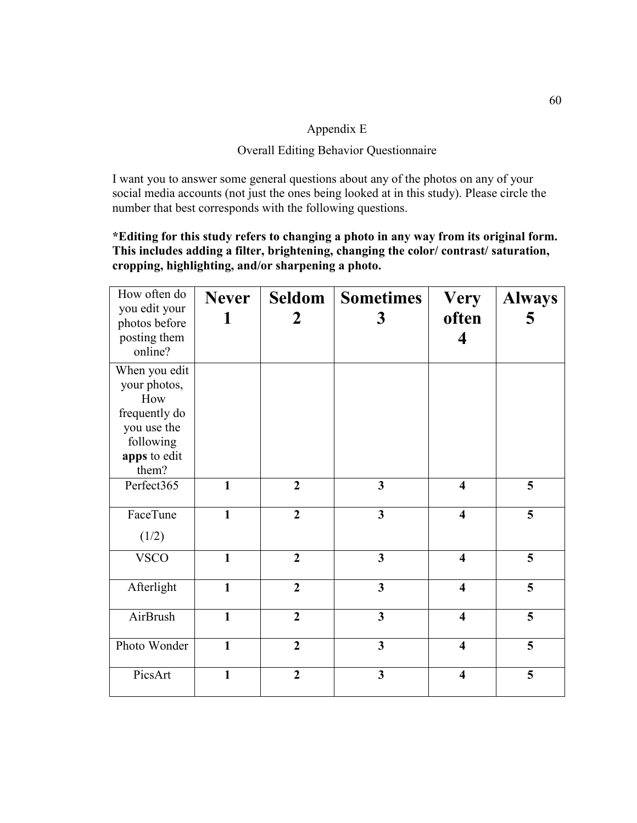### Appendix E

## Overall Editing Behavior Questionnaire

I want you to answer some general questions about any of the photos on any of your social media accounts (not just the ones being looked at in this study). Please circle the number that best corresponds with the following questions.

### **\*Editing for this study refers to changing a photo in any way from its original form. This includes adding a filter, brightening, changing the color/ contrast/ saturation, cropping, highlighting, and/or sharpening a photo.**

| How often do<br>you edit your<br>photos before<br>posting them<br>online?                                  | <b>Never</b><br>1 | Seldom<br>$\mathbf 2$ | <b>Sometimes</b><br>3   | <b>Very</b><br>often<br>4 | <b>Always</b><br>5 |
|------------------------------------------------------------------------------------------------------------|-------------------|-----------------------|-------------------------|---------------------------|--------------------|
| When you edit<br>your photos,<br>How<br>frequently do<br>you use the<br>following<br>apps to edit<br>them? |                   |                       |                         |                           |                    |
| Perfect365                                                                                                 | $\mathbf{1}$      | $\overline{2}$        | $\overline{\mathbf{3}}$ | $\overline{\mathbf{4}}$   | 5                  |
| FaceTune<br>(1/2)                                                                                          | $\mathbf{1}$      | $\overline{2}$        | $\overline{\mathbf{3}}$ | $\overline{\mathbf{4}}$   | 5                  |
| <b>VSCO</b>                                                                                                | $\mathbf{1}$      | $\overline{2}$        | $\overline{\mathbf{3}}$ | $\overline{\mathbf{4}}$   | 5                  |
| Afterlight                                                                                                 | $\mathbf{1}$      | $\overline{2}$        | $\overline{\mathbf{3}}$ | $\overline{\mathbf{4}}$   | 5                  |
| AirBrush                                                                                                   | $\mathbf{1}$      | $\overline{2}$        | $\overline{\mathbf{3}}$ | $\overline{\mathbf{4}}$   | 5                  |
| Photo Wonder                                                                                               | $\mathbf{1}$      | $\overline{2}$        | $\overline{\mathbf{3}}$ | $\overline{\mathbf{4}}$   | 5                  |
| PicsArt                                                                                                    | $\mathbf{1}$      | $\overline{2}$        | $\overline{\mathbf{3}}$ | $\overline{\mathbf{4}}$   | 5                  |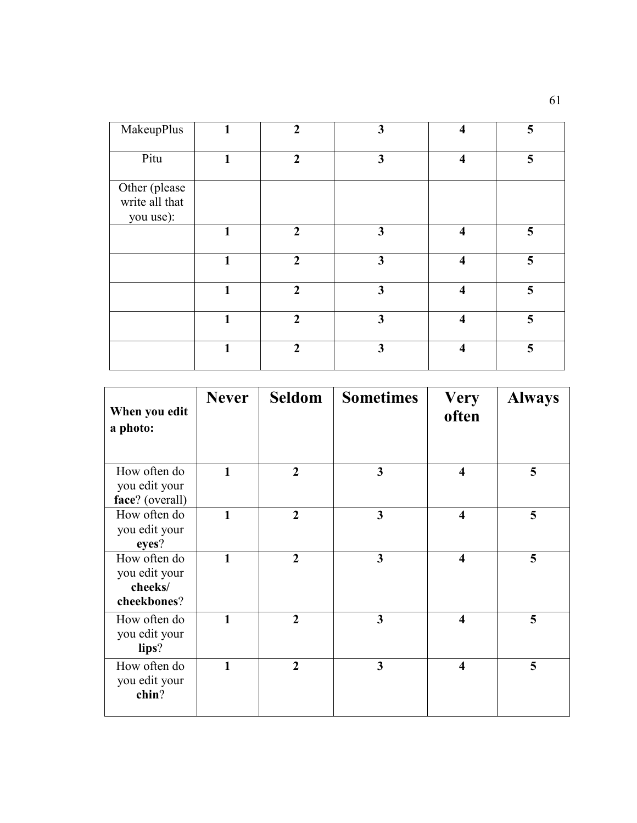| MakeupPlus                                   |   | $\overline{2}$ | 3                       | $\overline{\mathbf{4}}$ | 5 |
|----------------------------------------------|---|----------------|-------------------------|-------------------------|---|
| Pitu                                         |   | $\overline{2}$ | 3                       | $\overline{\mathbf{4}}$ | 5 |
| Other (please<br>write all that<br>you use): |   |                |                         |                         |   |
|                                              | 1 | $\overline{2}$ | 3                       | $\overline{\mathbf{4}}$ | 5 |
|                                              | 1 | $\overline{2}$ | $\mathbf{3}$            | $\overline{\mathbf{4}}$ | 5 |
|                                              | 1 | $\overline{2}$ | $\overline{\mathbf{3}}$ | $\overline{\mathbf{4}}$ | 5 |
|                                              | 1 | $\overline{2}$ | 3                       | $\overline{\mathbf{4}}$ | 5 |
|                                              | 1 | $\overline{2}$ | $\overline{\mathbf{3}}$ | $\overline{\mathbf{4}}$ | 5 |

| When you edit<br>a photo:                               | <b>Never</b> | Seldom         | <b>Sometimes</b> | <b>Very</b><br>often    | <b>Always</b> |
|---------------------------------------------------------|--------------|----------------|------------------|-------------------------|---------------|
| How often do<br>you edit your<br>face? (overall)        | 1            | $\overline{2}$ | 3                | $\boldsymbol{4}$        | 5             |
| How often do<br>you edit your<br>eyes?                  | 1            | $\overline{2}$ | 3                | $\overline{\mathbf{4}}$ | 5             |
| How often do<br>you edit your<br>cheeks/<br>cheekbones? | $\mathbf{1}$ | $\overline{2}$ | 3                | $\overline{\mathbf{4}}$ | 5             |
| How often do<br>you edit your<br>lips?                  | $\mathbf{1}$ | $\overline{2}$ | 3                | $\overline{\mathbf{4}}$ | 5             |
| How often do<br>you edit your<br>chin?                  | 1            | $\overline{2}$ | 3                | $\overline{\mathbf{4}}$ | 5             |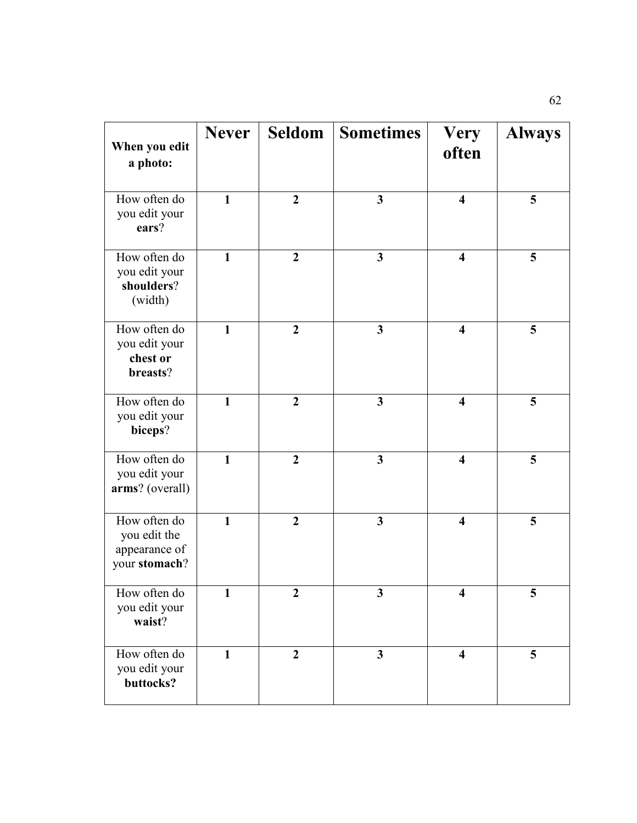| When you edit<br>a photo:                                      | <b>Never</b> | <b>Seldom</b>    | <b>Sometimes</b>        | <b>Very</b><br>often    | <b>Always</b> |
|----------------------------------------------------------------|--------------|------------------|-------------------------|-------------------------|---------------|
| How often do<br>you edit your<br>ears?                         | $\mathbf{1}$ | $\boldsymbol{2}$ | $\mathbf{3}$            | $\overline{\mathbf{4}}$ | 5             |
| How often do<br>you edit your<br>shoulders?<br>(width)         | $\mathbf{1}$ | $\overline{2}$   | $\overline{\mathbf{3}}$ | $\overline{\mathbf{4}}$ | 5             |
| How often do<br>you edit your<br>chest or<br>breasts?          | 1            | $\boldsymbol{2}$ | $\mathbf{3}$            | $\overline{\mathbf{4}}$ | 5             |
| How often do<br>you edit your<br>biceps?                       | $\mathbf{1}$ | $\overline{2}$   | $\mathbf{3}$            | $\overline{\mathbf{4}}$ | 5             |
| How often do<br>you edit your<br>arms? (overall)               | $\mathbf{1}$ | $\boldsymbol{2}$ | $\mathbf{3}$            | $\overline{\mathbf{4}}$ | 5             |
| How often do<br>you edit the<br>appearance of<br>your stomach? | $\mathbf{1}$ | $\overline{2}$   | $\overline{\mathbf{3}}$ | $\overline{\mathbf{4}}$ | 5             |
| How often do<br>you edit your<br>waist?                        | $\mathbf{1}$ | $\boldsymbol{2}$ | $\overline{\mathbf{3}}$ | $\overline{\mathbf{4}}$ | 5             |
| How often do<br>you edit your<br>buttocks?                     | $\mathbf{1}$ | $\boldsymbol{2}$ | $\mathbf{3}$            | $\overline{\mathbf{4}}$ | 5             |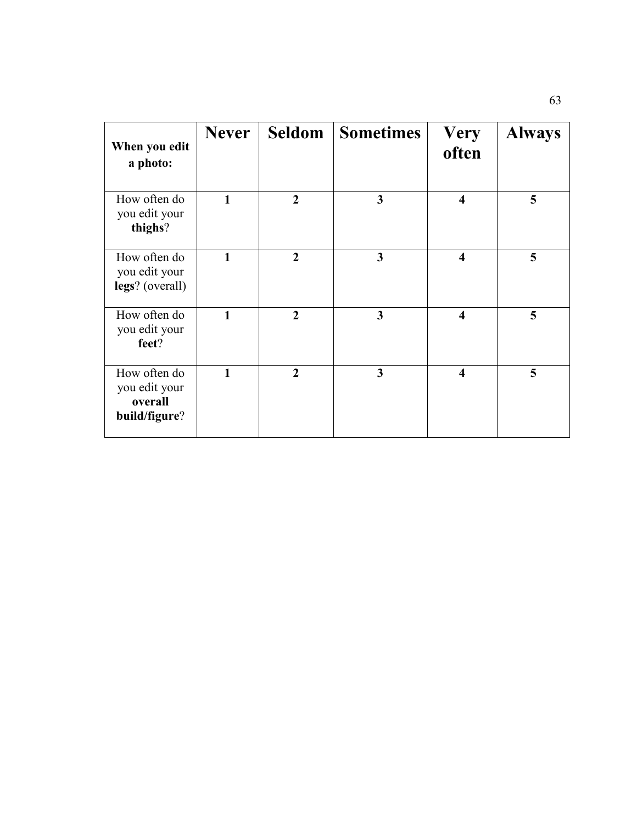| When you edit<br>a photo:                                 | <b>Never</b> |                | <b>Seldom</b> Sometimes | <b>Very</b><br>often    | <b>Always</b> |
|-----------------------------------------------------------|--------------|----------------|-------------------------|-------------------------|---------------|
| How often do<br>you edit your<br>thighs?                  | 1            | $\overline{2}$ | $\overline{\mathbf{3}}$ | $\overline{\mathbf{4}}$ | 5             |
| How often do<br>you edit your<br>legs? (overall)          | $\mathbf{1}$ | $\overline{2}$ | $\overline{\mathbf{3}}$ | $\overline{\mathbf{4}}$ | 5             |
| How often do<br>you edit your<br>feet?                    | $\mathbf{1}$ | $\overline{2}$ | 3                       | $\overline{\mathbf{4}}$ | 5             |
| How often do<br>you edit your<br>overall<br>build/figure? | 1            | $\overline{2}$ | 3                       | $\overline{\mathbf{4}}$ | 5             |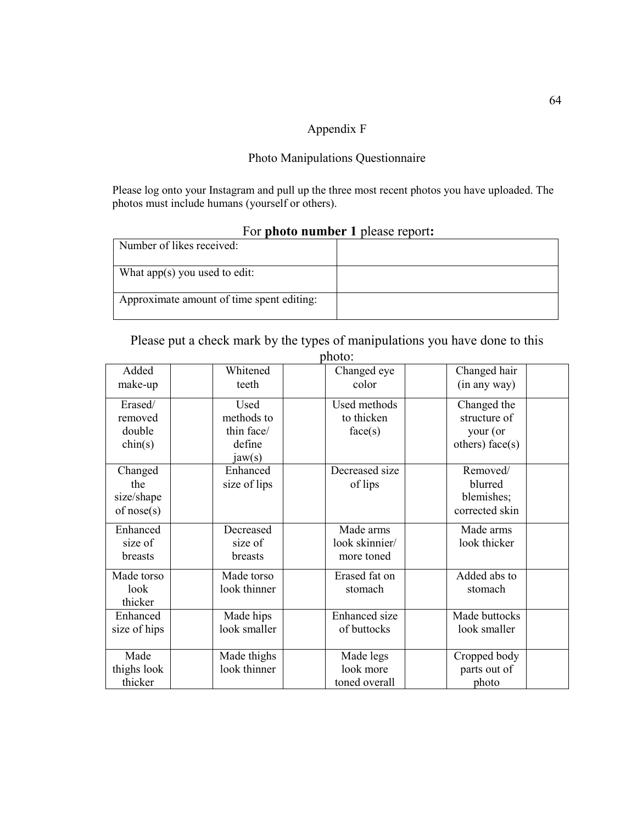# Appendix F

### Photo Manipulations Questionnaire

Please log onto your Instagram and pull up the three most recent photos you have uploaded. The photos must include humans (yourself or others).

| Number of likes received:                 |  |  |  |  |
|-------------------------------------------|--|--|--|--|
| What app(s) you used to edit:             |  |  |  |  |
| Approximate amount of time spent editing: |  |  |  |  |

## For **photo number 1** please report**:**

Please put a check mark by the types of manipulations you have done to this

| Added<br>make-up                                 | Whitened<br>teeth                                    | Changed eye<br>color                      | Changed hair<br>(in any way)                               |
|--------------------------------------------------|------------------------------------------------------|-------------------------------------------|------------------------------------------------------------|
| Erased/<br>removed<br>double<br>$\text{chin}(s)$ | Used<br>methods to<br>thin face/<br>define<br>jaw(s) | Used methods<br>to thicken<br>face(s)     | Changed the<br>structure of<br>your (or<br>others) face(s) |
| Changed<br>the<br>size/shape<br>of $nose(s)$     | Enhanced<br>size of lips                             | Decreased size<br>of lips                 | Removed/<br>blurred<br>blemishes;<br>corrected skin        |
| Enhanced<br>size of<br><b>breasts</b>            | Decreased<br>size of<br><b>breasts</b>               | Made arms<br>look skinnier/<br>more toned | Made arms<br>look thicker                                  |
| Made torso<br>look<br>thicker                    | Made torso<br>look thinner                           | Erased fat on<br>stomach                  | Added abs to<br>stomach                                    |
| Enhanced<br>size of hips                         | Made hips<br>look smaller                            | <b>Enhanced</b> size<br>of buttocks       | Made buttocks<br>look smaller                              |
| Made<br>thighs look<br>thicker                   | Made thighs<br>look thinner                          | Made legs<br>look more<br>toned overall   | Cropped body<br>parts out of<br>photo                      |

# photo: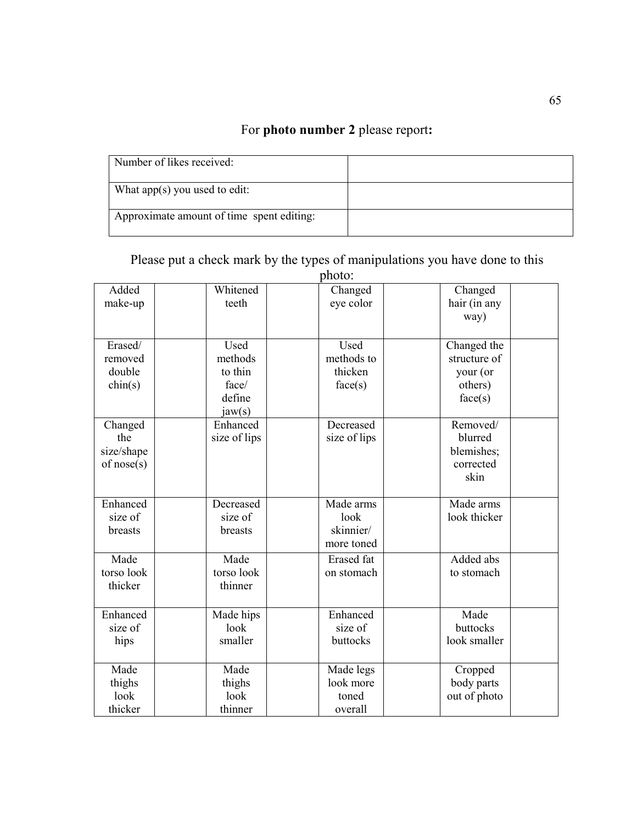# For **photo number 2** please report**:**

| Number of likes received:                 |  |
|-------------------------------------------|--|
| What app(s) you used to edit:             |  |
| Approximate amount of time spent editing: |  |

|                  |              | photo:            |              |  |
|------------------|--------------|-------------------|--------------|--|
| Added            | Whitened     | Changed           | Changed      |  |
| make-up          | teeth        | eye color         | hair (in any |  |
|                  |              |                   | way)         |  |
|                  |              |                   |              |  |
| Erased/          | Used         | Used              | Changed the  |  |
| removed          | methods      | methods to        | structure of |  |
| double           | to thin      | thicken           | your (or     |  |
| $\text{chin}(s)$ | face/        | face(s)           | others)      |  |
|                  | define       |                   | face(s)      |  |
|                  | jaw(s)       |                   |              |  |
| Changed          | Enhanced     | Decreased         | Removed/     |  |
| the              | size of lips | size of lips      | blurred      |  |
| size/shape       |              |                   | blemishes;   |  |
| of nose(s)       |              |                   | corrected    |  |
|                  |              |                   | skin         |  |
|                  |              |                   |              |  |
| Enhanced         | Decreased    | Made arms         | Made arms    |  |
| size of          | size of      | look              | look thicker |  |
| breasts          | breasts      | skinnier/         |              |  |
|                  |              | more toned        |              |  |
|                  |              |                   |              |  |
| Made             | Made         | <b>Erased</b> fat | Added abs    |  |
| torso look       | torso look   | on stomach        | to stomach   |  |
| thicker          | thinner      |                   |              |  |
|                  |              |                   |              |  |
| Enhanced         | Made hips    | Enhanced          | Made         |  |
| size of          | look         | size of           | buttocks     |  |
| hips             | smaller      | buttocks          | look smaller |  |
|                  |              |                   |              |  |
| Made             | Made         | Made legs         | Cropped      |  |
| thighs           | thighs       | look more         | body parts   |  |
| look             | look         | toned             | out of photo |  |
| thicker          | thinner      | overall           |              |  |

Please put a check mark by the types of manipulations you have done to this photo: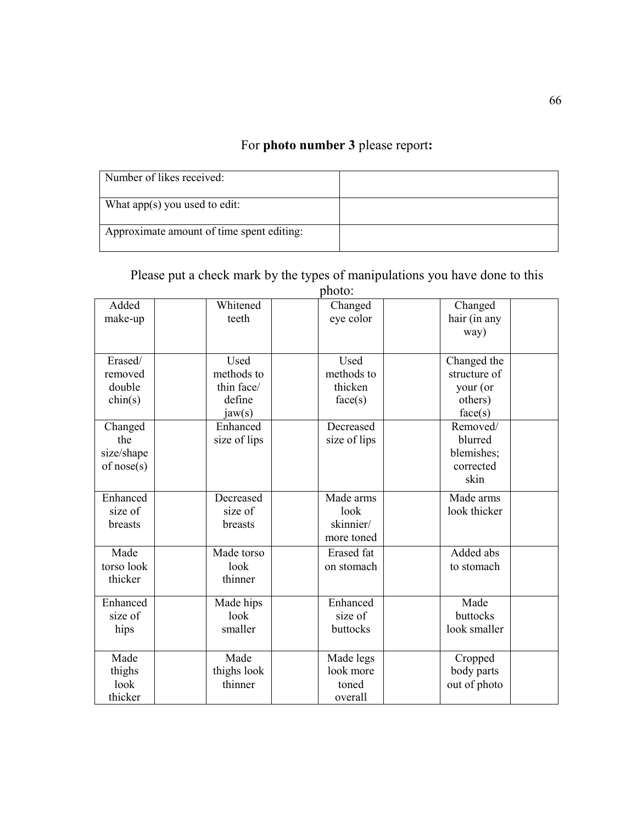# For **photo number 3** please report**:**

| Number of likes received:                 |  |
|-------------------------------------------|--|
| What app(s) you used to edit:             |  |
| Approximate amount of time spent editing: |  |

# Please put a check mark by the types of manipulations you have done to this photo:

| Added<br>make-up                             | Whitened<br>teeth                                    | Changed<br>eye color                         | Changed<br>hair (in any<br>way)                               |  |
|----------------------------------------------|------------------------------------------------------|----------------------------------------------|---------------------------------------------------------------|--|
| Erased/<br>removed<br>double<br>chin(s)      | Used<br>methods to<br>thin face/<br>define<br>jaw(s) | Used<br>methods to<br>thicken<br>face(s)     | Changed the<br>structure of<br>your (or<br>others)<br>face(s) |  |
| Changed<br>the<br>size/shape<br>of $nose(s)$ | Enhanced<br>size of lips                             | Decreased<br>size of lips                    | Removed/<br>blurred<br>blemishes;<br>corrected<br>skin        |  |
| Enhanced<br>size of<br>breasts               | Decreased<br>size of<br>breasts                      | Made arms<br>look<br>skinnier/<br>more toned | Made arms<br>look thicker                                     |  |
| Made<br>torso look<br>thicker                | Made torso<br>look<br>thinner                        | <b>Erased</b> fat<br>on stomach              | Added abs<br>to stomach                                       |  |
| Enhanced<br>size of<br>hips                  | Made hips<br>look<br>smaller                         | Enhanced<br>size of<br>buttocks              | Made<br>buttocks<br>look smaller                              |  |
| Made<br>thighs<br>look<br>thicker            | Made<br>thighs look<br>thinner                       | Made legs<br>look more<br>toned<br>overall   | Cropped<br>body parts<br>out of photo                         |  |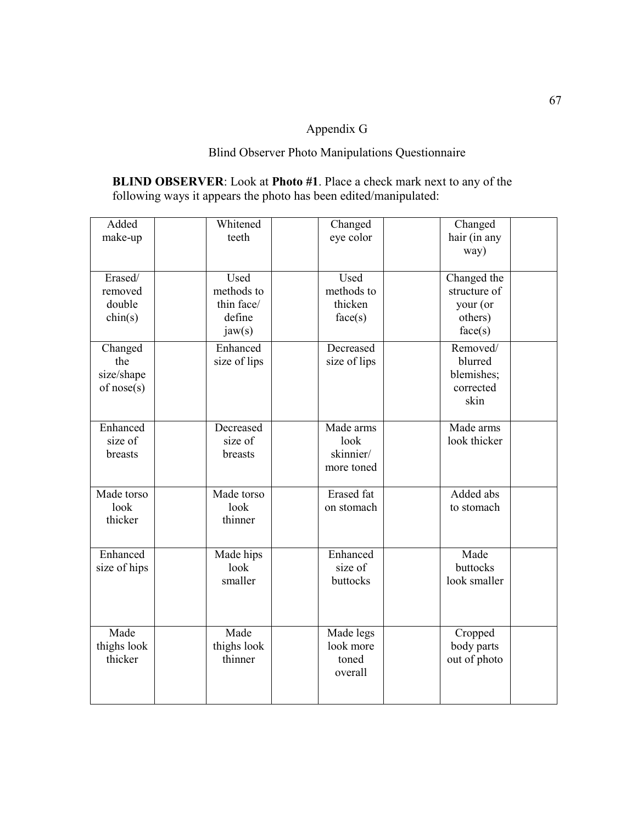# Appendix G

# Blind Observer Photo Manipulations Questionnaire

**BLIND OBSERVER**: Look at **Photo #1**. Place a check mark next to any of the following ways it appears the photo has been edited/manipulated:

| Added<br>make-up                                 | Whitened<br>teeth                                    | Changed<br>eye color                         | Changed<br>hair (in any<br>way)                               |  |
|--------------------------------------------------|------------------------------------------------------|----------------------------------------------|---------------------------------------------------------------|--|
| Erased/<br>removed<br>double<br>$\text{chin}(s)$ | Used<br>methods to<br>thin face/<br>define<br>jaw(s) | Used<br>methods to<br>thicken<br>face(s)     | Changed the<br>structure of<br>your (or<br>others)<br>face(s) |  |
| Changed<br>the<br>size/shape<br>of nose(s)       | Enhanced<br>size of lips                             | Decreased<br>size of lips                    | Removed/<br>blurred<br>blemishes;<br>corrected<br>skin        |  |
| Enhanced<br>size of<br>breasts                   | Decreased<br>size of<br>breasts                      | Made arms<br>look<br>skinnier/<br>more toned | Made arms<br>look thicker                                     |  |
| Made torso<br>look<br>thicker                    | Made torso<br>look<br>thinner                        | <b>Erased</b> fat<br>on stomach              | Added abs<br>to stomach                                       |  |
| Enhanced<br>size of hips                         | Made hips<br>look<br>smaller                         | Enhanced<br>size of<br>buttocks              | Made<br>buttocks<br>look smaller                              |  |
| Made<br>thighs look<br>thicker                   | Made<br>thighs look<br>thinner                       | Made legs<br>look more<br>toned<br>overall   | Cropped<br>body parts<br>out of photo                         |  |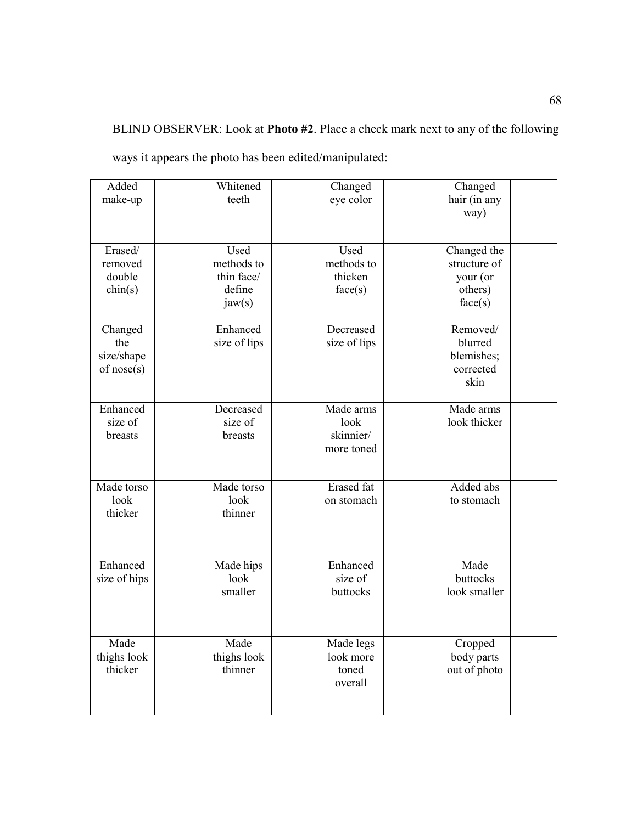BLIND OBSERVER: Look at **Photo #2**. Place a check mark next to any of the following

| Added<br>make-up                                 | Whitened<br>teeth                                    | Changed<br>eye color                         | Changed<br>hair (in any<br>way)                               |  |
|--------------------------------------------------|------------------------------------------------------|----------------------------------------------|---------------------------------------------------------------|--|
| Erased/<br>removed<br>double<br>$\text{chin}(s)$ | Used<br>methods to<br>thin face/<br>define<br>jaw(s) | Used<br>methods to<br>thicken<br>face(s)     | Changed the<br>structure of<br>your (or<br>others)<br>face(s) |  |
| Changed<br>the<br>size/shape<br>of $nose(s)$     | Enhanced<br>size of lips                             | Decreased<br>size of lips                    | Removed/<br>blurred<br>blemishes;<br>corrected<br>skin        |  |
| Enhanced<br>size of<br>breasts                   | Decreased<br>size of<br>breasts                      | Made arms<br>look<br>skinnier/<br>more toned | Made arms<br>look thicker                                     |  |
| Made torso<br>look<br>thicker                    | Made torso<br>look<br>thinner                        | <b>Erased</b> fat<br>on stomach              | Added abs<br>to stomach                                       |  |
| Enhanced<br>size of hips                         | Made hips<br>look<br>smaller                         | Enhanced<br>size of<br>buttocks              | Made<br>buttocks<br>look smaller                              |  |
| Made<br>thighs look<br>thicker                   | Made<br>thighs look<br>thinner                       | Made legs<br>look more<br>toned<br>overall   | Cropped<br>body parts<br>out of photo                         |  |

ways it appears the photo has been edited/manipulated: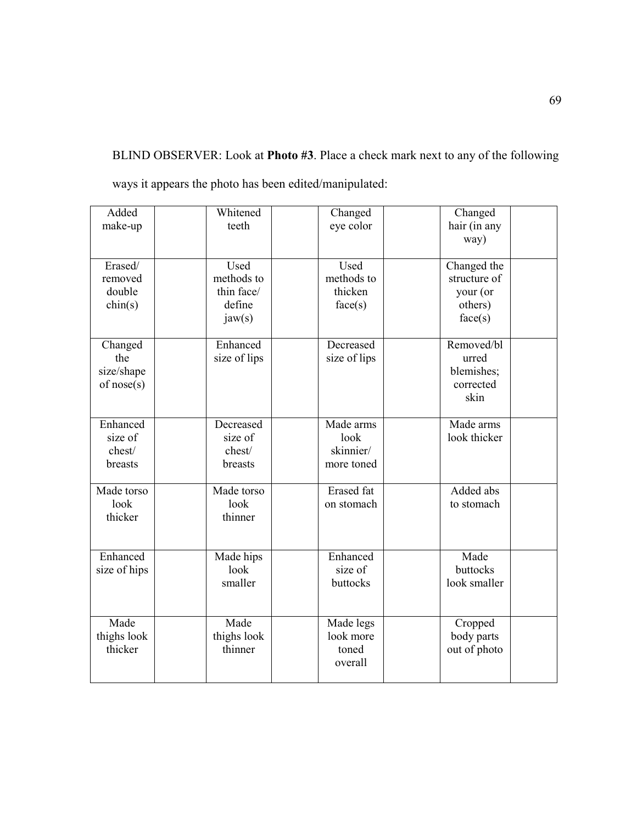BLIND OBSERVER: Look at **Photo #3**. Place a check mark next to any of the following ways it appears the photo has been edited/manipulated:

| Added            | Whitened     | Changed           | Changed      |  |
|------------------|--------------|-------------------|--------------|--|
| make-up          | teeth        | eye color         | hair (in any |  |
|                  |              |                   | way)         |  |
|                  |              |                   |              |  |
| Erased/          | Used         | Used              | Changed the  |  |
| removed          | methods to   | methods to        | structure of |  |
| double           | thin face/   | thicken           | your (or     |  |
| $\text{chin}(s)$ | define       | face(s)           | others)      |  |
|                  | jaw(s)       |                   | face(s)      |  |
| Changed          | Enhanced     | Decreased         | Removed/bl   |  |
| the              | size of lips | size of lips      | urred        |  |
| size/shape       |              |                   | blemishes;   |  |
| of nose(s)       |              |                   | corrected    |  |
|                  |              |                   | skin         |  |
|                  |              |                   |              |  |
| Enhanced         | Decreased    | Made arms         | Made arms    |  |
| size of          | size of      | look              | look thicker |  |
| chest/           | chest/       | skinnier/         |              |  |
| breasts          | breasts      | more toned        |              |  |
| Made torso       | Made torso   | <b>Erased</b> fat | Added abs    |  |
| look             | look         | on stomach        | to stomach   |  |
| thicker          | thinner      |                   |              |  |
|                  |              |                   |              |  |
|                  |              |                   |              |  |
| Enhanced         | Made hips    | Enhanced          | Made         |  |
| size of hips     | look         | size of           | buttocks     |  |
|                  | smaller      | buttocks          | look smaller |  |
|                  |              |                   |              |  |
| Made             | Made         | Made legs         | Cropped      |  |
| thighs look      | thighs look  | look more         | body parts   |  |
| thicker          | thinner      | toned             | out of photo |  |
|                  |              | overall           |              |  |
|                  |              |                   |              |  |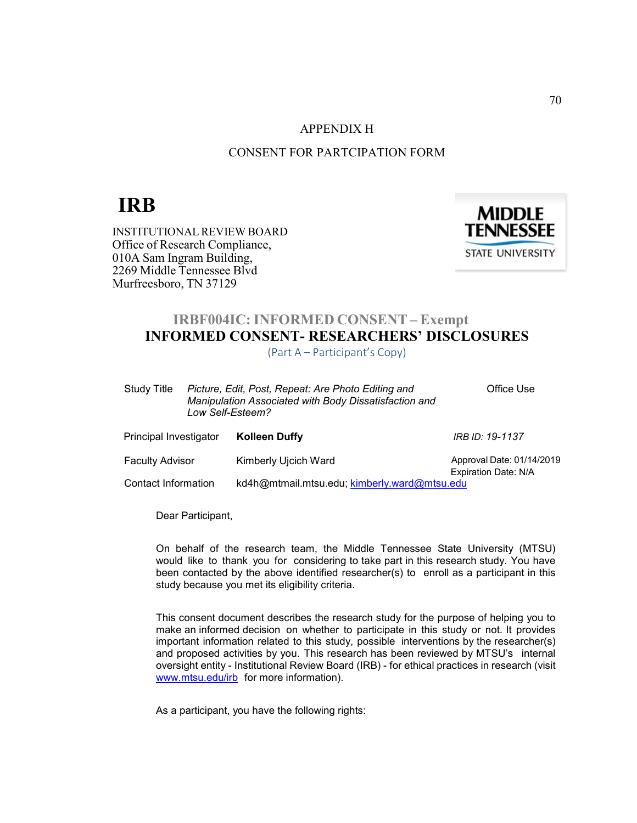#### APPENDIX H

## CONSENT FOR PARTCIPATION FORM

# **IRB**

INSTITUTIONAL REVIEW BOARD Office of Research Compliance, 010A Sam Ingram Building, 2269 Middle Tennessee Blvd Murfreesboro, TN 37129



# **IRBF004IC: INFORMED CONSENT – Exempt INFORMED CONSENT- RESEARCHERS' DISCLOSURES**

(Part A – Participant's Copy)

| Study Title            | Picture, Edit, Post, Repeat: Are Photo Editing and<br>Manipulation Associated with Body Dissatisfaction and<br>Low Self-Esteem? | Office Use                |
|------------------------|---------------------------------------------------------------------------------------------------------------------------------|---------------------------|
| Principal Investigator | <b>Kolleen Duffy</b>                                                                                                            | IRB ID: 19-1137           |
| <b>Faculty Advisor</b> | Kimberly Ujcich Ward                                                                                                            | Approval Date: 01/14/2019 |
| Contact Information    | kd4h@mtmail.mtsu.edu; kimberly.ward@mtsu.edu                                                                                    | Expiration Date: N/A      |

Dear Participant,

On behalf of the research team, the Middle Tennessee State University (MTSU) would like to thank you for considering to take part in this research study. You have been contacted by the above identified researcher(s) to enroll as a participant in this study because you met its eligibility criteria.

This consent document describes the research study for the purpose of helping you to make an informed decision on whether to participate in this study or not. It provides important information related to this study, possible interventions by the researcher(s) and proposed activities by you. This research has been reviewed by MTSU's internal oversight entity - Institutional Review Board (IRB) - for ethical practices in research (visit www.mtsu.edu/irb for more information).

As a participant, you have the following rights: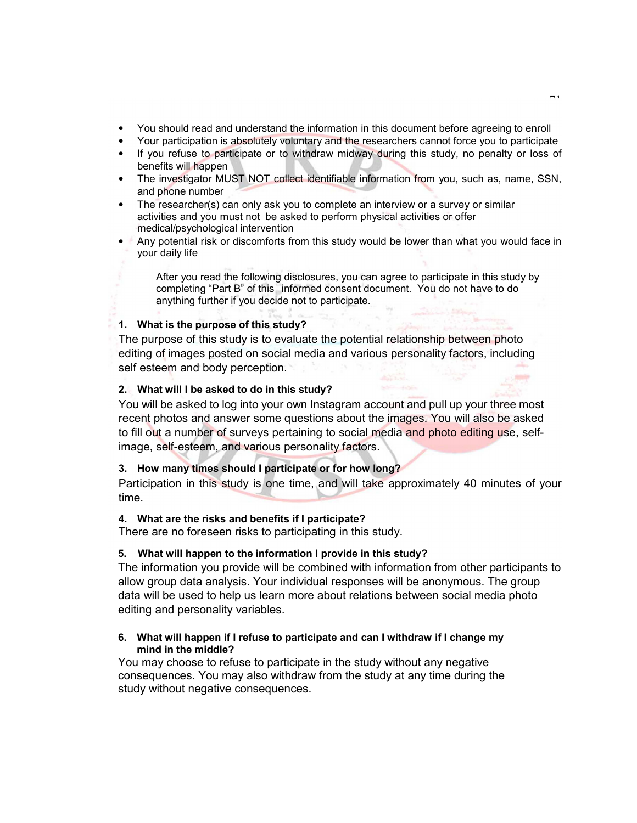- You should read and understand the information in this document before agreeing to enroll
- Your participation is absolutely voluntary and the researchers cannot force you to participate
- If you refuse to participate or to withdraw midway during this study, no penalty or loss of benefits will happen
- The investigator MUST NOT collect identifiable information from you, such as, name, SSN, and phone number
- The researcher(s) can only ask you to complete an interview or a survey or similar activities and you must not be asked to perform physical activities or offer medical/psychological intervention
- Any potential risk or discomforts from this study would be lower than what you would face in your daily life

After you read the following disclosures, you can agree to participate in this study by completing "Part B" of this informed consent document. You do not have to do anything further if you decide not to participate.

## **1. What is the purpose of this study?**

The purpose of this study is to evaluate the potential relationship between photo editing of images posted on social media and various personality factors, including self esteem and body perception.

## **2. What will I be asked to do in this study?**

You will be asked to log into your own Instagram account and pull up your three most recent photos and answer some questions about the images. You will also be asked to fill out a number of surveys pertaining to social media and photo editing use, selfimage, self-esteem, and various personality factors.

## **3. How many times should I participate or for how long?**

Participation in this study is one time, and will take approximately 40 minutes of your time.

## **4. What are the risks and benefits if I participate?**

There are no foreseen risks to participating in this study.

## **5. What will happen to the information I provide in this study?**

The information you provide will be combined with information from other participants to allow group data analysis. Your individual responses will be anonymous. The group data will be used to help us learn more about relations between social media photo editing and personality variables.

#### **6. What will happen if I refuse to participate and can I withdraw if I change my mind in the middle?**

You may choose to refuse to participate in the study without any negative consequences. You may also withdraw from the study at any time during the study without negative consequences.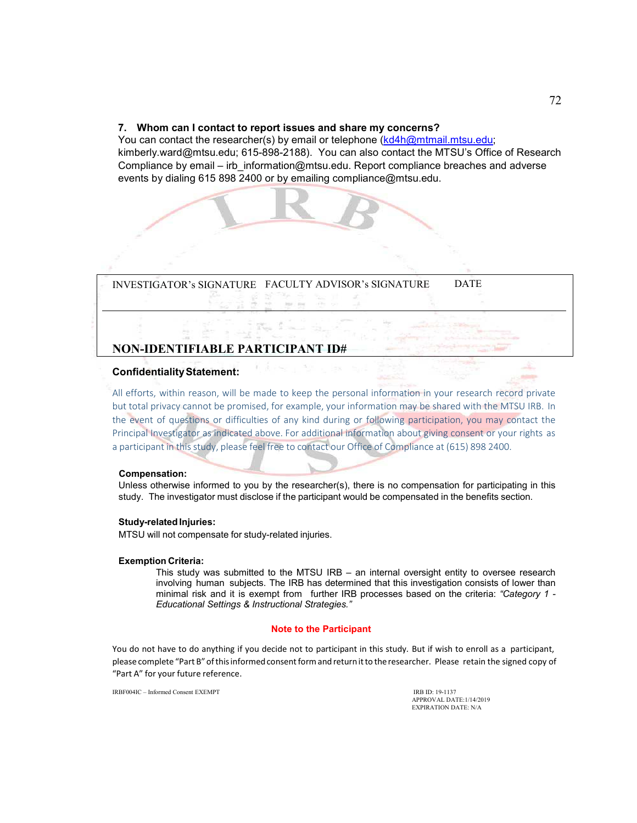#### **7. Whom can I contact to report issues and share my concerns?**

You can contact the researcher(s) by email or telephone (kd4h@mtmail.mtsu.edu; kimberly.ward@mtsu.edu; 615-898-2188). You can also contact the MTSU's Office of Research Compliance by email – irb\_information@mtsu.edu. Report compliance breaches and adverse events by dialing 615 898 2400 or by emailing compliance@mtsu.edu.

INVESTIGATOR's SIGNATURE FACULTY ADVISOR's SIGNATURE DATE

# **NON-IDENTIFIABLE PARTICIPANT ID#**

#### **Confidentiality Statement:**

All efforts, within reason, will be made to keep the personal information in your research record private but total privacy cannot be promised, for example, your information may be shared with the MTSU IRB. In the event of questions or difficulties of any kind during or following participation, you may contact the Principal Investigator as indicated above. For additional information about giving consent or your rights as a participant in this study, please feel free to contact our Office of Compliance at (615) 898 2400.

#### **Compensation:**

Unless otherwise informed to you by the researcher(s), there is no compensation for participating in this study. The investigator must disclose if the participant would be compensated in the benefits section.

#### **Study-related Injuries:**

MTSU will not compensate for study-related injuries.

#### **Exemption Criteria:**

This study was submitted to the MTSU IRB – an internal oversight entity to oversee research involving human subjects. The IRB has determined that this investigation consists of lower than minimal risk and it is exempt from further IRB processes based on the criteria: *"Category 1 - Educational Settings & Instructional Strategies."* 

#### **Note to the Participant**

You do not have to do anything if you decide not to participant in this study. But if wish to enroll as a participant, please complete "Part B" of this informed consent form and return it to the researcher. Please retain the signed copy of "Part A" for your future reference.

IRBF004IC – Informed Consent EXEMPT **IRB ID: 19-1137** 

APPROVAL DATE:1/14/2019 EXPIRATION DATE: N/A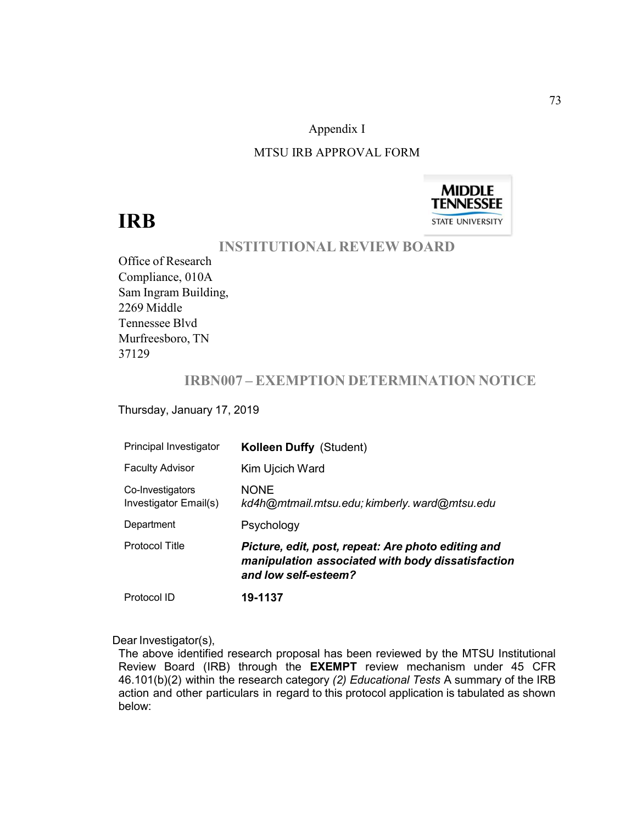## Appendix I

## MTSU IRB APPROVAL FORM



# **IRB**

# **INSTITUTIONAL REVIEW BOARD**

Office of Research Compliance, 010A Sam Ingram Building, 2269 Middle Tennessee Blvd Murfreesboro, TN 37129

# **IRBN007 – EXEMPTION DETERMINATION NOTICE**

Thursday, January 17, 2019

| Principal Investigator                    | <b>Kolleen Duffy (Student)</b>                                                                                                  |
|-------------------------------------------|---------------------------------------------------------------------------------------------------------------------------------|
| <b>Faculty Advisor</b>                    | Kim Ujcich Ward                                                                                                                 |
| Co-Investigators<br>Investigator Email(s) | <b>NONE</b><br>kd4h@mtmail.mtsu.edu; kimberly. ward@mtsu.edu                                                                    |
| Department                                | Psychology                                                                                                                      |
| Protocol Title                            | Picture, edit, post, repeat: Are photo editing and<br>manipulation associated with body dissatisfaction<br>and low self-esteem? |
| Protocol ID                               | 19-1137                                                                                                                         |

#### Dear Investigator(s),

The above identified research proposal has been reviewed by the MTSU Institutional Review Board (IRB) through the **EXEMPT** review mechanism under 45 CFR 46.101(b)(2) within the research category *(2) Educational Tests* A summary of the IRB action and other particulars in regard to this protocol application is tabulated as shown below: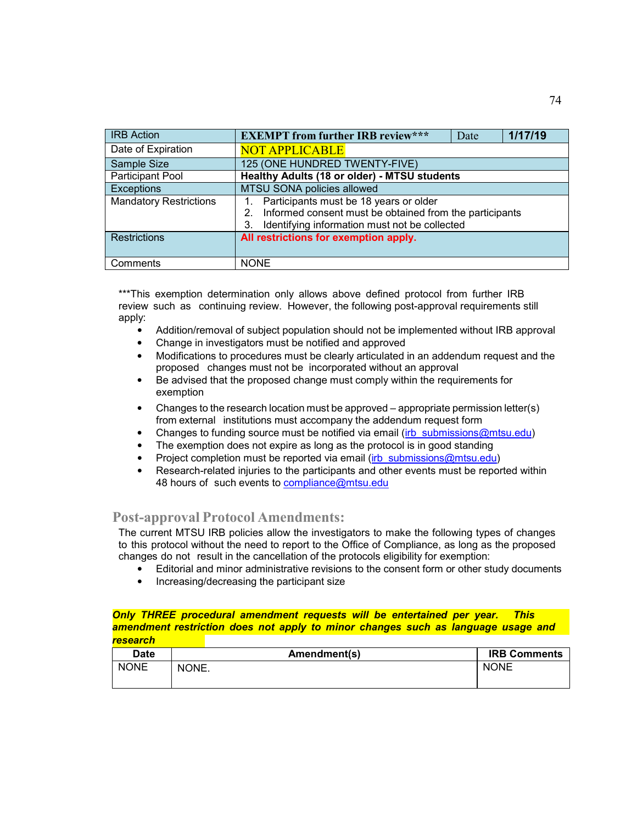| <b>IRB</b> Action             | <b>EXEMPT from further IRB review***</b>                                                                                                                    | Date | 1/17/19 |
|-------------------------------|-------------------------------------------------------------------------------------------------------------------------------------------------------------|------|---------|
| Date of Expiration            | <b>NOT APPLICABLE</b>                                                                                                                                       |      |         |
| Sample Size                   | 125 (ONE HUNDRED TWENTY-FIVE)                                                                                                                               |      |         |
| Participant Pool              | <b>Healthy Adults (18 or older) - MTSU students</b>                                                                                                         |      |         |
| <b>Exceptions</b>             | MTSU SONA policies allowed                                                                                                                                  |      |         |
| <b>Mandatory Restrictions</b> | Participants must be 18 years or older<br>2. Informed consent must be obtained from the participants<br>Identifying information must not be collected<br>3. |      |         |
| <b>Restrictions</b>           | All restrictions for exemption apply.                                                                                                                       |      |         |
| Comments                      | <b>NONE</b>                                                                                                                                                 |      |         |

\*\*\*This exemption determination only allows above defined protocol from further IRB review such as continuing review. However, the following post-approval requirements still apply:

- Addition/removal of subject population should not be implemented without IRB approval
- Change in investigators must be notified and approved
- Modifications to procedures must be clearly articulated in an addendum request and the proposed changes must not be incorporated without an approval
- Be advised that the proposed change must comply within the requirements for exemption
- Changes to the research location must be approved appropriate permission letter(s) from external institutions must accompany the addendum request form
- Changes to funding source must be notified via email (irb\_submissions@mtsu.edu)
- The exemption does not expire as long as the protocol is in good standing
- Project completion must be reported via email (irb\_submissions@mtsu.edu)
- Research-related injuries to the participants and other events must be reported within 48 hours of such events to compliance@mtsu.edu

## **Post-approval Protocol Amendments:**

The current MTSU IRB policies allow the investigators to make the following types of changes to this protocol without the need to report to the Office of Compliance, as long as the proposed changes do not result in the cancellation of the protocols eligibility for exemption:

- Editorial and minor administrative revisions to the consent form or other study documents
- Increasing/decreasing the participant size

#### *Only THREE procedural amendment requests will be entertained per year. This amendment restriction does not apply to minor changes such as language usage and addition/removal research of*

| <b>Date</b> | Amendment(s) | <b>IRB Comments</b> |
|-------------|--------------|---------------------|
| <b>NONE</b> | NONE.        | <b>NONE</b>         |
|             |              |                     |